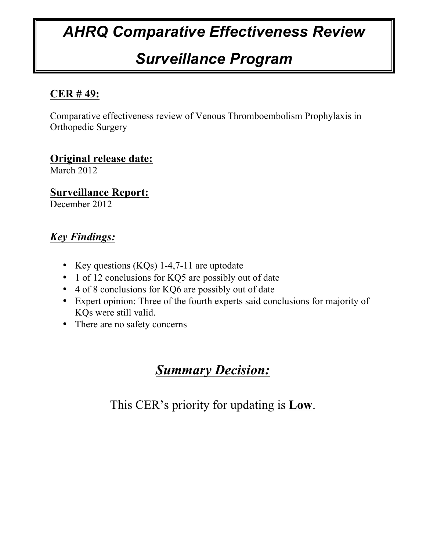# *AHRQ Comparative Effectiveness Review*

# *Surveillance Program*

# **CER # 49:**

Comparative effectiveness review of Venous Thromboembolism Prophylaxis in Orthopedic Surgery

**Original release date:** March 2012

**Surveillance Report:** December 2012

# *Key Findings:*

- Key questions (KQs) 1-4,7-11 are uptodate
- 1 of 12 conclusions for KQ5 are possibly out of date
- 4 of 8 conclusions for KQ6 are possibly out of date
- Expert opinion: Three of the fourth experts said conclusions for majority of KQs were still valid.
- There are no safety concerns

# *Summary Decision:*

This CER's priority for updating is **Low**.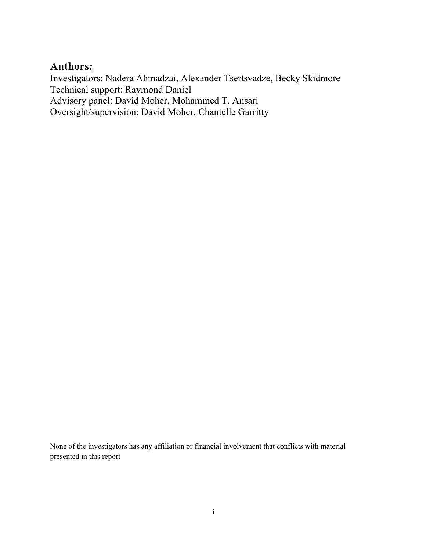# **Authors:**

Investigators: Nadera Ahmadzai, Alexander Tsertsvadze, Becky Skidmore Technical support: Raymond Daniel Advisory panel: David Moher, Mohammed T. Ansari Oversight/supervision: David Moher, Chantelle Garritty

None of the investigators has any affiliation or financial involvement that conflicts with material presented in this report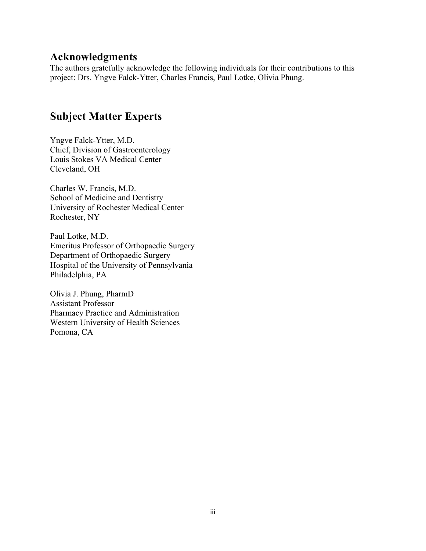# **Acknowledgments**

The authors gratefully acknowledge the following individuals for their contributions to this project: Drs. Yngve Falck-Ytter, Charles Francis, Paul Lotke, Olivia Phung.

# **Subject Matter Experts**

Yngve Falck-Ytter, M.D. Chief, Division of Gastroenterology Louis Stokes VA Medical Center Cleveland, OH

Charles W. Francis, M.D. School of Medicine and Dentistry University of Rochester Medical Center Rochester, NY

Paul Lotke, M.D. Emeritus Professor of Orthopaedic Surgery Department of Orthopaedic Surgery Hospital of the University of Pennsylvania Philadelphia, PA

Olivia J. Phung, PharmD Assistant Professor Pharmacy Practice and Administration Western University of Health Sciences Pomona, CA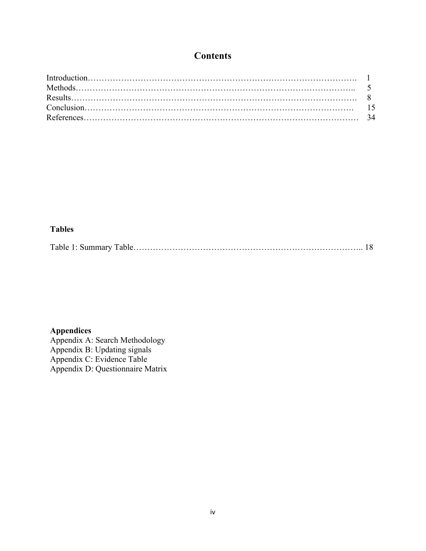# **Contents**

#### **Tables**

|--|--|--|

## **Appendices**

Appendix A: Search Methodology Appendix B: Updating signals Appendix C: Evidence Table Appendix D: Questionnaire Matrix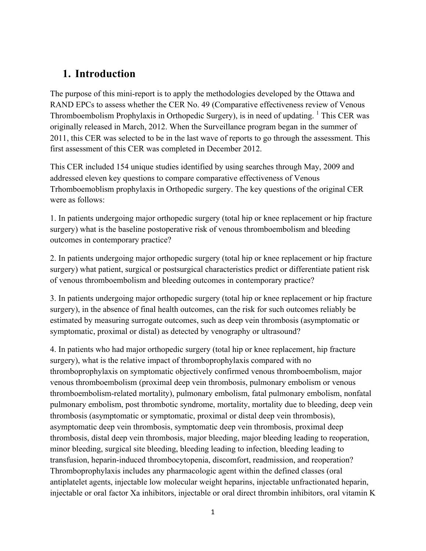# **1. Introduction**

The purpose of this mini-report is to apply the methodologies developed by the Ottawa and RAND EPCs to assess whether the CER No. 49 (Comparative effectiveness review of Venous Thromboembolism Prophylaxis in Orthopedic Surgery), is in need of updating.  $\frac{1}{1}$ This CER was originally released in March, 2012. When the Surveillance program began in the summer of 2011, this CER was selected to be in the last wave of reports to go through the assessment. This first assessment of this CER was completed in December 2012.

This CER included 154 unique studies identified by using searches through May, 2009 and addressed eleven key questions to compare comparative effectiveness of Venous Trhomboemoblism prophylaxis in Orthopedic surgery. The key questions of the original CER were as follows:

1. In patients undergoing major orthopedic surgery (total hip or knee replacement or hip fracture surgery) what is the baseline postoperative risk of venous thromboembolism and bleeding outcomes in contemporary practice?

2. In patients undergoing major orthopedic surgery (total hip or knee replacement or hip fracture surgery) what patient, surgical or postsurgical characteristics predict or differentiate patient risk of venous thromboembolism and bleeding outcomes in contemporary practice?

3. In patients undergoing major orthopedic surgery (total hip or knee replacement or hip fracture surgery), in the absence of final health outcomes, can the risk for such outcomes reliably be estimated by measuring surrogate outcomes, such as deep vein thrombosis (asymptomatic or symptomatic, proximal or distal) as detected by venography or ultrasound?

4. In patients who had major orthopedic surgery (total hip or knee replacement, hip fracture surgery), what is the relative impact of thromboprophylaxis compared with no thromboprophylaxis on symptomatic objectively confirmed venous thromboembolism, major venous thromboembolism (proximal deep vein thrombosis, pulmonary embolism or venous thromboembolism-related mortality), pulmonary embolism, fatal pulmonary embolism, nonfatal pulmonary embolism, post thrombotic syndrome, mortality, mortality due to bleeding, deep vein thrombosis (asymptomatic or symptomatic, proximal or distal deep vein thrombosis), asymptomatic deep vein thrombosis, symptomatic deep vein thrombosis, proximal deep thrombosis, distal deep vein thrombosis, major bleeding, major bleeding leading to reoperation, minor bleeding, surgical site bleeding, bleeding leading to infection, bleeding leading to transfusion, heparin-induced thrombocytopenia, discomfort, readmission, and reoperation? Thromboprophylaxis includes any pharmacologic agent within the defined classes (oral antiplatelet agents, injectable low molecular weight heparins, injectable unfractionated heparin, injectable or oral factor Xa inhibitors, injectable or oral direct thrombin inhibitors, oral vitamin K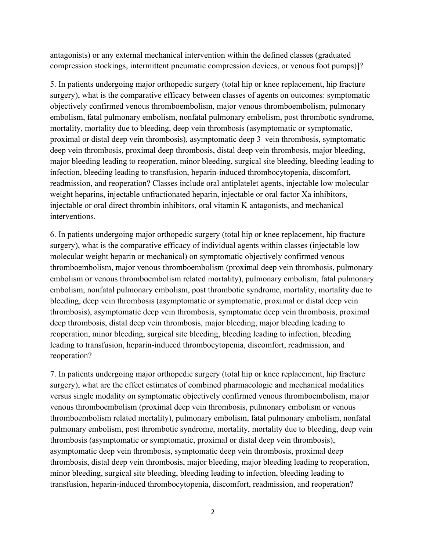antagonists) or any external mechanical intervention within the defined classes (graduated compression stockings, intermittent pneumatic compression devices, or venous foot pumps)]?

5. In patients undergoing major orthopedic surgery (total hip or knee replacement, hip fracture surgery), what is the comparative efficacy between classes of agents on outcomes: symptomatic objectively confirmed venous thromboembolism, major venous thromboembolism, pulmonary embolism, fatal pulmonary embolism, nonfatal pulmonary embolism, post thrombotic syndrome, mortality, mortality due to bleeding, deep vein thrombosis (asymptomatic or symptomatic, proximal or distal deep vein thrombosis), asymptomatic deep 3 vein thrombosis, symptomatic deep vein thrombosis, proximal deep thrombosis, distal deep vein thrombosis, major bleeding, major bleeding leading to reoperation, minor bleeding, surgical site bleeding, bleeding leading to infection, bleeding leading to transfusion, heparin-induced thrombocytopenia, discomfort, readmission, and reoperation? Classes include oral antiplatelet agents, injectable low molecular weight heparins, injectable unfractionated heparin, injectable or oral factor Xa inhibitors, injectable or oral direct thrombin inhibitors, oral vitamin K antagonists, and mechanical interventions.

6. In patients undergoing major orthopedic surgery (total hip or knee replacement, hip fracture surgery), what is the comparative efficacy of individual agents within classes (injectable low molecular weight heparin or mechanical) on symptomatic objectively confirmed venous thromboembolism, major venous thromboembolism (proximal deep vein thrombosis, pulmonary embolism or venous thromboembolism related mortality), pulmonary embolism, fatal pulmonary embolism, nonfatal pulmonary embolism, post thrombotic syndrome, mortality, mortality due to bleeding, deep vein thrombosis (asymptomatic or symptomatic, proximal or distal deep vein thrombosis), asymptomatic deep vein thrombosis, symptomatic deep vein thrombosis, proximal deep thrombosis, distal deep vein thrombosis, major bleeding, major bleeding leading to reoperation, minor bleeding, surgical site bleeding, bleeding leading to infection, bleeding leading to transfusion, heparin-induced thrombocytopenia, discomfort, readmission, and reoperation?

7. In patients undergoing major orthopedic surgery (total hip or knee replacement, hip fracture surgery), what are the effect estimates of combined pharmacologic and mechanical modalities versus single modality on symptomatic objectively confirmed venous thromboembolism, major venous thromboembolism (proximal deep vein thrombosis, pulmonary embolism or venous thromboembolism related mortality), pulmonary embolism, fatal pulmonary embolism, nonfatal pulmonary embolism, post thrombotic syndrome, mortality, mortality due to bleeding, deep vein thrombosis (asymptomatic or symptomatic, proximal or distal deep vein thrombosis), asymptomatic deep vein thrombosis, symptomatic deep vein thrombosis, proximal deep thrombosis, distal deep vein thrombosis, major bleeding, major bleeding leading to reoperation, minor bleeding, surgical site bleeding, bleeding leading to infection, bleeding leading to transfusion, heparin-induced thrombocytopenia, discomfort, readmission, and reoperation?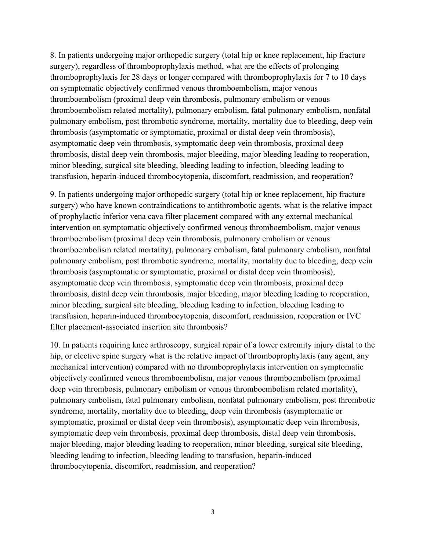8. In patients undergoing major orthopedic surgery (total hip or knee replacement, hip fracture surgery), regardless of thromboprophylaxis method, what are the effects of prolonging thromboprophylaxis for 28 days or longer compared with thromboprophylaxis for 7 to 10 days on symptomatic objectively confirmed venous thromboembolism, major venous thromboembolism (proximal deep vein thrombosis, pulmonary embolism or venous thromboembolism related mortality), pulmonary embolism, fatal pulmonary embolism, nonfatal pulmonary embolism, post thrombotic syndrome, mortality, mortality due to bleeding, deep vein thrombosis (asymptomatic or symptomatic, proximal or distal deep vein thrombosis), asymptomatic deep vein thrombosis, symptomatic deep vein thrombosis, proximal deep thrombosis, distal deep vein thrombosis, major bleeding, major bleeding leading to reoperation, minor bleeding, surgical site bleeding, bleeding leading to infection, bleeding leading to transfusion, heparin-induced thrombocytopenia, discomfort, readmission, and reoperation?

9. In patients undergoing major orthopedic surgery (total hip or knee replacement, hip fracture surgery) who have known contraindications to antithrombotic agents, what is the relative impact of prophylactic inferior vena cava filter placement compared with any external mechanical intervention on symptomatic objectively confirmed venous thromboembolism, major venous thromboembolism (proximal deep vein thrombosis, pulmonary embolism or venous thromboembolism related mortality), pulmonary embolism, fatal pulmonary embolism, nonfatal pulmonary embolism, post thrombotic syndrome, mortality, mortality due to bleeding, deep vein thrombosis (asymptomatic or symptomatic, proximal or distal deep vein thrombosis), asymptomatic deep vein thrombosis, symptomatic deep vein thrombosis, proximal deep thrombosis, distal deep vein thrombosis, major bleeding, major bleeding leading to reoperation, minor bleeding, surgical site bleeding, bleeding leading to infection, bleeding leading to transfusion, heparin-induced thrombocytopenia, discomfort, readmission, reoperation or IVC filter placement-associated insertion site thrombosis?

10. In patients requiring knee arthroscopy, surgical repair of a lower extremity injury distal to the hip, or elective spine surgery what is the relative impact of thromboprophylaxis (any agent, any mechanical intervention) compared with no thromboprophylaxis intervention on symptomatic objectively confirmed venous thromboembolism, major venous thromboembolism (proximal deep vein thrombosis, pulmonary embolism or venous thromboembolism related mortality), pulmonary embolism, fatal pulmonary embolism, nonfatal pulmonary embolism, post thrombotic syndrome, mortality, mortality due to bleeding, deep vein thrombosis (asymptomatic or symptomatic, proximal or distal deep vein thrombosis), asymptomatic deep vein thrombosis, symptomatic deep vein thrombosis, proximal deep thrombosis, distal deep vein thrombosis, major bleeding, major bleeding leading to reoperation, minor bleeding, surgical site bleeding, bleeding leading to infection, bleeding leading to transfusion, heparin-induced thrombocytopenia, discomfort, readmission, and reoperation?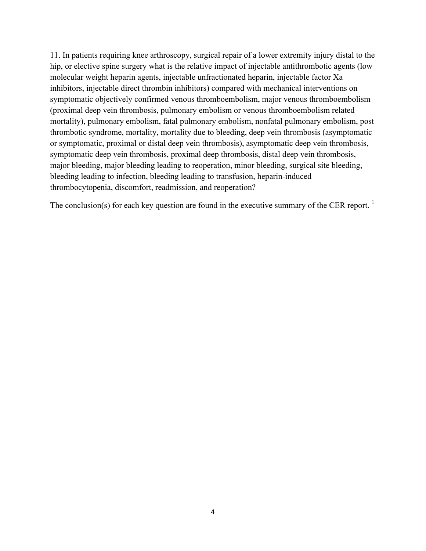11. In patients requiring knee arthroscopy, surgical repair of a lower extremity injury distal to the hip, or elective spine surgery what is the relative impact of injectable antithrombotic agents (low molecular weight heparin agents, injectable unfractionated heparin, injectable factor Xa inhibitors, injectable direct thrombin inhibitors) compared with mechanical interventions on symptomatic objectively confirmed venous thromboembolism, major venous thromboembolism (proximal deep vein thrombosis, pulmonary embolism or venous thromboembolism related mortality), pulmonary embolism, fatal pulmonary embolism, nonfatal pulmonary embolism, post thrombotic syndrome, mortality, mortality due to bleeding, deep vein thrombosis (asymptomatic or symptomatic, proximal or distal deep vein thrombosis), asymptomatic deep vein thrombosis, symptomatic deep vein thrombosis, proximal deep thrombosis, distal deep vein thrombosis, major bleeding, major bleeding leading to reoperation, minor bleeding, surgical site bleeding, bleeding leading to infection, bleeding leading to transfusion, heparin-induced thrombocytopenia, discomfort, readmission, and reoperation?

The conclusion(s) for each key question are found in the executive summary of the CER report.  $\frac{1}{1}$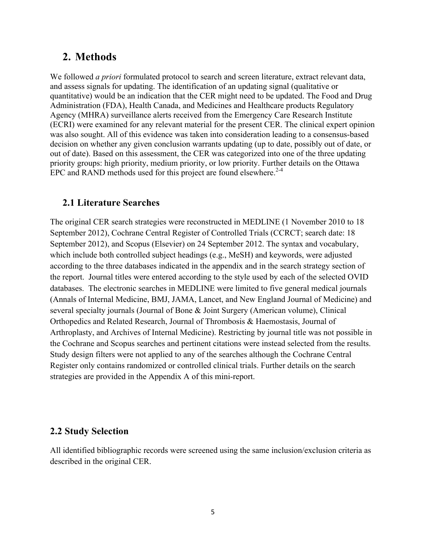# **2. Methods**

We followed *a priori* formulated protocol to search and screen literature, extract relevant data, and assess signals for updating. The identification of an updating signal (qualitative or quantitative) would be an indication that the CER might need to be updated. The Food and Drug Administration (FDA), Health Canada, and Medicines and Healthcare products Regulatory Agency (MHRA) surveillance alerts received from the Emergency Care Research Institute (ECRI) were examined for any relevant material for the present CER. The clinical expert opinion was also sought. All of this evidence was taken into consideration leading to a consensus-based decision on whether any given conclusion warrants updating (up to date, possibly out of date, or out of date). Based on this assessment, the CER was categorized into one of the three updating priority groups: high priority, medium priority, or low priority. Further details on the Ottawa EPC and RAND methods used for this project are found elsewhere. $2-4$ 

## **2.1 Literature Searches**

The original CER search strategies were reconstructed in MEDLINE (1 November 2010 to 18 September 2012), Cochrane Central Register of Controlled Trials (CCRCT; search date: 18 September 2012), and Scopus (Elsevier) on 24 September 2012. The syntax and vocabulary, which include both controlled subject headings (e.g., MeSH) and keywords, were adjusted according to the three databases indicated in the appendix and in the search strategy section of the report. Journal titles were entered according to the style used by each of the selected OVID databases. The electronic searches in MEDLINE were limited to five general medical journals (Annals of Internal Medicine, BMJ, JAMA, Lancet, and New England Journal of Medicine) and several specialty journals (Journal of Bone & Joint Surgery (American volume), Clinical Orthopedics and Related Research, Journal of Thrombosis & Haemostasis, Journal of Arthroplasty, and Archives of Internal Medicine). Restricting by journal title was not possible in the Cochrane and Scopus searches and pertinent citations were instead selected from the results. Study design filters were not applied to any of the searches although the Cochrane Central Register only contains randomized or controlled clinical trials. Further details on the search strategies are provided in the Appendix A of this mini-report.

#### **2.2 Study Selection**

All identified bibliographic records were screened using the same inclusion/exclusion criteria as described in the original CER.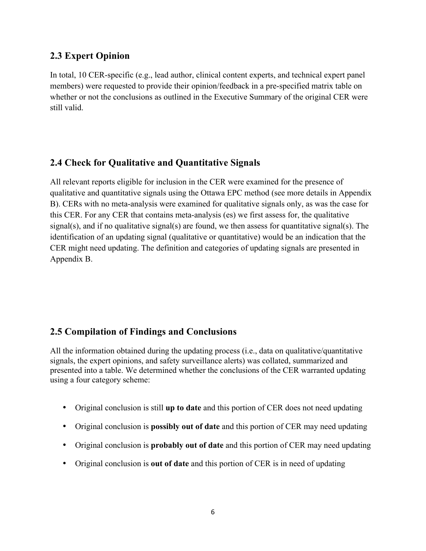## **2.3 Expert Opinion**

In total, 10 CER-specific (e.g., lead author, clinical content experts, and technical expert panel members) were requested to provide their opinion/feedback in a pre-specified matrix table on whether or not the conclusions as outlined in the Executive Summary of the original CER were still valid.

## **2.4 Check for Qualitative and Quantitative Signals**

All relevant reports eligible for inclusion in the CER were examined for the presence of qualitative and quantitative signals using the Ottawa EPC method (see more details in Appendix B). CERs with no meta-analysis were examined for qualitative signals only, as was the case for this CER. For any CER that contains meta-analysis (es) we first assess for, the qualitative signal(s), and if no qualitative signal(s) are found, we then assess for quantitative signal(s). The identification of an updating signal (qualitative or quantitative) would be an indication that the CER might need updating. The definition and categories of updating signals are presented in Appendix B.

## **2.5 Compilation of Findings and Conclusions**

All the information obtained during the updating process (i.e., data on qualitative/quantitative signals, the expert opinions, and safety surveillance alerts) was collated, summarized and presented into a table. We determined whether the conclusions of the CER warranted updating using a four category scheme:

- Original conclusion is still **up to date** and this portion of CER does not need updating
- Original conclusion is **possibly out of date** and this portion of CER may need updating
- Original conclusion is **probably out of date** and this portion of CER may need updating
- Original conclusion is **out of date** and this portion of CER is in need of updating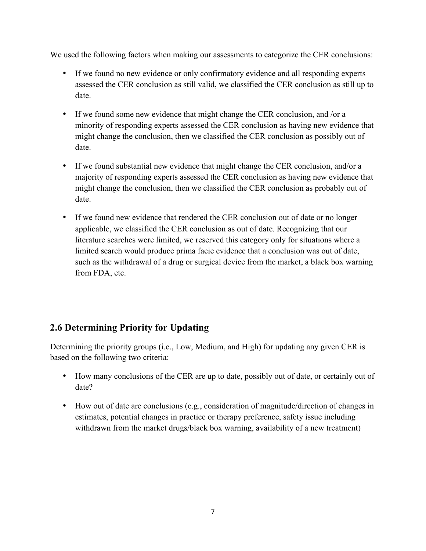We used the following factors when making our assessments to categorize the CER conclusions:

- If we found no new evidence or only confirmatory evidence and all responding experts assessed the CER conclusion as still valid, we classified the CER conclusion as still up to date.
- If we found some new evidence that might change the CER conclusion, and /or a minority of responding experts assessed the CER conclusion as having new evidence that might change the conclusion, then we classified the CER conclusion as possibly out of date.
- If we found substantial new evidence that might change the CER conclusion, and/or a majority of responding experts assessed the CER conclusion as having new evidence that might change the conclusion, then we classified the CER conclusion as probably out of date.
- If we found new evidence that rendered the CER conclusion out of date or no longer applicable, we classified the CER conclusion as out of date. Recognizing that our literature searches were limited, we reserved this category only for situations where a limited search would produce prima facie evidence that a conclusion was out of date, such as the withdrawal of a drug or surgical device from the market, a black box warning from FDA, etc.

# **2.6 Determining Priority for Updating**

Determining the priority groups (i.e., Low, Medium, and High) for updating any given CER is based on the following two criteria:

- How many conclusions of the CER are up to date, possibly out of date, or certainly out of date?
- How out of date are conclusions (e.g., consideration of magnitude/direction of changes in estimates, potential changes in practice or therapy preference, safety issue including withdrawn from the market drugs/black box warning, availability of a new treatment)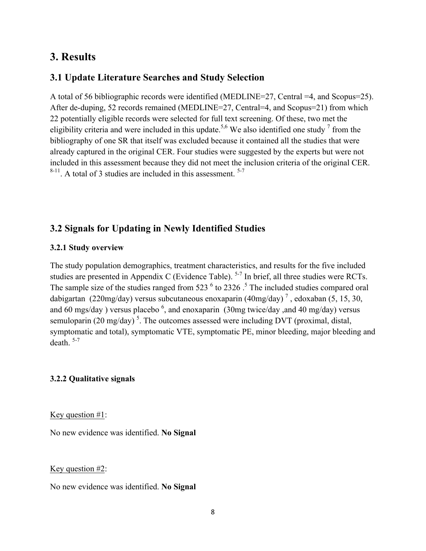# **3. Results**

## **3.1 Update Literature Searches and Study Selection**

A total of 56 bibliographic records were identified (MEDLINE=27, Central =4, and Scopus=25). After de-duping, 52 records remained (MEDLINE=27, Central=4, and Scopus=21) from which 22 potentially eligible records were selected for full text screening. Of these, two met the eligibility criteria and were included in this update.<sup>5,6</sup> We also identified one study  $\frac{1}{\pi}$  from the bibliography of one SR that itself was excluded because it contained all the studies that were already captured in the original CER. Four studies were suggested by the experts but were not included in this assessment because they did not meet the inclusion criteria of the original CER.  $8-11$ . A total of 3 studies are included in this assessment.  $5-7$ 

#### **3.2 Signals for Updating in Newly Identified Studies**

#### **3.2.1 Study overview**

The study population demographics, treatment characteristics, and results for the five included studies are presented in Appendix C (Evidence Table).<sup>5-7</sup> In brief, all three studies were RCTs. The sample size of the studies ranged from 523  $<sup>6</sup>$  to 2326  $<sup>5</sup>$  The included studies compared oral</sup></sup> dabigartan (220mg/day) versus subcutaneous enoxaparin  $(40mg/day)^7$ , edoxaban (5, 15, 30, and 60 mgs/day) versus placebo  $\frac{6}{9}$ , and enoxaparin (30mg twice/day ,and 40 mg/day) versus semuloparin (20 mg/day)<sup>5</sup>. The outcomes assessed were including DVT (proximal, distal, symptomatic and total), symptomatic VTE, symptomatic PE, minor bleeding, major bleeding and death.  $5-7$ 

#### **3.2.2 Qualitative signals**

Key question #1:

No new evidence was identified. **No Signal**

Key question #2:

No new evidence was identified. **No Signal**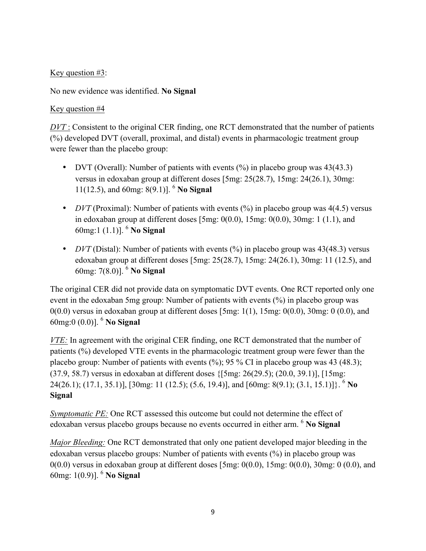### Key question #3:

No new evidence was identified. **No Signal**

#### Key question #4

*DVT* : Consistent to the original CER finding, one RCT demonstrated that the number of patients (%) developed DVT (overall, proximal, and distal) events in pharmacologic treatment group were fewer than the placebo group:

- DVT (Overall): Number of patients with events (%) in placebo group was 43(43.3) versus in edoxaban group at different doses [5mg: 25(28.7), 15mg: 24(26.1), 30mg: 11(12.5), and 60mg: 8(9.1)]. <sup>6</sup> **No Signal**
- *DVT* (Proximal): Number of patients with events (%) in placebo group was 4(4.5) versus in edoxaban group at different doses  $[5mg: 0(0.0), 15mg: 0(0.0), 30mg: 1(1.1),$  and 60mg:1 (1.1)]. <sup>6</sup> **No Signal**
- *DVT* (Distal): Number of patients with events (%) in placebo group was 43(48.3) versus edoxaban group at different doses [5mg: 25(28.7), 15mg: 24(26.1), 30mg: 11 (12.5), and 60mg: 7(8.0)]. <sup>6</sup> **No Signal**

The original CER did not provide data on symptomatic DVT events. One RCT reported only one event in the edoxaban 5mg group: Number of patients with events (%) in placebo group was  $0(0.0)$  versus in edoxaban group at different doses [5mg:  $1(1)$ , 15mg:  $0(0.0)$ , 30mg:  $0(0.0)$ , and 60mg:0 (0.0)]. <sup>6</sup> **No Signal**

*VTE:* In agreement with the original CER finding, one RCT demonstrated that the number of patients (%) developed VTE events in the pharmacologic treatment group were fewer than the placebo group: Number of patients with events  $(\%)$ ; 95 % CI in placebo group was 43 (48.3); (37.9, 58.7) versus in edoxaban at different doses {[5mg: 26(29.5); (20.0, 39.1)], [15mg: 24(26.1); (17.1, 35.1)], [30mg: 11 (12.5); (5.6, 19.4)], and [60mg: 8(9.1); (3.1, 15.1)]}. <sup>6</sup> **No Signal**

*Symptomatic PE:* One RCT assessed this outcome but could not determine the effect of edoxaban versus placebo groups because no events occurred in either arm. 6 **No Signal**

*Major Bleeding:* One RCT demonstrated that only one patient developed major bleeding in the edoxaban versus placebo groups: Number of patients with events (%) in placebo group was  $0(0.0)$  versus in edoxaban group at different doses [5mg:  $0(0.0)$ , 15mg:  $0(0.0)$ , 30mg: 0 (0.0), and 60mg: 1(0.9)]. <sup>6</sup> **No Signal**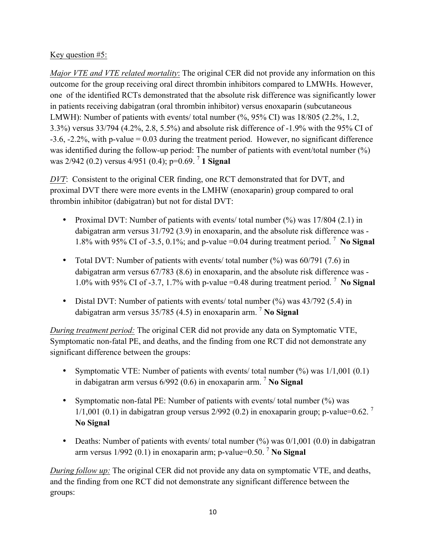### Key question #5:

*Major VTE and VTE related mortality*: The original CER did not provide any information on this outcome for the group receiving oral direct thrombin inhibitors compared to LMWHs. However, one of the identified RCTs demonstrated that the absolute risk difference was significantly lower in patients receiving dabigatran (oral thrombin inhibitor) versus enoxaparin (subcutaneous LMWH): Number of patients with events/ total number (%, 95% CI) was 18/805 (2.2%, 1.2, 3.3%) versus 33/794 (4.2%, 2.8, 5.5%) and absolute risk difference of -1.9% with the 95% CI of -3.6, -2.2%, with p-value = 0.03 during the treatment period. However, no significant difference was identified during the follow-up period: The number of patients with event/total number (%) was 2/942 (0.2) versus 4/951 (0.4); p=0.69. <sup>7</sup> **1 Signal**

*DVT*: Consistent to the original CER finding, one RCT demonstrated that for DVT, and proximal DVT there were more events in the LMHW (enoxaparin) group compared to oral thrombin inhibitor (dabigatran) but not for distal DVT:

- Proximal DVT: Number of patients with events/ total number (%) was 17/804 (2.1) in dabigatran arm versus 31/792 (3.9) in enoxaparin, and the absolute risk difference was - 1.8% with 95% CI of -3.5, 0.1%; and p-value =0.04 during treatment period. <sup>7</sup> **No Signal**
- Total DVT: Number of patients with events/ total number (%) was 60/791 (7.6) in dabigatran arm versus 67/783 (8.6) in enoxaparin, and the absolute risk difference was - 1.0% with 95% CI of -3.7, 1.7% with p-value =0.48 during treatment period. <sup>7</sup> **No Signal**
- Distal DVT: Number of patients with events/ total number (%) was 43/792 (5.4) in dabigatran arm versus 35/785 (4.5) in enoxaparin arm. <sup>7</sup> **No Signal**

*During treatment period:* The original CER did not provide any data on Symptomatic VTE, Symptomatic non-fatal PE, and deaths, and the finding from one RCT did not demonstrate any significant difference between the groups:

- Symptomatic VTE: Number of patients with events/ total number (%) was  $1/1,001$  (0.1) in dabigatran arm versus 6/992 (0.6) in enoxaparin arm. <sup>7</sup> **No Signal**
- Symptomatic non-fatal PE: Number of patients with events/ total number (%) was 1/1,001 (0.1) in dabigatran group versus  $2/992$  (0.2) in enoxaparin group; p-value=0.62. <sup>7</sup> **No Signal**
- Deaths: Number of patients with events/ total number  $(\%)$  was  $0/1,001$   $(0.0)$  in dabigatran arm versus 1/992 (0.1) in enoxaparin arm; p-value=0.50. <sup>7</sup> **No Signal**

*During follow up:* The original CER did not provide any data on symptomatic VTE, and deaths, and the finding from one RCT did not demonstrate any significant difference between the groups: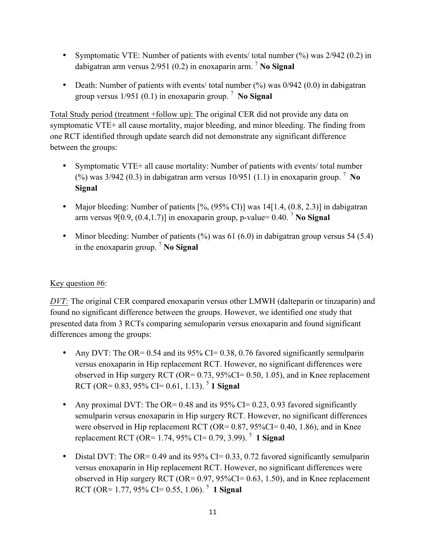- Symptomatic VTE: Number of patients with events/ total number (%) was  $2/942$  (0.2) in dabigatran arm versus 2/951 (0.2) in enoxaparin arm. <sup>7</sup> **No Signal**
- Death: Number of patients with events/ total number  $\frac{6}{9}$  was  $\frac{0}{942}$  (0.0) in dabigatran group versus 1/951 (0.1) in enoxaparin group. <sup>7</sup> **No Signal**

Total Study period (treatment +follow up): The original CER did not provide any data on symptomatic VTE+ all cause mortality, major bleeding, and minor bleeding. The finding from one RCT identified through update search did not demonstrate any significant difference between the groups:

- Symptomatic VTE+ all cause mortality: Number of patients with events/ total number (%) was 3/942 (0.3) in dabigatran arm versus 10/951 (1.1) in enoxaparin group. <sup>7</sup> **No Signal**
- Major bleeding: Number of patients  $[%$ ,  $(95%$  CI)] was 14 $[1.4, (0.8, 2.3)]$  in dabigatran arm versus 9[0.9,  $(0.4, 1.7)$ ] in enoxaparin group, p-value= 0.40.<sup>7</sup> No Signal
- Minor bleeding: Number of patients  $(\%)$  was 61 (6.0) in dabigatran group versus 54 (5.4) in the enoxaparin group. <sup>7</sup> **No Signal**

## Key question #6:

*DVT*: The original CER compared enoxaparin versus other LMWH (dalteparin or tinzaparin) and found no significant difference between the groups. However, we identified one study that presented data from 3 RCTs comparing semuloparin versus enoxaparin and found significant differences among the groups:

- Any DVT: The OR= 0.54 and its 95% CI= 0.38, 0.76 favored significantly semulparin versus enoxaparin in Hip replacement RCT. However, no significant differences were observed in Hip surgery RCT (OR=  $0.73$ ,  $95\%$ CI=  $0.50$ , 1.05), and in Knee replacement RCT (OR=  $0.83$ ,  $95\%$  CI=  $0.61$ , 1.13).<sup>5</sup> **1 Signal**
- Any proximal DVT: The OR= 0.48 and its  $95\%$  CI= 0.23, 0.93 favored significantly semulparin versus enoxaparin in Hip surgery RCT. However, no significant differences were observed in Hip replacement RCT (OR=  $0.87, 95\%$ CI=  $0.40, 1.86$ ), and in Knee replacement RCT (OR= 1.74, 95% CI= 0.79, 3.99). <sup>5</sup> **1 Signal**
- Distal DVT: The OR= 0.49 and its  $95\%$  CI= 0.33, 0.72 favored significantly semulparin versus enoxaparin in Hip replacement RCT. However, no significant differences were observed in Hip surgery RCT (OR=  $0.97$ ,  $95\%$ CI=  $0.63$ , 1.50), and in Knee replacement RCT (OR=  $1.77, 95\%$  CI= 0.55, 1.06).<sup>5</sup> **1 Signal**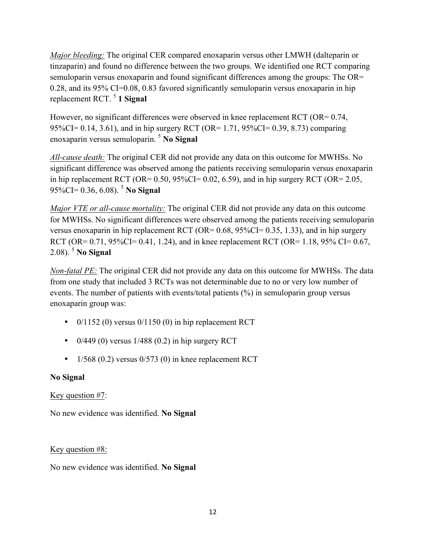*Major bleeding:* The original CER compared enoxaparin versus other LMWH (dalteparin or tinzaparin) and found no difference between the two groups. We identified one RCT comparing semuloparin versus enoxaparin and found significant differences among the groups: The OR= 0.28, and its 95% CI=0.08, 0.83 favored significantly semuloparin versus enoxaparin in hip replacement RCT. 5 **1 Signal**

However, no significant differences were observed in knee replacement RCT (OR= 0.74, 95%CI= 0.14, 3.61), and in hip surgery RCT (OR= 1.71, 95%CI= 0.39, 8.73) comparing enoxaparin versus semuloparin. 5 **No Signal**

*All-cause death:* The original CER did not provide any data on this outcome for MWHSs. No significant difference was observed among the patients receiving semuloparin versus enoxaparin in hip replacement RCT (OR=  $0.50$ ,  $95\%$ CI=  $0.02$ ,  $6.59$ ), and in hip surgery RCT (OR=  $2.05$ , 95%CI= 0.36, 6.08). 5 **No Signal**

*Major VTE or all-cause mortality:* The original CER did not provide any data on this outcome for MWHSs. No significant differences were observed among the patients receiving semuloparin versus enoxaparin in hip replacement RCT (OR=  $0.68$ ,  $95\%$ CI=  $0.35$ , 1.33), and in hip surgery RCT (OR=  $0.71$ ,  $95\%$ CI=  $0.41$ , 1.24), and in knee replacement RCT (OR= 1.18,  $95\%$  CI=  $0.67$ , 2.08). <sup>5</sup> **No Signal**

*Non-fatal PE:* The original CER did not provide any data on this outcome for MWHSs. The data from one study that included 3 RCTs was not determinable due to no or very low number of events. The number of patients with events/total patients (%) in semuloparin group versus enoxaparin group was:

- $0/1152$  (0) versus  $0/1150$  (0) in hip replacement RCT
- $0/449$  (0) versus  $1/488$  (0.2) in hip surgery RCT
- $1/568$  (0.2) versus 0/573 (0) in knee replacement RCT

## **No Signal**

## Key question #7:

No new evidence was identified. **No Signal**

## Key question #8:

No new evidence was identified. **No Signal**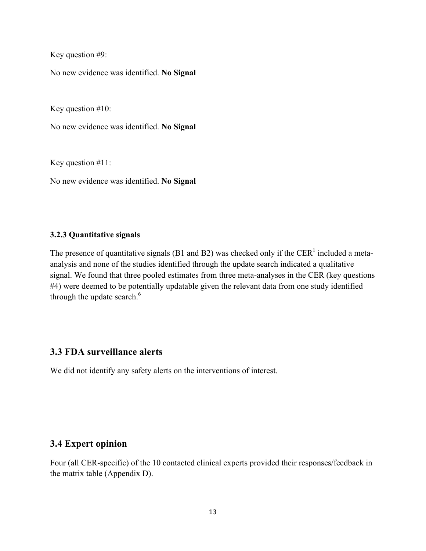#### Key question #9:

No new evidence was identified. **No Signal**

Key question #10:

No new evidence was identified. **No Signal**

Key question #11:

No new evidence was identified. **No Signal**

#### **3.2.3 Quantitative signals**

The presence of quantitative signals (B1 and B2) was checked only if the CER<sup>1</sup> included a metaanalysis and none of the studies identified through the update search indicated a qualitative signal. We found that three pooled estimates from three meta-analyses in the CER (key questions #4) were deemed to be potentially updatable given the relevant data from one study identified through the update search. $<sup>6</sup>$ </sup>

## **3.3 FDA surveillance alerts**

We did not identify any safety alerts on the interventions of interest.

#### **3.4 Expert opinion**

Four (all CER-specific) of the 10 contacted clinical experts provided their responses/feedback in the matrix table (Appendix D).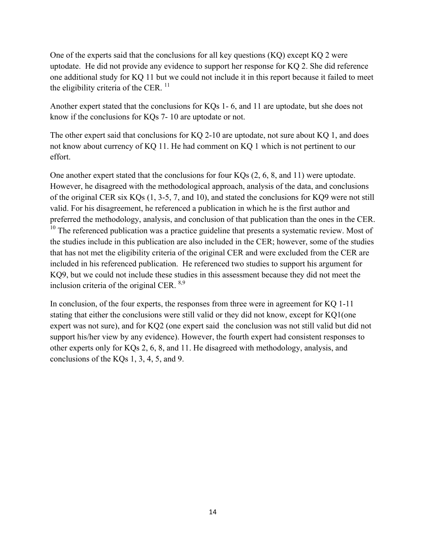One of the experts said that the conclusions for all key questions (KQ) except KQ 2 were uptodate. He did not provide any evidence to support her response for KQ 2. She did reference one additional study for KQ 11 but we could not include it in this report because it failed to meet the eligibility criteria of the CER.  $<sup>11</sup>$ </sup>

Another expert stated that the conclusions for KQs 1- 6, and 11 are uptodate, but she does not know if the conclusions for KQs 7- 10 are uptodate or not.

The other expert said that conclusions for KQ 2-10 are uptodate, not sure about KQ 1, and does not know about currency of KQ 11. He had comment on KQ 1 which is not pertinent to our effort.

One another expert stated that the conclusions for four KQs (2, 6, 8, and 11) were uptodate. However, he disagreed with the methodological approach, analysis of the data, and conclusions of the original CER six KQs (1, 3-5, 7, and 10), and stated the conclusions for KQ9 were not still valid. For his disagreement, he referenced a publication in which he is the first author and preferred the methodology, analysis, and conclusion of that publication than the ones in the CER.  $10$  The referenced publication was a practice guideline that presents a systematic review. Most of the studies include in this publication are also included in the CER; however, some of the studies that has not met the eligibility criteria of the original CER and were excluded from the CER are included in his referenced publication. He referenced two studies to support his argument for KQ9, but we could not include these studies in this assessment because they did not meet the inclusion criteria of the original CER.  $8,9$ 

In conclusion, of the four experts, the responses from three were in agreement for KQ 1-11 stating that either the conclusions were still valid or they did not know, except for KQ1(one expert was not sure), and for KQ2 (one expert said the conclusion was not still valid but did not support his/her view by any evidence). However, the fourth expert had consistent responses to other experts only for KQs 2, 6, 8, and 11. He disagreed with methodology, analysis, and conclusions of the KQs 1, 3, 4, 5, and 9.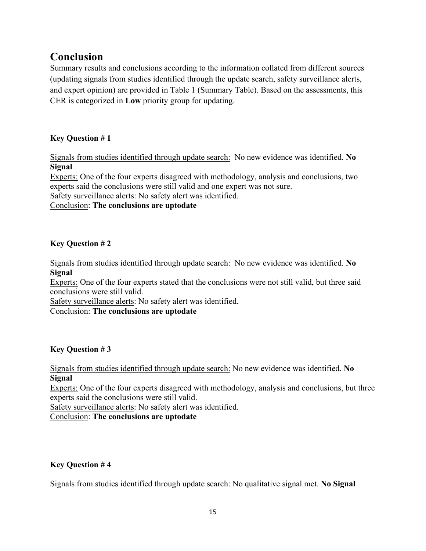# **Conclusion**

Summary results and conclusions according to the information collated from different sources (updating signals from studies identified through the update search, safety surveillance alerts, and expert opinion) are provided in Table 1 (Summary Table). Based on the assessments, this CER is categorized in **Low** priority group for updating.

## **Key Question # 1**

Signals from studies identified through update search: No new evidence was identified. **No Signal**

Experts: One of the four experts disagreed with methodology, analysis and conclusions, two experts said the conclusions were still valid and one expert was not sure.

Safety surveillance alerts: No safety alert was identified.

#### Conclusion: **The conclusions are uptodate**

#### **Key Question # 2**

Signals from studies identified through update search: No new evidence was identified. **No Signal**

Experts: One of the four experts stated that the conclusions were not still valid, but three said conclusions were still valid.

Safety surveillance alerts: No safety alert was identified.

Conclusion: **The conclusions are uptodate**

## **Key Question # 3**

Signals from studies identified through update search: No new evidence was identified. **No Signal**

Experts: One of the four experts disagreed with methodology, analysis and conclusions, but three experts said the conclusions were still valid.

Safety surveillance alerts: No safety alert was identified.

Conclusion: **The conclusions are uptodate**

## **Key Question # 4**

Signals from studies identified through update search: No qualitative signal met. **No Signal**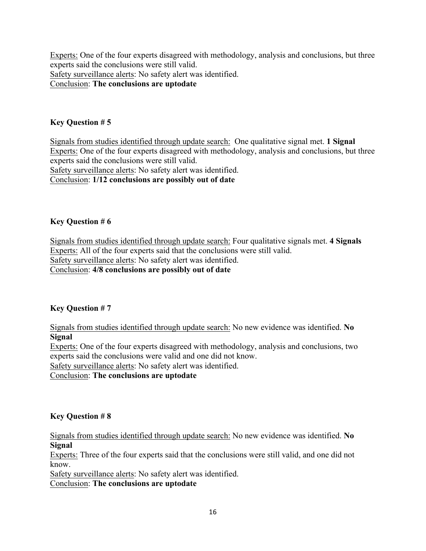Experts: One of the four experts disagreed with methodology, analysis and conclusions, but three experts said the conclusions were still valid. Safety surveillance alerts: No safety alert was identified. Conclusion: **The conclusions are uptodate**

#### **Key Question # 5**

Signals from studies identified through update search: One qualitative signal met. **1 Signal** Experts: One of the four experts disagreed with methodology, analysis and conclusions, but three experts said the conclusions were still valid. Safety surveillance alerts: No safety alert was identified.

Conclusion: **1/12 conclusions are possibly out of date**

#### **Key Question # 6**

Signals from studies identified through update search: Four qualitative signals met. **4 Signals** Experts: All of the four experts said that the conclusions were still valid. Safety surveillance alerts: No safety alert was identified. Conclusion: **4/8 conclusions are possibly out of date**

#### **Key Question # 7**

Signals from studies identified through update search: No new evidence was identified. **No Signal**

Experts: One of the four experts disagreed with methodology, analysis and conclusions, two experts said the conclusions were valid and one did not know.

Safety surveillance alerts: No safety alert was identified.

Conclusion: **The conclusions are uptodate**

#### **Key Question # 8**

Signals from studies identified through update search: No new evidence was identified. **No Signal**

Experts: Three of the four experts said that the conclusions were still valid, and one did not know.

Safety surveillance alerts: No safety alert was identified. Conclusion: **The conclusions are uptodate**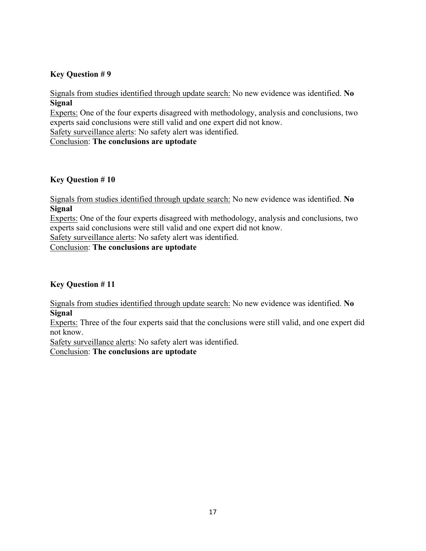#### **Key Question # 9**

Signals from studies identified through update search: No new evidence was identified. **No Signal**

Experts: One of the four experts disagreed with methodology, analysis and conclusions, two experts said conclusions were still valid and one expert did not know.

Safety surveillance alerts: No safety alert was identified.

Conclusion: **The conclusions are uptodate**

#### **Key Question # 10**

Signals from studies identified through update search: No new evidence was identified. **No Signal**

Experts: One of the four experts disagreed with methodology, analysis and conclusions, two experts said conclusions were still valid and one expert did not know.

Safety surveillance alerts: No safety alert was identified.

Conclusion: **The conclusions are uptodate**

#### **Key Question # 11**

Signals from studies identified through update search: No new evidence was identified. **No Signal**

Experts: Three of the four experts said that the conclusions were still valid, and one expert did not know.

Safety surveillance alerts: No safety alert was identified.

Conclusion: **The conclusions are uptodate**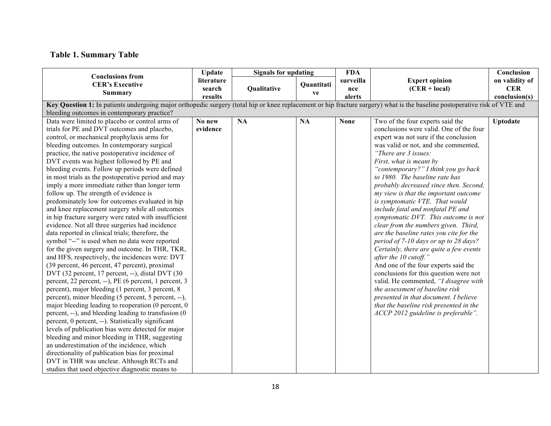# **Table 1. Summary Table**

| <b>Conclusions from</b>                                                                                                                                                                                                                                                                                                                                                                                                                                                                                                                                                                                                                                                                                                                                                                                                                                                                                                                                                                                                                                                                                                                                                                                                                                                                                                                                                                                                                                                                                                                                                                                                               | <b>Update</b>                                                                                                                                                              | <b>Signals for updating</b> |            | <b>FDA</b>       |                                                                                                                                                                                                                                                                                                                                                                                                                                                                                                                                                                                                                                                                                                                                                                                                                                                                                                                                                                                     | Conclusion                   |  |  |  |  |
|---------------------------------------------------------------------------------------------------------------------------------------------------------------------------------------------------------------------------------------------------------------------------------------------------------------------------------------------------------------------------------------------------------------------------------------------------------------------------------------------------------------------------------------------------------------------------------------------------------------------------------------------------------------------------------------------------------------------------------------------------------------------------------------------------------------------------------------------------------------------------------------------------------------------------------------------------------------------------------------------------------------------------------------------------------------------------------------------------------------------------------------------------------------------------------------------------------------------------------------------------------------------------------------------------------------------------------------------------------------------------------------------------------------------------------------------------------------------------------------------------------------------------------------------------------------------------------------------------------------------------------------|----------------------------------------------------------------------------------------------------------------------------------------------------------------------------|-----------------------------|------------|------------------|-------------------------------------------------------------------------------------------------------------------------------------------------------------------------------------------------------------------------------------------------------------------------------------------------------------------------------------------------------------------------------------------------------------------------------------------------------------------------------------------------------------------------------------------------------------------------------------------------------------------------------------------------------------------------------------------------------------------------------------------------------------------------------------------------------------------------------------------------------------------------------------------------------------------------------------------------------------------------------------|------------------------------|--|--|--|--|
| <b>CER's Executive</b>                                                                                                                                                                                                                                                                                                                                                                                                                                                                                                                                                                                                                                                                                                                                                                                                                                                                                                                                                                                                                                                                                                                                                                                                                                                                                                                                                                                                                                                                                                                                                                                                                | literature<br>search                                                                                                                                                       | Qualitative                 | Quantitati | surveilla<br>nce | <b>Expert opinion</b><br>$(CER + local)$                                                                                                                                                                                                                                                                                                                                                                                                                                                                                                                                                                                                                                                                                                                                                                                                                                                                                                                                            | on validity of<br><b>CER</b> |  |  |  |  |
| <b>Summary</b>                                                                                                                                                                                                                                                                                                                                                                                                                                                                                                                                                                                                                                                                                                                                                                                                                                                                                                                                                                                                                                                                                                                                                                                                                                                                                                                                                                                                                                                                                                                                                                                                                        | results                                                                                                                                                                    |                             | ve         | alerts           |                                                                                                                                                                                                                                                                                                                                                                                                                                                                                                                                                                                                                                                                                                                                                                                                                                                                                                                                                                                     | conclusion(s)                |  |  |  |  |
|                                                                                                                                                                                                                                                                                                                                                                                                                                                                                                                                                                                                                                                                                                                                                                                                                                                                                                                                                                                                                                                                                                                                                                                                                                                                                                                                                                                                                                                                                                                                                                                                                                       | Key Question 1: In patients undergoing major orthopedic surgery (total hip or knee replacement or hip fracture surgery) what is the baseline postoperative risk of VTE and |                             |            |                  |                                                                                                                                                                                                                                                                                                                                                                                                                                                                                                                                                                                                                                                                                                                                                                                                                                                                                                                                                                                     |                              |  |  |  |  |
| bleeding outcomes in contemporary practice?                                                                                                                                                                                                                                                                                                                                                                                                                                                                                                                                                                                                                                                                                                                                                                                                                                                                                                                                                                                                                                                                                                                                                                                                                                                                                                                                                                                                                                                                                                                                                                                           |                                                                                                                                                                            |                             |            |                  |                                                                                                                                                                                                                                                                                                                                                                                                                                                                                                                                                                                                                                                                                                                                                                                                                                                                                                                                                                                     |                              |  |  |  |  |
| Data were limited to placebo or control arms of<br>trials for PE and DVT outcomes and placebo,<br>control, or mechanical prophylaxis arms for<br>bleeding outcomes. In contemporary surgical<br>practice, the native postoperative incidence of<br>DVT events was highest followed by PE and<br>bleeding events. Follow up periods were defined<br>in most trials as the postoperative period and may<br>imply a more immediate rather than longer term<br>follow up. The strength of evidence is<br>predominately low for outcomes evaluated in hip<br>and knee replacement surgery while all outcomes<br>in hip fracture surgery were rated with insufficient<br>evidence. Not all three surgeries had incidence<br>data reported in clinical trials; therefore, the<br>symbol "--" is used when no data were reported<br>for the given surgery and outcome. In THR, TKR,<br>and HFS, respectively, the incidences were: DVT<br>(39 percent, 46 percent, 47 percent), proximal<br>DVT (32 percent, 17 percent, --), distal DVT (30<br>percent, 22 percent, --), PE (6 percent, 1 percent, 3<br>percent), major bleeding (1 percent, 3 percent, 8<br>percent), minor bleeding (5 percent, 5 percent, --),<br>major bleeding leading to reoperation (0 percent, 0<br>percent, --), and bleeding leading to transfusion (0<br>percent, 0 percent, --). Statistically significant<br>levels of publication bias were detected for major<br>bleeding and minor bleeding in THR, suggesting<br>an underestimation of the incidence, which<br>directionality of publication bias for proximal<br>DVT in THR was unclear. Although RCTs and | No new<br>evidence                                                                                                                                                         | <b>NA</b>                   | <b>NA</b>  | <b>None</b>      | Two of the four experts said the<br>conclusions were valid. One of the four<br>expert was not sure if the conclusion<br>was valid or not, and she commented,<br>"There are 3 issues:<br>First, what is meant by<br>"contemporary?" I think you go back<br>to 1980. The baseline rate has<br>probably decreased since then. Second,<br>my view is that the important outcome<br>is symptomatic VTE. That would<br>include fatal and nonfatal PE and<br>symptomatic DVT. This outcome is not<br>clear from the numbers given. Third,<br>are the baseline rates you cite for the<br>period of 7-10 days or up to 28 days?<br>Certainly, there are quite a few events<br>after the 10 cutoff."<br>And one of the four experts said the<br>conclusions for this question were not<br>valid. He commented, "I disagree with<br>the assessment of baseline risk<br>presented in that document. I believe<br>that the baseline risk presented in the<br>ACCP 2012 guideline is preferable". | Uptodate                     |  |  |  |  |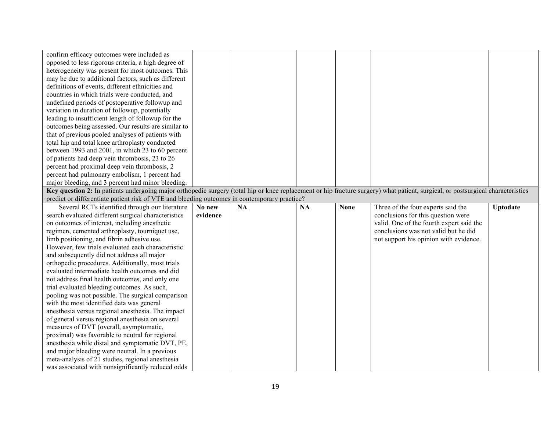| confirm efficacy outcomes were included as                                                                                                                                      |          |           |           |             |                                          |                 |
|---------------------------------------------------------------------------------------------------------------------------------------------------------------------------------|----------|-----------|-----------|-------------|------------------------------------------|-----------------|
| opposed to less rigorous criteria, a high degree of                                                                                                                             |          |           |           |             |                                          |                 |
| heterogeneity was present for most outcomes. This                                                                                                                               |          |           |           |             |                                          |                 |
| may be due to additional factors, such as different                                                                                                                             |          |           |           |             |                                          |                 |
| definitions of events, different ethnicities and                                                                                                                                |          |           |           |             |                                          |                 |
| countries in which trials were conducted, and                                                                                                                                   |          |           |           |             |                                          |                 |
| undefined periods of postoperative followup and                                                                                                                                 |          |           |           |             |                                          |                 |
| variation in duration of followup, potentially                                                                                                                                  |          |           |           |             |                                          |                 |
| leading to insufficient length of followup for the                                                                                                                              |          |           |           |             |                                          |                 |
| outcomes being assessed. Our results are similar to                                                                                                                             |          |           |           |             |                                          |                 |
| that of previous pooled analyses of patients with                                                                                                                               |          |           |           |             |                                          |                 |
| total hip and total knee arthroplasty conducted                                                                                                                                 |          |           |           |             |                                          |                 |
| between 1993 and 2001, in which 23 to 60 percent                                                                                                                                |          |           |           |             |                                          |                 |
| of patients had deep vein thrombosis, 23 to 26                                                                                                                                  |          |           |           |             |                                          |                 |
| percent had proximal deep vein thrombosis, 2                                                                                                                                    |          |           |           |             |                                          |                 |
| percent had pulmonary embolism, 1 percent had                                                                                                                                   |          |           |           |             |                                          |                 |
| major bleeding, and 3 percent had minor bleeding.                                                                                                                               |          |           |           |             |                                          |                 |
| Key question 2: In patients undergoing major orthopedic surgery (total hip or knee replacement or hip fracture surgery) what patient, surgical, or postsurgical characteristics |          |           |           |             |                                          |                 |
| predict or differentiate patient risk of VTE and bleeding outcomes in contemporary practice?                                                                                    |          |           |           |             |                                          |                 |
| Several RCTs identified through our literature                                                                                                                                  | No new   | <b>NA</b> | <b>NA</b> | <b>None</b> | Three of the four experts said the       | <b>Uptodate</b> |
| search evaluated different surgical characteristics                                                                                                                             | evidence |           |           |             | conclusions for this question were       |                 |
| on outcomes of interest, including anesthetic                                                                                                                                   |          |           |           |             | valid. One of the fourth expert said the |                 |
| regimen, cemented arthroplasty, tourniquet use,                                                                                                                                 |          |           |           |             | conclusions was not valid but he did     |                 |
| limb positioning, and fibrin adhesive use.                                                                                                                                      |          |           |           |             | not support his opinion with evidence.   |                 |
| However, few trials evaluated each characteristic                                                                                                                               |          |           |           |             |                                          |                 |
| and subsequently did not address all major                                                                                                                                      |          |           |           |             |                                          |                 |
| orthopedic procedures. Additionally, most trials                                                                                                                                |          |           |           |             |                                          |                 |
| evaluated intermediate health outcomes and did                                                                                                                                  |          |           |           |             |                                          |                 |
| not address final health outcomes, and only one                                                                                                                                 |          |           |           |             |                                          |                 |
| trial evaluated bleeding outcomes. As such,                                                                                                                                     |          |           |           |             |                                          |                 |
| pooling was not possible. The surgical comparison                                                                                                                               |          |           |           |             |                                          |                 |
| with the most identified data was general                                                                                                                                       |          |           |           |             |                                          |                 |
| anesthesia versus regional anesthesia. The impact                                                                                                                               |          |           |           |             |                                          |                 |
| of general versus regional anesthesia on several                                                                                                                                |          |           |           |             |                                          |                 |
| measures of DVT (overall, asymptomatic,                                                                                                                                         |          |           |           |             |                                          |                 |
| proximal) was favorable to neutral for regional                                                                                                                                 |          |           |           |             |                                          |                 |
| anesthesia while distal and symptomatic DVT, PE,                                                                                                                                |          |           |           |             |                                          |                 |
| and major bleeding were neutral. In a previous                                                                                                                                  |          |           |           |             |                                          |                 |
| meta-analysis of 21 studies, regional anesthesia                                                                                                                                |          |           |           |             |                                          |                 |
| was associated with nonsignificantly reduced odds                                                                                                                               |          |           |           |             |                                          |                 |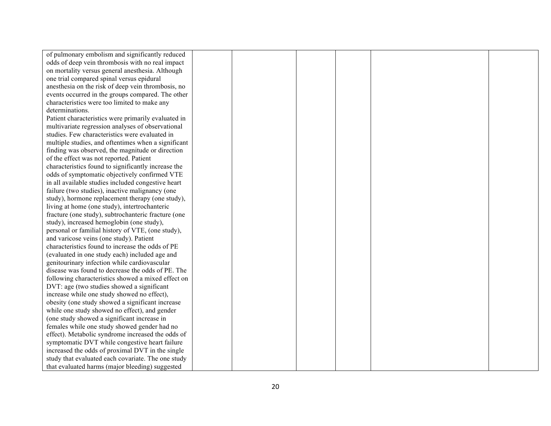| of pulmonary embolism and significantly reduced     |  |  |  |
|-----------------------------------------------------|--|--|--|
| odds of deep vein thrombosis with no real impact    |  |  |  |
| on mortality versus general anesthesia. Although    |  |  |  |
| one trial compared spinal versus epidural           |  |  |  |
| anesthesia on the risk of deep vein thrombosis, no  |  |  |  |
| events occurred in the groups compared. The other   |  |  |  |
| characteristics were too limited to make any        |  |  |  |
| determinations.                                     |  |  |  |
| Patient characteristics were primarily evaluated in |  |  |  |
| multivariate regression analyses of observational   |  |  |  |
| studies. Few characteristics were evaluated in      |  |  |  |
| multiple studies, and oftentimes when a significant |  |  |  |
| finding was observed, the magnitude or direction    |  |  |  |
| of the effect was not reported. Patient             |  |  |  |
| characteristics found to significantly increase the |  |  |  |
| odds of symptomatic objectively confirmed VTE       |  |  |  |
| in all available studies included congestive heart  |  |  |  |
| failure (two studies), inactive malignancy (one     |  |  |  |
| study), hormone replacement therapy (one study),    |  |  |  |
| living at home (one study), intertrochanteric       |  |  |  |
| fracture (one study), subtrochanteric fracture (one |  |  |  |
| study), increased hemoglobin (one study),           |  |  |  |
| personal or familial history of VTE, (one study),   |  |  |  |
| and varicose veins (one study). Patient             |  |  |  |
| characteristics found to increase the odds of PE    |  |  |  |
| (evaluated in one study each) included age and      |  |  |  |
| genitourinary infection while cardiovascular        |  |  |  |
| disease was found to decrease the odds of PE. The   |  |  |  |
| following characteristics showed a mixed effect on  |  |  |  |
| DVT: age (two studies showed a significant          |  |  |  |
| increase while one study showed no effect),         |  |  |  |
| obesity (one study showed a significant increase    |  |  |  |
| while one study showed no effect), and gender       |  |  |  |
| (one study showed a significant increase in         |  |  |  |
| females while one study showed gender had no        |  |  |  |
| effect). Metabolic syndrome increased the odds of   |  |  |  |
| symptomatic DVT while congestive heart failure      |  |  |  |
| increased the odds of proximal DVT in the single    |  |  |  |
| study that evaluated each covariate. The one study  |  |  |  |
| that evaluated harms (major bleeding) suggested     |  |  |  |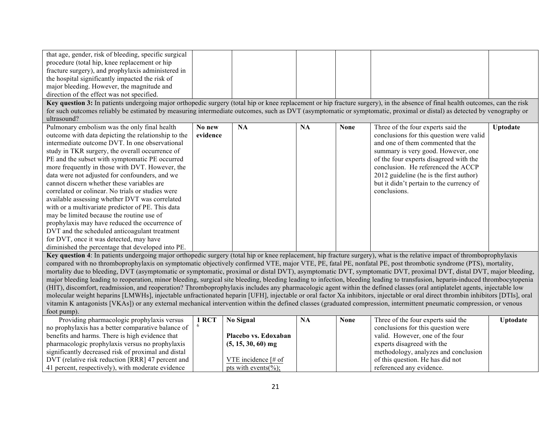| that age, gender, risk of bleeding, specific surgical<br>procedure (total hip, knee replacement or hip<br>fracture surgery), and prophylaxis administered in<br>the hospital significantly impacted the risk of<br>major bleeding. However, the magnitude and<br>direction of the effect was not specified.<br>Key question 3: In patients undergoing major orthopedic surgery (total hip or knee replacement or hip fracture surgery), in the absence of final health outcomes, can the risk<br>for such outcomes reliably be estimated by measuring intermediate outcomes, such as DVT (asymptomatic or symptomatic, proximal or distal) as detected by venography or<br>ultrasound?                                                                                                                                    |                    |           |           |             |                                                                                                                                                                                                                                                                                                                                                   |          |
|---------------------------------------------------------------------------------------------------------------------------------------------------------------------------------------------------------------------------------------------------------------------------------------------------------------------------------------------------------------------------------------------------------------------------------------------------------------------------------------------------------------------------------------------------------------------------------------------------------------------------------------------------------------------------------------------------------------------------------------------------------------------------------------------------------------------------|--------------------|-----------|-----------|-------------|---------------------------------------------------------------------------------------------------------------------------------------------------------------------------------------------------------------------------------------------------------------------------------------------------------------------------------------------------|----------|
| Pulmonary embolism was the only final health<br>outcome with data depicting the relationship to the<br>intermediate outcome DVT. In one observational<br>study in TKR surgery, the overall occurrence of<br>PE and the subset with symptomatic PE occurred<br>more frequently in those with DVT. However, the<br>data were not adjusted for confounders, and we<br>cannot discern whether these variables are<br>correlated or colinear. No trials or studies were<br>available assessing whether DVT was correlated<br>with or a multivariate predictor of PE. This data<br>may be limited because the routine use of<br>prophylaxis may have reduced the occurrence of<br>DVT and the scheduled anticoagulant treatment<br>for DVT, once it was detected, may have<br>diminished the percentage that developed into PE. | No new<br>evidence | <b>NA</b> | <b>NA</b> | <b>None</b> | Three of the four experts said the<br>conclusions for this question were valid<br>and one of them commented that the<br>summary is very good. However, one<br>of the four experts disagreed with the<br>conclusion. He referenced the ACCP<br>2012 guideline (he is the first author)<br>but it didn't pertain to the currency of<br>conclusions. | Uptodate |
| Key question 4: In patients undergoing major orthopedic surgery (total hip or knee replacement, hip fracture surgery), what is the relative impact of thromboprophylaxis<br>compared with no thromboprophylaxis on symptomatic objectively confirmed VTE, major VTE, PE, fatal PE, nonfatal PE, post thrombotic syndrome (PTS), mortality,<br>mortality due to bleeding, DVT (asymptomatic or symptomatic, proximal or distal DVT), asymptomatic DVT, symptomatic DVT, proximal DVT, distal DVT, major bleeding,<br>major bleeding leading to reoperation, minor bleeding, surgical site bleeding, bleeding leading to infection, bleeding leading to transfusion, heparin-induced thrombocytopenia                                                                                                                       |                    |           |           |             |                                                                                                                                                                                                                                                                                                                                                   |          |

(HIT), discomfort, readmission, and reoperation? Thromboprophylaxis includes any pharmacologic agent within the defined classes (oral antiplatelet agents, injectable low molecular weight heparins [LMWHs], injectable unfractionated heparin [UFH], injectable or oral factor Xa inhibitors, injectable or oral direct thrombin inhibitors [DTIs], oral vitamin K antagonists [VKAs]) or any external mechanical intervention within the defined classes (graduated compression, intermittent pneumatic compression, or venous foot pump).

| Providing pharmacologic prophylaxis versus          | 1 RCT | No Signal                                    | NA | <b>None</b> | Three of the four experts said the   | <b>Uptodate</b> |
|-----------------------------------------------------|-------|----------------------------------------------|----|-------------|--------------------------------------|-----------------|
| no prophylaxis has a better comparative balance of  |       |                                              |    |             | conclusions for this question were   |                 |
| benefits and harms. There is high evidence that     |       | Placebo vs. Edoxaban                         |    |             | valid. However, one of the four      |                 |
| pharmacologic prophylaxis versus no prophylaxis     |       | $(5, 15, 30, 60)$ mg                         |    |             | experts disagreed with the           |                 |
| significantly decreased risk of proximal and distal |       |                                              |    |             | methodology, analyzes and conclusion |                 |
| DVT (relative risk reduction [RRR] 47 percent and   |       | VTE incidence $\lceil \# \text{ of } \rceil$ |    |             | of this question. He has did not     |                 |
| 41 percent, respectively), with moderate evidence   |       | pts with events(%);                          |    |             | referenced any evidence.             |                 |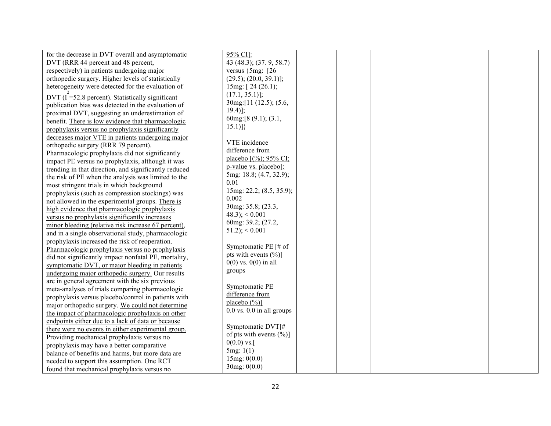| for the decrease in DVT overall and asymptomatic      | 95% CI]:                          |  |
|-------------------------------------------------------|-----------------------------------|--|
|                                                       |                                   |  |
| DVT (RRR 44 percent and 48 percent,                   | 43 (48.3); (37.9, 58.7)           |  |
| respectively) in patients undergoing major            | versus $\{5mg: [26$               |  |
| orthopedic surgery. Higher levels of statistically    | (29.5); (20.0, 39.1)];            |  |
| heterogeneity were detected for the evaluation of     | 15mg: $[24 (26.1);$               |  |
| DVT $(I = 52.8$ percent). Statistically significant   | $(17.1, 35.1)$ ;                  |  |
| publication bias was detected in the evaluation of    | 30mg: [11 (12.5); (5.6,           |  |
| proximal DVT, suggesting an underestimation of        | $19.4$ ];                         |  |
| benefit. There is low evidence that pharmacologic     | 60mg:[8 (9.1); (3.1,              |  |
| prophylaxis versus no prophylaxis significantly       | $15.1)$ }                         |  |
| decreases major VTE in patients undergoing major      |                                   |  |
| orthopedic surgery (RRR 79 percent).                  | VTE incidence                     |  |
| Pharmacologic prophylaxis did not significantly       | difference from                   |  |
| impact PE versus no prophylaxis, although it was      | placebo $[(\%); 95\% \text{ CI};$ |  |
| trending in that direction, and significantly reduced | p-value vs. placebo]:             |  |
| the risk of PE when the analysis was limited to the   | 5mg: 18.8; (4.7, 32.9);           |  |
| most stringent trials in which background             | 0.01                              |  |
| prophylaxis (such as compression stockings) was       | 15mg: 22.2; (8.5, 35.9);          |  |
| not allowed in the experimental groups. There is      | 0.002                             |  |
| high evidence that pharmacologic prophylaxis          | 30mg: 35.8; (23.3,                |  |
| versus no prophylaxis significantly increases         | $(48.3)$ ; $< 0.001$              |  |
| minor bleeding (relative risk increase 67 percent),   | 60mg: 39.2; (27.2,                |  |
| and in a single observational study, pharmacologic    | $51.2$ ; $< 0.001$                |  |
|                                                       |                                   |  |
| prophylaxis increased the risk of reoperation.        | Symptomatic PE [# of              |  |
| Pharmacologic prophylaxis versus no prophylaxis       | pts with events $(\%)$ ]          |  |
| did not significantly impact nonfatal PE, mortality,  | $0(0)$ vs. $0(0)$ in all          |  |
| symptomatic DVT, or major bleeding in patients        | groups                            |  |
| undergoing major orthopedic surgery. Our results      |                                   |  |
| are in general agreement with the six previous        | Symptomatic PE                    |  |
| meta-analyses of trials comparing pharmacologic       | difference from                   |  |
| prophylaxis versus placebo/control in patients with   | placebo $(\frac{6}{0})$ ]         |  |
| major orthopedic surgery. We could not determine      | $0.0$ vs. $0.0$ in all groups     |  |
| the impact of pharmacologic prophylaxis on other      |                                   |  |
| endpoints either due to a lack of data or because     | Symptomatic DVT[#                 |  |
| there were no events in either experimental group.    | of pts with events $(\%)$ ]       |  |
| Providing mechanical prophylaxis versus no            | $0(0.0)$ vs.                      |  |
| prophylaxis may have a better comparative             | 5mg: 1(1)                         |  |
| balance of benefits and harms, but more data are      |                                   |  |
| needed to support this assumption. One RCT            | 15mg: 0(0.0)                      |  |
| found that mechanical prophylaxis versus no           | 30mg: 0(0.0)                      |  |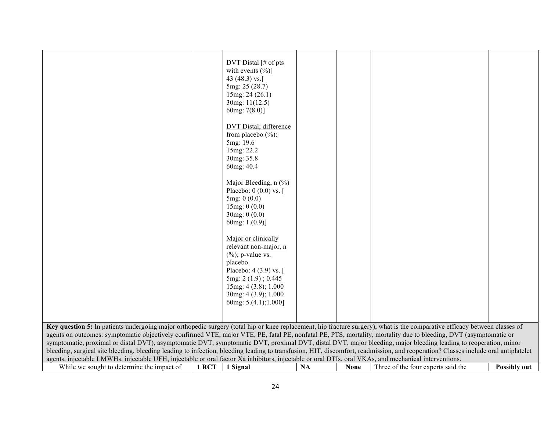|                                                                                                                                                                                                                                                                                                                                                                                                                                                                                                                                                                                                                                                                                                                                                                                                                                                                 |       | DVT Distal $\lceil \# \text{ of } \text{pts} \rceil$<br>with events $(\%)]$<br>43 (48.3) vs.<br>5mg: 25 (28.7)<br>15mg: 24 (26.1)<br>30mg: 11(12.5)<br>60mg: $7(8.0)$ ]<br>DVT Distal; difference<br>from placebo $(\% )$ :<br>5mg: 19.6<br>15mg: 22.2<br>30mg: 35.8<br>60mg: 40.4<br>Major Bleeding, $n$ (%)<br>Placebo: $0(0.0)$ vs.<br>5mg: 0(0.0)<br>15mg: 0(0.0)<br>30mg: 0(0.0)<br>60mg: $1.(0.9)$ ]<br>Major or clinically<br>relevant non-major, n<br>$(\frac{6}{6})$ ; p-value vs.<br>placebo<br>Placebo: 4 (3.9) vs. [<br>5mg: 2 (1.9); 0.445<br>15mg: 4 (3.8); 1.000<br>30mg: 4 (3.9); 1.000<br>60mg: 5.(4.1);1.000] |           |             |                                    |                     |
|-----------------------------------------------------------------------------------------------------------------------------------------------------------------------------------------------------------------------------------------------------------------------------------------------------------------------------------------------------------------------------------------------------------------------------------------------------------------------------------------------------------------------------------------------------------------------------------------------------------------------------------------------------------------------------------------------------------------------------------------------------------------------------------------------------------------------------------------------------------------|-------|---------------------------------------------------------------------------------------------------------------------------------------------------------------------------------------------------------------------------------------------------------------------------------------------------------------------------------------------------------------------------------------------------------------------------------------------------------------------------------------------------------------------------------------------------------------------------------------------------------------------------------|-----------|-------------|------------------------------------|---------------------|
|                                                                                                                                                                                                                                                                                                                                                                                                                                                                                                                                                                                                                                                                                                                                                                                                                                                                 |       |                                                                                                                                                                                                                                                                                                                                                                                                                                                                                                                                                                                                                                 |           |             |                                    |                     |
| Key question 5: In patients undergoing major orthopedic surgery (total hip or knee replacement, hip fracture surgery), what is the comparative efficacy between classes of<br>agents on outcomes: symptomatic objectively confirmed VTE, major VTE, PE, fatal PE, nonfatal PE, PTS, mortality, mortality due to bleeding, DVT (asymptomatic or<br>symptomatic, proximal or distal DVT), asymptomatic DVT, symptomatic DVT, proximal DVT, distal DVT, major bleeding, major bleeding leading to reoperation, minor<br>bleeding, surgical site bleeding, bleeding leading to infection, bleeding leading to transfusion, HIT, discomfort, readmission, and reoperation? Classes include oral antiplatelet<br>agents, injectable LMWHs, injectable UFH, injectable or oral factor Xa inhibitors, injectable or oral DTIs, oral VKAs, and mechanical interventions. |       |                                                                                                                                                                                                                                                                                                                                                                                                                                                                                                                                                                                                                                 |           |             |                                    |                     |
| While we sought to determine the impact of                                                                                                                                                                                                                                                                                                                                                                                                                                                                                                                                                                                                                                                                                                                                                                                                                      | 1 RCT | 1 Signal                                                                                                                                                                                                                                                                                                                                                                                                                                                                                                                                                                                                                        | <b>NA</b> | <b>None</b> | Three of the four experts said the | <b>Possibly out</b> |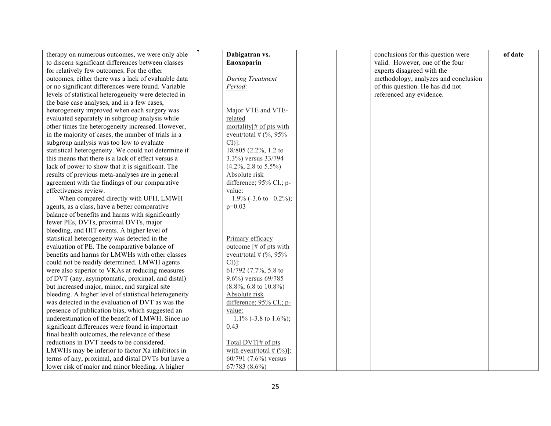| therapy on numerous outcomes, we were only able       | Dabigatran vs.                                          | conclusions for this question were   | of date |
|-------------------------------------------------------|---------------------------------------------------------|--------------------------------------|---------|
| to discern significant differences between classes    | Enoxaparin                                              | valid. However, one of the four      |         |
| for relatively few outcomes. For the other            |                                                         | experts disagreed with the           |         |
| outcomes, either there was a lack of evaluable data   | During Treatment                                        | methodology, analyzes and conclusion |         |
| or no significant differences were found. Variable    | Period:                                                 | of this question. He has did not     |         |
| levels of statistical heterogeneity were detected in  |                                                         | referenced any evidence.             |         |
| the base case analyses, and in a few cases,           |                                                         |                                      |         |
| heterogeneity improved when each surgery was          | Major VTE and VTE-                                      |                                      |         |
| evaluated separately in subgroup analysis while       | related                                                 |                                      |         |
| other times the heterogeneity increased. However,     | mortality $\sharp$ of pts with                          |                                      |         |
| in the majority of cases, the number of trials in a   | event/total # $(\%$ , 95%                               |                                      |         |
| subgroup analysis was too low to evaluate             | $CI$ ]:                                                 |                                      |         |
| statistical heterogeneity. We could not determine if  | 18/805 (2.2%, 1.2 to                                    |                                      |         |
| this means that there is a lack of effect versus a    | 3.3%) versus 33/794                                     |                                      |         |
| lack of power to show that it is significant. The     | $(4.2\%, 2.8 \text{ to } 5.5\%)$                        |                                      |         |
| results of previous meta-analyses are in general      | Absolute risk                                           |                                      |         |
| agreement with the findings of our comparative        | difference; 95% CI.; p-                                 |                                      |         |
| effectiveness review.                                 | value:                                                  |                                      |         |
| When compared directly with UFH, LMWH                 | $-1.9\%$ (-3.6 to $-0.2\%$ );                           |                                      |         |
| agents, as a class, have a better comparative         | $p=0.03$                                                |                                      |         |
| balance of benefits and harms with significantly      |                                                         |                                      |         |
| fewer PEs, DVTs, proximal DVTs, major                 |                                                         |                                      |         |
| bleeding, and HIT events. A higher level of           |                                                         |                                      |         |
| statistical heterogeneity was detected in the         | Primary efficacy                                        |                                      |         |
| evaluation of PE. The comparative balance of          | outcome $\lceil \# \text{ of } p \text{ts with} \rceil$ |                                      |         |
| benefits and harms for LMWHs with other classes       | event/total # $(\%$ , 95%                               |                                      |         |
| could not be readily determined. LMWH agents          | $CI$ ]:                                                 |                                      |         |
| were also superior to VKAs at reducing measures       | 61/792 (7.7%, 5.8 to                                    |                                      |         |
| of DVT (any, asymptomatic, proximal, and distal)      | 9.6%) versus 69/785                                     |                                      |         |
| but increased major, minor, and surgical site         | $(8.8\%, 6.8 \text{ to } 10.8\%)$                       |                                      |         |
| bleeding. A higher level of statistical heterogeneity | Absolute risk                                           |                                      |         |
| was detected in the evaluation of DVT as was the      | difference; 95% CI.; p-                                 |                                      |         |
| presence of publication bias, which suggested an      | value:                                                  |                                      |         |
| underestimation of the benefit of LMWH. Since no      | $-1.1\%$ (-3.8 to 1.6%);                                |                                      |         |
| significant differences were found in important       | 0.43                                                    |                                      |         |
| final health outcomes, the relevance of these         |                                                         |                                      |         |
| reductions in DVT needs to be considered.             | Total DVT[# of pts                                      |                                      |         |
| LMWHs may be inferior to factor Xa inhibitors in      | with event/total $# (\frac{9}{6})$ :                    |                                      |         |
| terms of any, proximal, and distal DVTs but have a    | 60/791 (7.6%) versus                                    |                                      |         |
| lower risk of major and minor bleeding. A higher      | $67/783(8.6\%)$                                         |                                      |         |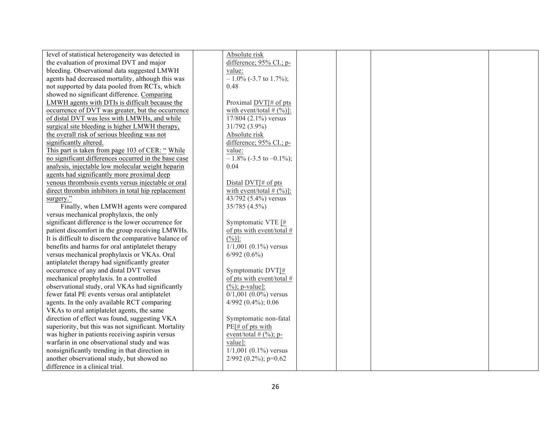| level of statistical heterogeneity was detected in    | Absolute risk                         |  |  |
|-------------------------------------------------------|---------------------------------------|--|--|
| the evaluation of proximal DVT and major              | difference; 95% CI.; p-               |  |  |
| bleeding. Observational data suggested LMWH           | value:                                |  |  |
| agents had decreased mortality, although this was     | $-1.0\%$ (-3.7 to 1.7%);              |  |  |
| not supported by data pooled from RCTs, which         | 0.48                                  |  |  |
| showed no significant difference. Comparing           |                                       |  |  |
| LMWH agents with DTIs is difficult because the        | Proximal DVT[# of pts                 |  |  |
| occurrence of DVT was greater, but the occurrence     | with event/total $# (\frac{9}{6})$ ]: |  |  |
| of distal DVT was less with LMWHs, and while          | 17/804 (2.1%) versus                  |  |  |
| surgical site bleeding is higher LMWH therapy,        | 31/792 (3.9%)                         |  |  |
| the overall risk of serious bleeding was not          | Absolute risk                         |  |  |
| significantly altered.                                | difference; 95% CI.; p-               |  |  |
| This part is taken from page 103 of CER: "While       | value:                                |  |  |
| no significant differences occurred in the base case  | $-1.8\%$ (-3.5 to -0.1%);             |  |  |
| analysis, injectable low molecular weight heparin     | 0.04                                  |  |  |
| agents had significantly more proximal deep           |                                       |  |  |
| venous thrombosis events versus injectable or oral    | Distal DVT[# of pts                   |  |  |
| direct thrombin inhibitors in total hip replacement   | with event/total $# (\frac{9}{6})$ :  |  |  |
| surgery."                                             | 43/792 (5.4%) versus                  |  |  |
| Finally, when LMWH agents were compared               | 35/785 (4.5%)                         |  |  |
| versus mechanical prophylaxis, the only               |                                       |  |  |
| significant difference is the lower occurrence for    | Symptomatic VTE [#                    |  |  |
| patient discomfort in the group receiving LMWHs.      | of pts with event/total #             |  |  |
| It is difficult to discern the comparative balance of | $(\frac{9}{6})$ :                     |  |  |
| benefits and harms for oral antiplatelet therapy      | $1/1,001$ (0.1%) versus               |  |  |
| versus mechanical prophylaxis or VKAs. Oral           | $6/992(0.6\%)$                        |  |  |
| antiplatelet therapy had significantly greater        |                                       |  |  |
| occurrence of any and distal DVT versus               | Symptomatic DVT[#                     |  |  |
| mechanical prophylaxis. In a controlled               | of pts with event/total #             |  |  |
| observational study, oral VKAs had significantly      | $(\frac{9}{6})$ ; p-value]:           |  |  |
| fewer fatal PE events versus oral antiplatelet        | $0/1,001$ $(0.0\%)$ versus            |  |  |
| agents. In the only available RCT comparing           | 4/992 (0.4%); 0.06                    |  |  |
| VKAs to oral antiplatelet agents, the same            |                                       |  |  |
| direction of effect was found, suggesting VKA         | Symptomatic non-fatal                 |  |  |
| superiority, but this was not significant. Mortality  | PE[# of pts with                      |  |  |
| was higher in patients receiving aspirin versus       | event/total $#$ (%); p-               |  |  |
| warfarin in one observational study and was           | value]:                               |  |  |
| nonsignificantly trending in that direction in        | $1/1,001$ $(0.1\%)$ versus            |  |  |
| another observational study, but showed no            | 2/992 (0.2%); p=0.62                  |  |  |
| difference in a clinical trial.                       |                                       |  |  |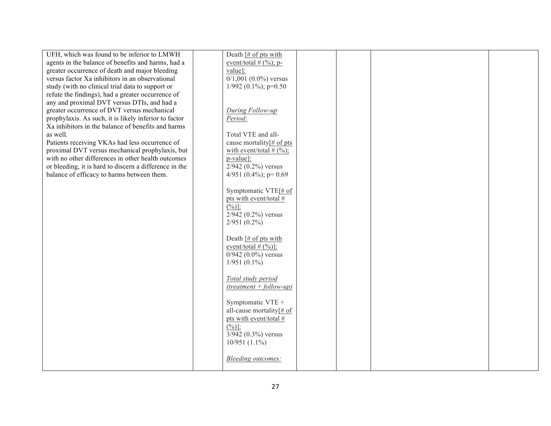| UFH, which was found to be inferior to LMWH            | Death $\lceil \# \text{ of } \text{pts with} \rceil$ |  |
|--------------------------------------------------------|------------------------------------------------------|--|
| agents in the balance of benefits and harms, had a     | event/total $#$ (%); p-                              |  |
| greater occurrence of death and major bleeding         | value]:                                              |  |
| versus factor Xa inhibitors in an observational        | $0/1,001$ $(0.0\%)$ versus                           |  |
| study (with no clinical trial data to support or       | $1/992$ (0.1%); p=0.50                               |  |
| refute the findings), had a greater occurrence of      |                                                      |  |
| any and proximal DVT versus DTIs, and had a            |                                                      |  |
| greater occurrence of DVT versus mechanical            | During Follow-up                                     |  |
| prophylaxis. As such, it is likely inferior to factor  | Period:                                              |  |
| Xa inhibitors in the balance of benefits and harms     |                                                      |  |
| as well.                                               | Total VTE and all-                                   |  |
| Patients receiving VKAs had less occurrence of         | cause mortality[# of pts                             |  |
| proximal DVT versus mechanical prophylaxis, but        | with event/total # $(\%)$ ;                          |  |
| with no other differences in other health outcomes     | p-value]:                                            |  |
| or bleeding, it is hard to discern a difference in the | $2/942$ (0.2%) versus                                |  |
| balance of efficacy to harms between them.             | 4/951 (0.4%); $p=0.69$                               |  |
|                                                        |                                                      |  |
|                                                        | Symptomatic VTE[# of                                 |  |
|                                                        | pts with event/total #                               |  |
|                                                        | $(\frac{0}{0})$ :                                    |  |
|                                                        | $2/942$ (0.2%) versus                                |  |
|                                                        | $2/951(0.2\%)$                                       |  |
|                                                        |                                                      |  |
|                                                        | Death $H$ of pts with                                |  |
|                                                        | event/total $# (\frac{0}{0})$ :                      |  |
|                                                        | $0/942$ $(0.0\%)$ versus                             |  |
|                                                        | $1/951(0.1\%)$                                       |  |
|                                                        |                                                      |  |
|                                                        | Total study period                                   |  |
|                                                        | $(treatment + follow-up)$                            |  |
|                                                        |                                                      |  |
|                                                        | Symptomatic VTE +                                    |  |
|                                                        | all-cause mortality[# of                             |  |
|                                                        | pts with event/total #                               |  |
|                                                        | $(\frac{0}{0})$ :                                    |  |
|                                                        | $3/942$ (0.3%) versus                                |  |
|                                                        | $10/951(1.1\%)$                                      |  |
|                                                        |                                                      |  |
|                                                        | Bleeding outcomes:                                   |  |
|                                                        |                                                      |  |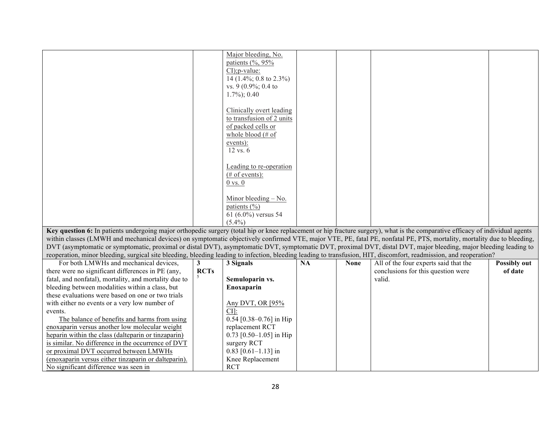|                                                                                                                                                                                | Major bleeding, No.                 |  |
|--------------------------------------------------------------------------------------------------------------------------------------------------------------------------------|-------------------------------------|--|
|                                                                                                                                                                                | patients $(\%$ , 95 $\%$            |  |
|                                                                                                                                                                                | $CI$ ; p-value:                     |  |
|                                                                                                                                                                                | 14 $(1.4\%; 0.8 \text{ to } 2.3\%)$ |  |
|                                                                                                                                                                                | vs. 9 $(0.9\%; 0.4$ to              |  |
|                                                                                                                                                                                |                                     |  |
|                                                                                                                                                                                | $1.7\%$ ; 0.40                      |  |
|                                                                                                                                                                                |                                     |  |
|                                                                                                                                                                                | Clinically overt leading            |  |
|                                                                                                                                                                                | to transfusion of 2 units           |  |
|                                                                                                                                                                                | of packed cells or                  |  |
|                                                                                                                                                                                | whole blood $(\# \text{ of }$       |  |
|                                                                                                                                                                                |                                     |  |
|                                                                                                                                                                                | events):                            |  |
|                                                                                                                                                                                | $12$ vs. $6$                        |  |
|                                                                                                                                                                                |                                     |  |
|                                                                                                                                                                                | Leading to re-operation             |  |
|                                                                                                                                                                                | $#$ of events):                     |  |
|                                                                                                                                                                                | $0$ vs. $0$                         |  |
|                                                                                                                                                                                |                                     |  |
|                                                                                                                                                                                | Minor bleeding - No.                |  |
|                                                                                                                                                                                |                                     |  |
|                                                                                                                                                                                | patients $(\% )$                    |  |
|                                                                                                                                                                                | 61 (6.0%) versus 54                 |  |
|                                                                                                                                                                                | $(5.4\%)$                           |  |
| Key question 6: In patients undergoing major orthopedic surgery (total hip or knee replacement or hip fracture surgery), what is the comparative efficacy of individual agents |                                     |  |
| within classes (LMWH and mechanical devices) on symptomatic objectively confirmed VTE, major VTE, PE, fatal PE, nonfatal PE, PTS, mortality, mortality due to bleeding,        |                                     |  |
|                                                                                                                                                                                |                                     |  |

DVT (asymptomatic or symptomatic, proximal or distal DVT), asymptomatic DVT, symptomatic DVT, proximal DVT, distal DVT, major bleeding, major bleeding leading to reoperation, minor bleeding, surgical site bleeding, bleeding leading to infection, bleeding leading to transfusion, HIT, discomfort, readmission, and reoperation?

| For both LMWHs and mechanical devices,                |             | 3 Signals                 | <b>NA</b> | <b>None</b> | All of the four experts said that the | <b>Possibly out</b> |
|-------------------------------------------------------|-------------|---------------------------|-----------|-------------|---------------------------------------|---------------------|
| there were no significant differences in PE (any,     | <b>RCTs</b> |                           |           |             | conclusions for this question were    | of date             |
| fatal, and nonfatal), mortality, and mortality due to |             | Semuloparin vs.           |           |             | valid.                                |                     |
| bleeding between modalities within a class, but       |             | Enoxaparin                |           |             |                                       |                     |
| these evaluations were based on one or two trials     |             |                           |           |             |                                       |                     |
| with either no events or a very low number of         |             | Any DVT, OR [95%]         |           |             |                                       |                     |
| events.                                               |             | $CI$ :                    |           |             |                                       |                     |
| The balance of benefits and harms from using          |             | $0.54$ [0.38–0.76] in Hip |           |             |                                       |                     |
| enoxaparin versus another low molecular weight        |             | replacement RCT           |           |             |                                       |                     |
| heparin within the class (dalteparin or tinzaparin)   |             | $0.73$ [0.50–1.05] in Hip |           |             |                                       |                     |
| is similar. No difference in the occurrence of DVT    |             | surgery RCT               |           |             |                                       |                     |
| or proximal DVT occurred between LMWHs                |             | $0.83$ [0.61–1.13] in     |           |             |                                       |                     |
| (enoxaparin versus either tinzaparin or dalteparin).  |             | Knee Replacement          |           |             |                                       |                     |
| No significant difference was seen in                 |             | <b>RCT</b>                |           |             |                                       |                     |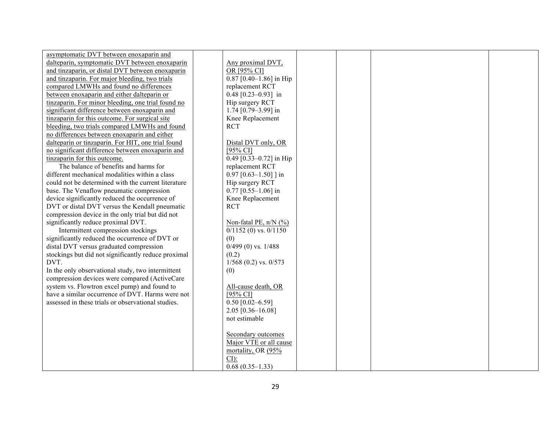| asymptomatic DVT between enoxaparin and             |                           |  |  |
|-----------------------------------------------------|---------------------------|--|--|
| dalteparin, symptomatic DVT between enoxaparin      | Any proximal DVT,         |  |  |
| and tinzaparin, or distal DVT between enoxaparin    | OR [95% CI]               |  |  |
| and tinzaparin. For major bleeding, two trials      | $0.87$ [0.40-1.86] in Hip |  |  |
| compared LMWHs and found no differences             | replacement RCT           |  |  |
| between enoxaparin and either dalteparin or         | $0.48$ [0.23-0.93] in     |  |  |
| tinzaparin. For minor bleeding, one trial found no  | Hip surgery RCT           |  |  |
| significant difference between enoxaparin and       | 1.74 $[0.79 - 3.99]$ in   |  |  |
| tinzaparin for this outcome. For surgical site      | Knee Replacement          |  |  |
| bleeding, two trials compared LMWHs and found       | <b>RCT</b>                |  |  |
| no differences between enoxaparin and either        |                           |  |  |
| dalteparin or tinzaparin. For HIT, one trial found  | Distal DVT only, OR       |  |  |
| no significant difference between enoxaparin and    | $[95\%$ CI]               |  |  |
| tinzaparin for this outcome.                        | $0.49$ [0.33-0.72] in Hip |  |  |
| The balance of benefits and harms for               | replacement RCT           |  |  |
| different mechanical modalities within a class      | $0.97$ [0.63-1.50] ] in   |  |  |
| could not be determined with the current literature | Hip surgery RCT           |  |  |
| base. The Venaflow pneumatic compression            | $0.77$ [0.55-1.06] in     |  |  |
| device significantly reduced the occurrence of      | Knee Replacement          |  |  |
| DVT or distal DVT versus the Kendall pneumatic      | <b>RCT</b>                |  |  |
| compression device in the only trial but did not    |                           |  |  |
| significantly reduce proximal DVT.                  | Non-fatal PE, $n/N$ (%)   |  |  |
| Intermittent compression stockings                  | $0/1152$ (0) vs. $0/1150$ |  |  |
| significantly reduced the occurrence of DVT or      | (0)                       |  |  |
| distal DVT versus graduated compression             | $0/499(0)$ vs. $1/488$    |  |  |
| stockings but did not significantly reduce proximal | (0.2)                     |  |  |
| DVT.                                                | $1/568$ (0.2) vs. 0/573   |  |  |
| In the only observational study, two intermittent   | (0)                       |  |  |
| compression devices were compared (ActiveCare       |                           |  |  |
| system vs. Flowtron excel pump) and found to        | All-cause death, OR       |  |  |
| have a similar occurrence of DVT. Harms were not    | $[95\% \text{ CI}]$       |  |  |
| assessed in these trials or observational studies.  | $0.50$ [0.02-6.59]        |  |  |
|                                                     | 2.05 [0.36-16.08]         |  |  |
|                                                     | not estimable             |  |  |
|                                                     |                           |  |  |
|                                                     | Secondary outcomes        |  |  |
|                                                     | Major VTE or all cause    |  |  |
|                                                     | mortality, OR (95%        |  |  |
|                                                     | $CI$ :                    |  |  |
|                                                     | $0.68(0.35-1.33)$         |  |  |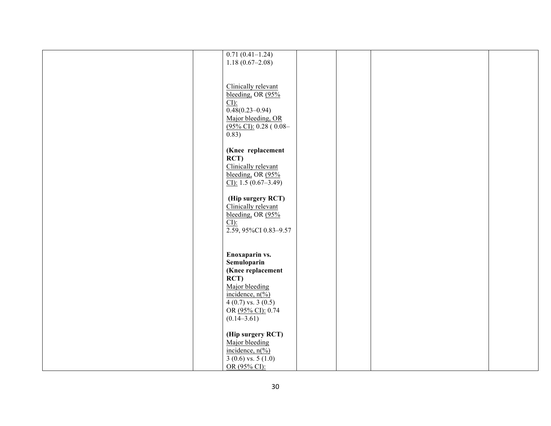| $0.71(0.41-1.24)$<br>$1.18(0.67-2.08)$             |
|----------------------------------------------------|
|                                                    |
| Clinically relevant                                |
| bleeding, OR (95%<br>$CI$ :                        |
| $\overline{0.48(0.23-0.94)}$<br>Major bleeding, OR |
| $(95\%$ CI): 0.28 (0.08-<br>0.83)                  |
| (Knee replacement                                  |
| RCT)                                               |
| Clinically relevant<br>bleeding, OR $(95\%$        |
| CI: $1.5(0.67-3.49)$                               |
| (Hip surgery RCT)<br>Clinically relevant           |
| bleeding, OR $(95\%$<br>$CI$ ):                    |
| 2.59, 95%CI 0.83-9.57                              |
|                                                    |
| Enoxaparin vs.<br>Semuloparin                      |
| (Knee replacement<br>RCT)                          |
| Major bleeding<br>incidence, $n\sqrt[6]{0}$        |
| $4(0.7)$ vs. 3 $(0.5)$                             |
| OR (95% CI): 0.74<br>$(0.14 - 3.61)$               |
| (Hip surgery RCT)                                  |
| Major bleeding<br>incidence, $n\frac{\%}{\%}$      |
| $3(0.6)$ vs. $5(1.0)$                              |
| OR (95% CI):                                       |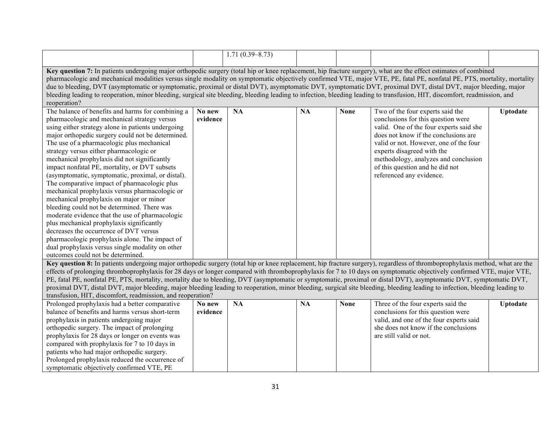|                                                                                                                                                                                     |          | $1.71(0.39 - 8.73)$ |           |             |                                         |                 |  |
|-------------------------------------------------------------------------------------------------------------------------------------------------------------------------------------|----------|---------------------|-----------|-------------|-----------------------------------------|-----------------|--|
|                                                                                                                                                                                     |          |                     |           |             |                                         |                 |  |
| Key question 7: In patients undergoing major orthopedic surgery (total hip or knee replacement, hip fracture surgery), what are the effect estimates of combined                    |          |                     |           |             |                                         |                 |  |
| pharmacologic and mechanical modalities versus single modality on symptomatic objectively confirmed VTE, major VTE, PE, fatal PE, nonfatal PE, PTS, mortality, mortality, mortality |          |                     |           |             |                                         |                 |  |
| due to bleeding, DVT (asymptomatic or symptomatic, proximal or distal DVT), asymptomatic DVT, symptomatic DVT, proximal DVT, distal DVT, major bleeding, major                      |          |                     |           |             |                                         |                 |  |
| bleeding leading to reoperation, minor bleeding, surgical site bleeding, bleeding leading to infection, bleeding leading to transfusion, HIT, discomfort, readmission, and          |          |                     |           |             |                                         |                 |  |
| reoperation?                                                                                                                                                                        |          |                     |           |             |                                         |                 |  |
| The balance of benefits and harms for combining a                                                                                                                                   | No new   | <b>NA</b>           | <b>NA</b> | <b>None</b> | Two of the four experts said the        | <b>Uptodate</b> |  |
| pharmacologic and mechanical strategy versus                                                                                                                                        | evidence |                     |           |             | conclusions for this question were      |                 |  |
| using either strategy alone in patients undergoing                                                                                                                                  |          |                     |           |             | valid. One of the four experts said she |                 |  |
| major orthopedic surgery could not be determined.                                                                                                                                   |          |                     |           |             | does not know if the conclusions are    |                 |  |
| The use of a pharmacologic plus mechanical                                                                                                                                          |          |                     |           |             | valid or not. However, one of the four  |                 |  |
| strategy versus either pharmacologic or                                                                                                                                             |          |                     |           |             | experts disagreed with the              |                 |  |
| mechanical prophylaxis did not significantly                                                                                                                                        |          |                     |           |             | methodology, analyzes and conclusion    |                 |  |
| impact nonfatal PE, mortality, or DVT subsets                                                                                                                                       |          |                     |           |             | of this question and he did not         |                 |  |
| (asymptomatic, symptomatic, proximal, or distal).                                                                                                                                   |          |                     |           |             | referenced any evidence.                |                 |  |
| The comparative impact of pharmacologic plus                                                                                                                                        |          |                     |           |             |                                         |                 |  |
| mechanical prophylaxis versus pharmacologic or                                                                                                                                      |          |                     |           |             |                                         |                 |  |
| mechanical prophylaxis on major or minor                                                                                                                                            |          |                     |           |             |                                         |                 |  |
| bleeding could not be determined. There was                                                                                                                                         |          |                     |           |             |                                         |                 |  |
| moderate evidence that the use of pharmacologic                                                                                                                                     |          |                     |           |             |                                         |                 |  |
| plus mechanical prophylaxis significantly                                                                                                                                           |          |                     |           |             |                                         |                 |  |
| decreases the occurrence of DVT versus                                                                                                                                              |          |                     |           |             |                                         |                 |  |
| pharmacologic prophylaxis alone. The impact of                                                                                                                                      |          |                     |           |             |                                         |                 |  |
| dual prophylaxis versus single modality on other                                                                                                                                    |          |                     |           |             |                                         |                 |  |
| outcomes could not be determined.                                                                                                                                                   |          |                     |           |             |                                         |                 |  |
| Key question 8: In patients undergoing major orthopedic surgery (total hip or knee replacement, hip fracture surgery), regardless of thromboprophylaxis method, what are the        |          |                     |           |             |                                         |                 |  |
| effects of prolonging thromboprophylaxis for 28 days or longer compared with thromboprophylaxis for 7 to 10 days on symptomatic objectively confirmed VTE, major VTE,               |          |                     |           |             |                                         |                 |  |
| PE, fatal PE, nonfatal PE, PTS, mortality, mortality due to bleeding, DVT (asymptomatic or symptomatic, proximal or distal DVT), asymptomatic DVT, symptomatic DVT,                 |          |                     |           |             |                                         |                 |  |
| proximal DVT, distal DVT, major bleeding, major bleeding leading to reoperation, minor bleeding, surgical site bleeding, bleeding leading to infection, bleeding leading to         |          |                     |           |             |                                         |                 |  |
| transfusion, HIT, discomfort, readmission, and reoperation?                                                                                                                         |          |                     |           |             |                                         |                 |  |
| Prolonged prophylaxis had a better comparative                                                                                                                                      | No new   | $\overline{NA}$     | <b>NA</b> | <b>None</b> | Three of the four experts said the      | <b>Uptodate</b> |  |
| balance of benefits and harms versus short-term                                                                                                                                     | evidence |                     |           |             | conclusions for this question were      |                 |  |
| prophylaxis in patients undergoing major                                                                                                                                            |          |                     |           |             | valid, and one of the four experts said |                 |  |
| orthopedic surgery. The impact of prolonging                                                                                                                                        |          |                     |           |             | she does not know if the conclusions    |                 |  |
| prophylaxis for 28 days or longer on events was                                                                                                                                     |          |                     |           |             | are still valid or not.                 |                 |  |
| compared with prophylaxis for 7 to 10 days in                                                                                                                                       |          |                     |           |             |                                         |                 |  |
| patients who had major orthopedic surgery.                                                                                                                                          |          |                     |           |             |                                         |                 |  |
| Prolonged prophylaxis reduced the occurrence of                                                                                                                                     |          |                     |           |             |                                         |                 |  |
| symptomatic objectively confirmed VTE, PE                                                                                                                                           |          |                     |           |             |                                         |                 |  |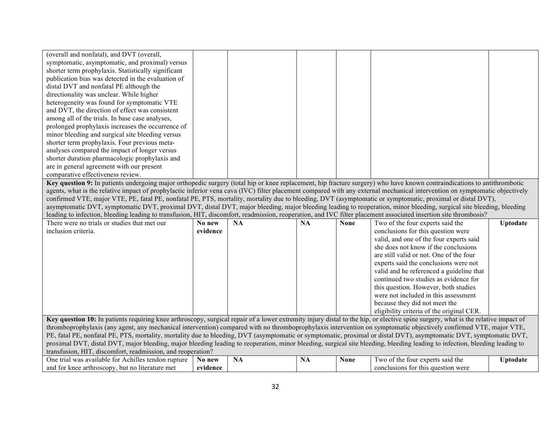| (overall and nonfatal), and DVT (overall,                                                                                                                                                                                                                                                                                                              |                    |           |           |             |                                                                        |                 |  |  |
|--------------------------------------------------------------------------------------------------------------------------------------------------------------------------------------------------------------------------------------------------------------------------------------------------------------------------------------------------------|--------------------|-----------|-----------|-------------|------------------------------------------------------------------------|-----------------|--|--|
| symptomatic, asymptomatic, and proximal) versus                                                                                                                                                                                                                                                                                                        |                    |           |           |             |                                                                        |                 |  |  |
| shorter term prophylaxis. Statistically significant                                                                                                                                                                                                                                                                                                    |                    |           |           |             |                                                                        |                 |  |  |
| publication bias was detected in the evaluation of                                                                                                                                                                                                                                                                                                     |                    |           |           |             |                                                                        |                 |  |  |
| distal DVT and nonfatal PE although the                                                                                                                                                                                                                                                                                                                |                    |           |           |             |                                                                        |                 |  |  |
| directionality was unclear. While higher                                                                                                                                                                                                                                                                                                               |                    |           |           |             |                                                                        |                 |  |  |
| heterogeneity was found for symptomatic VTE                                                                                                                                                                                                                                                                                                            |                    |           |           |             |                                                                        |                 |  |  |
| and DVT, the direction of effect was consistent                                                                                                                                                                                                                                                                                                        |                    |           |           |             |                                                                        |                 |  |  |
| among all of the trials. In base case analyses,                                                                                                                                                                                                                                                                                                        |                    |           |           |             |                                                                        |                 |  |  |
| prolonged prophylaxis increases the occurrence of                                                                                                                                                                                                                                                                                                      |                    |           |           |             |                                                                        |                 |  |  |
| minor bleeding and surgical site bleeding versus                                                                                                                                                                                                                                                                                                       |                    |           |           |             |                                                                        |                 |  |  |
| shorter term prophylaxis. Four previous meta-                                                                                                                                                                                                                                                                                                          |                    |           |           |             |                                                                        |                 |  |  |
| analyses compared the impact of longer versus                                                                                                                                                                                                                                                                                                          |                    |           |           |             |                                                                        |                 |  |  |
| shorter duration pharmacologic prophylaxis and                                                                                                                                                                                                                                                                                                         |                    |           |           |             |                                                                        |                 |  |  |
| are in general agreement with our present                                                                                                                                                                                                                                                                                                              |                    |           |           |             |                                                                        |                 |  |  |
| comparative effectiveness review.                                                                                                                                                                                                                                                                                                                      |                    |           |           |             |                                                                        |                 |  |  |
| Key question 9: In patients undergoing major orthopedic surgery (total hip or knee replacement, hip fracture surgery) who have known contraindications to antithrombotic                                                                                                                                                                               |                    |           |           |             |                                                                        |                 |  |  |
| agents, what is the relative impact of prophylactic inferior vena cava (IVC) filter placement compared with any external mechanical intervention on symptomatic objectively                                                                                                                                                                            |                    |           |           |             |                                                                        |                 |  |  |
| confirmed VTE, major VTE, PE, fatal PE, nonfatal PE, PTS, mortality, mortality due to bleeding, DVT (asymptomatic or symptomatic, proximal or distal DVT),                                                                                                                                                                                             |                    |           |           |             |                                                                        |                 |  |  |
| asymptomatic DVT, symptomatic DVT, proximal DVT, distal DVT, major bleeding, major bleeding leading to reoperation, minor bleeding, surgical site bleeding, bleeding                                                                                                                                                                                   |                    |           |           |             |                                                                        |                 |  |  |
| leading to infection, bleeding leading to transfusion, HIT, discomfort, readmission, reoperation, and IVC filter placement associated insertion site thrombosis?                                                                                                                                                                                       |                    |           |           |             |                                                                        |                 |  |  |
| There were no trials or studies that met our                                                                                                                                                                                                                                                                                                           | No new             | <b>NA</b> | <b>NA</b> | <b>None</b> | Two of the four experts said the                                       | <b>Uptodate</b> |  |  |
| inclusion criteria.                                                                                                                                                                                                                                                                                                                                    | evidence           |           |           |             | conclusions for this question were                                     |                 |  |  |
|                                                                                                                                                                                                                                                                                                                                                        |                    |           |           |             | valid, and one of the four experts said                                |                 |  |  |
|                                                                                                                                                                                                                                                                                                                                                        |                    |           |           |             | she does not know if the conclusions                                   |                 |  |  |
|                                                                                                                                                                                                                                                                                                                                                        |                    |           |           |             | are still valid or not. One of the four                                |                 |  |  |
|                                                                                                                                                                                                                                                                                                                                                        |                    |           |           |             | experts said the conclusions were not                                  |                 |  |  |
|                                                                                                                                                                                                                                                                                                                                                        |                    |           |           |             | valid and he referenced a guideline that                               |                 |  |  |
|                                                                                                                                                                                                                                                                                                                                                        |                    |           |           |             | continued two studies as evidence for                                  |                 |  |  |
|                                                                                                                                                                                                                                                                                                                                                        |                    |           |           |             | this question. However, both studies                                   |                 |  |  |
|                                                                                                                                                                                                                                                                                                                                                        |                    |           |           |             | were not included in this assessment                                   |                 |  |  |
|                                                                                                                                                                                                                                                                                                                                                        |                    |           |           |             | because they did not meet the                                          |                 |  |  |
|                                                                                                                                                                                                                                                                                                                                                        |                    |           |           |             | eligibility criteria of the original CER.                              |                 |  |  |
|                                                                                                                                                                                                                                                                                                                                                        |                    |           |           |             |                                                                        |                 |  |  |
| Key question 10: In patients requiring knee arthroscopy, surgical repair of a lower extremity injury distal to the hip, or elective spine surgery, what is the relative impact of<br>thromboprophylaxis (any agent, any mechanical intervention) compared with no thromboprophylaxis intervention on symptomatic objectively confirmed VTE, major VTE, |                    |           |           |             |                                                                        |                 |  |  |
| PE, fatal PE, nonfatal PE, PTS, mortality, mortality due to bleeding, DVT (asymptomatic or symptomatic, proximal or distal DVT), asymptomatic DVT, symptomatic DVT,                                                                                                                                                                                    |                    |           |           |             |                                                                        |                 |  |  |
|                                                                                                                                                                                                                                                                                                                                                        |                    |           |           |             |                                                                        |                 |  |  |
|                                                                                                                                                                                                                                                                                                                                                        |                    |           |           |             |                                                                        |                 |  |  |
| proximal DVT, distal DVT, major bleeding, major bleeding leading to reoperation, minor bleeding, surgical site bleeding, bleeding leading to infection, bleeding leading to                                                                                                                                                                            |                    |           |           |             |                                                                        |                 |  |  |
| transfusion, HIT, discomfort, readmission, and reoperation?                                                                                                                                                                                                                                                                                            |                    |           |           |             |                                                                        |                 |  |  |
| One trial was available for Achilles tendon rupture<br>and for knee arthroscopy, but no literature met                                                                                                                                                                                                                                                 | No new<br>evidence | <b>NA</b> | <b>NA</b> | <b>None</b> | Two of the four experts said the<br>conclusions for this question were | <b>Uptodate</b> |  |  |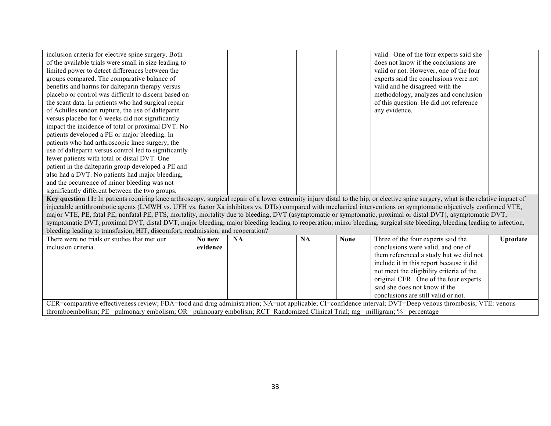| inclusion criteria for elective spine surgery. Both<br>of the available trials were small in size leading to<br>limited power to detect differences between the<br>groups compared. The comparative balance of<br>benefits and harms for dalteparin therapy versus |          |           |           |             | valid. One of the four experts said she<br>does not know if the conclusions are<br>valid or not. However, one of the four<br>experts said the conclusions were not<br>valid and he disagreed with the |                 |
|--------------------------------------------------------------------------------------------------------------------------------------------------------------------------------------------------------------------------------------------------------------------|----------|-----------|-----------|-------------|-------------------------------------------------------------------------------------------------------------------------------------------------------------------------------------------------------|-----------------|
| placebo or control was difficult to discern based on                                                                                                                                                                                                               |          |           |           |             | methodology, analyzes and conclusion                                                                                                                                                                  |                 |
| the scant data. In patients who had surgical repair                                                                                                                                                                                                                |          |           |           |             | of this question. He did not reference                                                                                                                                                                |                 |
| of Achilles tendon rupture, the use of dalteparin                                                                                                                                                                                                                  |          |           |           |             | any evidence.                                                                                                                                                                                         |                 |
| versus placebo for 6 weeks did not significantly<br>impact the incidence of total or proximal DVT. No                                                                                                                                                              |          |           |           |             |                                                                                                                                                                                                       |                 |
| patients developed a PE or major bleeding. In                                                                                                                                                                                                                      |          |           |           |             |                                                                                                                                                                                                       |                 |
| patients who had arthroscopic knee surgery, the                                                                                                                                                                                                                    |          |           |           |             |                                                                                                                                                                                                       |                 |
| use of dalteparin versus control led to significantly                                                                                                                                                                                                              |          |           |           |             |                                                                                                                                                                                                       |                 |
| fewer patients with total or distal DVT. One                                                                                                                                                                                                                       |          |           |           |             |                                                                                                                                                                                                       |                 |
| patient in the dalteparin group developed a PE and                                                                                                                                                                                                                 |          |           |           |             |                                                                                                                                                                                                       |                 |
| also had a DVT. No patients had major bleeding,                                                                                                                                                                                                                    |          |           |           |             |                                                                                                                                                                                                       |                 |
| and the occurrence of minor bleeding was not                                                                                                                                                                                                                       |          |           |           |             |                                                                                                                                                                                                       |                 |
| significantly different between the two groups.                                                                                                                                                                                                                    |          |           |           |             |                                                                                                                                                                                                       |                 |
| Key question 11: In patients requiring knee arthroscopy, surgical repair of a lower extremity injury distal to the hip, or elective spine surgery, what is the relative impact of                                                                                  |          |           |           |             |                                                                                                                                                                                                       |                 |
| injectable antithrombotic agents (LMWH vs. UFH vs. factor Xa inhibitors vs. DTIs) compared with mechanical interventions on symptomatic objectively confirmed VTE,                                                                                                 |          |           |           |             |                                                                                                                                                                                                       |                 |
| major VTE, PE, fatal PE, nonfatal PE, PTS, mortality, mortality due to bleeding, DVT (asymptomatic or symptomatic, proximal or distal DVT), asymptomatic DVT,                                                                                                      |          |           |           |             |                                                                                                                                                                                                       |                 |
| symptomatic DVT, proximal DVT, distal DVT, major bleeding, major bleeding leading to reoperation, minor bleeding, surgical site bleeding, bleeding leading to infection,                                                                                           |          |           |           |             |                                                                                                                                                                                                       |                 |
| bleeding leading to transfusion, HIT, discomfort, readmission, and reoperation?                                                                                                                                                                                    |          |           |           |             |                                                                                                                                                                                                       |                 |
| There were no trials or studies that met our                                                                                                                                                                                                                       | No new   | <b>NA</b> | <b>NA</b> | <b>None</b> | Three of the four experts said the                                                                                                                                                                    | <b>Uptodate</b> |
| inclusion criteria.                                                                                                                                                                                                                                                | evidence |           |           |             | conclusions were valid, and one of                                                                                                                                                                    |                 |
|                                                                                                                                                                                                                                                                    |          |           |           |             | them referenced a study but we did not                                                                                                                                                                |                 |
|                                                                                                                                                                                                                                                                    |          |           |           |             | include it in this report because it did                                                                                                                                                              |                 |
|                                                                                                                                                                                                                                                                    |          |           |           |             | not meet the eligibility criteria of the                                                                                                                                                              |                 |
|                                                                                                                                                                                                                                                                    |          |           |           |             | original CER. One of the four experts                                                                                                                                                                 |                 |
|                                                                                                                                                                                                                                                                    |          |           |           |             | said she does not know if the                                                                                                                                                                         |                 |

conclusions are still valid or not. CER=comparative effectiveness review; FDA=food and drug administration; NA=not applicable; CI=confidence interval; DVT=Deep venous thrombosis; VTE: venous thromboembolism; PE= pulmonary embolism; OR= pulmonary embolism; RCT=Randomized Clinical Trial; mg= milligram; %= percentage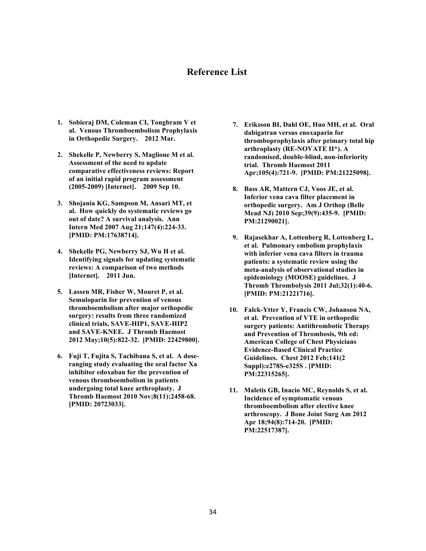#### **Reference List**

- **1. Sobieraj DM, Coleman CI, Tongbram V et al. Venous Thromboembolism Prophylaxis in Orthopedic Surgery. 2012 Mar.**
- **2. Shekelle P, Newberry S, Maglione M et al. Assessment of the need to update comparative effectiveness reviews: Report of an initial rapid program assessment (2005-2009) [Internet]. 2009 Sep 10.**
- **3. Shojania KG, Sampson M, Ansari MT, et al. How quickly do systematic reviews go out of date? A survival analysis. Ann Intern Med 2007 Aug 21;147(4):224-33. [PMID: PM:17638714].**
- **4. Shekelle PG, Newberry SJ, Wu H et al. Identifying signals for updating systematic reviews: A comparison of two methods [Internet]. 2011 Jun.**
- **5. Lassen MR, Fisher W, Mouret P, et al. Semuloparin for prevention of venous thromboembolism after major orthopedic surgery: results from three randomized clinical trials, SAVE-HIP1, SAVE-HIP2 and SAVE-KNEE. J Thromb Haemost 2012 May;10(5):822-32. [PMID: 22429800].**
- **6. Fuji T, Fujita S, Tachibana S, et al. A doseranging study evaluating the oral factor Xa inhibitor edoxaban for the prevention of venous thromboembolism in patients undergoing total knee arthroplasty. J Thromb Haemost 2010 Nov;8(11):2458-68. [PMID: 20723033].**
- **7. Eriksson BI, Dahl OE, Huo MH, et al. Oral dabigatran versus enoxaparin for thromboprophylaxis after primary total hip arthroplasty (RE-NOVATE II\*). A randomised, double-blind, non-inferiority trial. Thromb Haemost 2011 Apr;105(4):721-9. [PMID: PM:21225098].**
- **8. Bass AR, Mattern CJ, Voos JE, et al. Inferior vena cava filter placement in orthopedic surgery. Am J Orthop (Belle Mead NJ) 2010 Sep;39(9):435-9. [PMID: PM:21290021].**
- **9. Rajasekhar A, Lottenberg R, Lottenberg L, et al. Pulmonary embolism prophylaxis with inferior vena cava filters in trauma patients: a systematic review using the meta-analysis of observational studies in epidemiology (MOOSE) guidelines. J Thromb Thrombolysis 2011 Jul;32(1):40-6. [PMID: PM:21221716].**
- **10. Falck-Ytter Y, Francis CW, Johanson NA, et al. Prevention of VTE in orthopedic surgery patients: Antithrombotic Therapy and Prevention of Thrombosis, 9th ed: American College of Chest Physicians Evidence-Based Clinical Practice Guidelines. Chest 2012 Feb;141(2 Suppl):e278S-e325S . [PMID: PM:22315265].**
- **11. Maletis GB, Inacio MC, Reynolds S, et al. Incidence of symptomatic venous thromboembolism after elective knee arthroscopy. J Bone Joint Surg Am 2012 Apr 18;94(8):714-20. [PMID: PM:22517387].**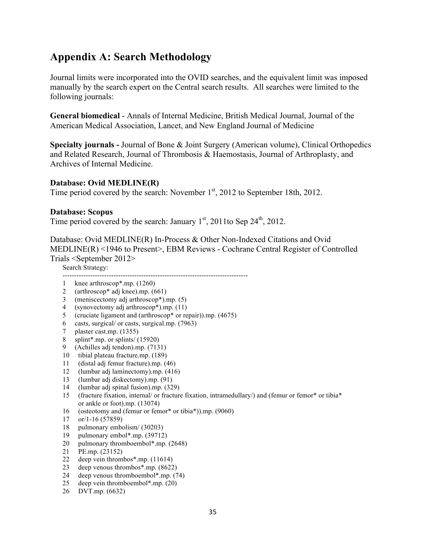## **Appendix A: Search Methodology**

Journal limits were incorporated into the OVID searches, and the equivalent limit was imposed manually by the search expert on the Central search results. All searches were limited to the following journals:

**General biomedical** - Annals of Internal Medicine, British Medical Journal, Journal of the American Medical Association, Lancet, and New England Journal of Medicine

**Specialty journals -** Journal of Bone & Joint Surgery (American volume), Clinical Orthopedics and Related Research, Journal of Thrombosis & Haemostasis, Journal of Arthroplasty, and Archives of Internal Medicine.

#### **Database: Ovid MEDLINE(R)**

Time period covered by the search: November 1<sup>st</sup>, 2012 to September 18th, 2012.

#### **Database: Scopus**

Time period covered by the search: January  $1<sup>st</sup>$ , 2011to Sep 24<sup>th</sup>, 2012.

Database: Ovid MEDLINE(R) In-Process & Other Non-Indexed Citations and Ovid MEDLINE(R) <1946 to Present>, EBM Reviews - Cochrane Central Register of Controlled Trials <September 2012>

Search Strategy:

--------------------------------------------------------------------------------

- 1 knee arthroscop\*.mp. (1260)
- 2 (arthroscop\* adj knee).mp. (661)
- 3 (meniscectomy adj arthroscop\*).mp. (5)
- 4 (synovectomy adj arthroscop\*).mp. (11)
- 5 (cruciate ligament and (arthroscop\* or repair)).mp. (4675)
- 6 casts, surgical/ or casts, surgical.mp. (7963)
- 7 plaster cast.mp. (1355)
- 8 splint\*.mp. or splints/ (15920)
- 9 (Achilles adj tendon).mp. (7131)
- 10 tibial plateau fracture.mp. (189)
- 11 (distal adj femur fracture).mp. (46)
- 12 (lumbar adj laminectomy).mp. (416)
- 13 (lumbar adj diskectomy).mp. (91)
- 14 (lumbar adj spinal fusion).mp. (329)
- 15 (fracture fixation, internal/ or fracture fixation, intramedullary/) and (femur or femor\* or tibia\* or ankle or foot).mp. (13074)
- 16 (osteotomy and (femur or femor\* or tibia\*)).mp. (9060)
- 17 or/1-16 (57859)
- 18 pulmonary embolism/ (30203)
- 19 pulmonary embol\*.mp. (39712)
- 20 pulmonary thromboembol\*.mp. (2648)
- 21 PE.mp. (23152)
- 22 deep vein thrombos\*.mp. (11614)
- 23 deep venous thrombos\*.mp. (8622)
- 24 deep venous thromboembol\*.mp. (74)
- 25 deep vein thromboembol\*.mp. (20)
- 26 DVT.mp. (6632)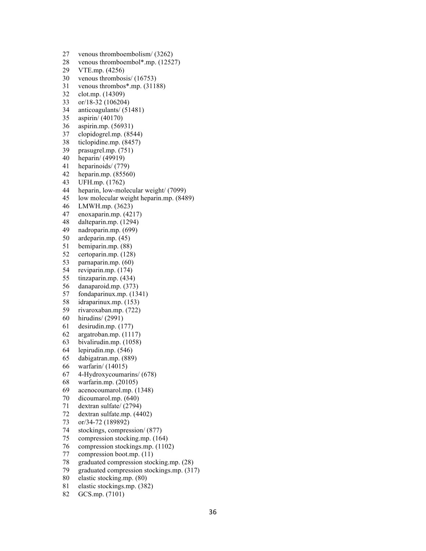27 venous thromboembolism/ (3262) 28 venous thromboembol\*.mp. (12527) 29 VTE.mp. (4256) 30 venous thrombosis/ (16753) 31 venous thrombos\*.mp. (31188) 32 clot.mp. (14309) 33 or/18-32 (106204) 34 anticoagulants/ (51481) 35 aspirin/ (40170) 36 aspirin.mp. (56931) 37 clopidogrel.mp. (8544) 38 ticlopidine.mp. (8457) 39 prasugrel.mp. (751) 40 heparin/ (49919) 41 heparinoids/ (779) 42 heparin.mp. (85560) 43 UFH.mp. (1762) 44 heparin, low-molecular weight/ (7099) 45 low molecular weight heparin.mp. (8489) 46 LMWH.mp. (3623) 47 enoxaparin.mp. (4217) 48 dalteparin.mp. (1294) 49 nadroparin.mp. (699) 50 ardeparin.mp. (45) 51 bemiparin.mp. (88) 52 certoparin.mp. (128) 53 parnaparin.mp. (60) 54 reviparin.mp. (174) 55 tinzaparin.mp. (434) 56 danaparoid.mp. (373) 57 fondaparinux.mp. (1341) 58 idraparinux.mp. (153) 59 rivaroxaban.mp. (722) 60 hirudins/ (2991) 61 desirudin.mp. (177) 62 argatroban.mp. (1117) 63 bivalirudin.mp. (1058) 64 lepirudin.mp. (546) 65 dabigatran.mp. (889) 66 warfarin/ (14015) 67 4-Hydroxycoumarins/ (678) 68 warfarin.mp. (20105) 69 acenocoumarol.mp. (1348) 70 dicoumarol.mp. (640) 71 dextran sulfate/ (2794) 72 dextran sulfate.mp. (4402) 73 or/34-72 (189892) 74 stockings, compression/ (877) 75 compression stocking.mp. (164) 76 compression stockings.mp. (1102)

- 77 compression boot.mp. (11)
- 78 graduated compression stocking.mp. (28)
- 79 graduated compression stockings.mp. (317)
- 80 elastic stocking.mp. (80)
- 81 elastic stockings.mp. (382)
- 82 GCS.mp. (7101)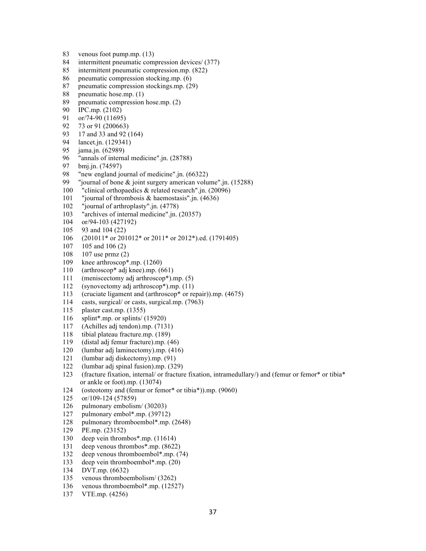- 83 venous foot pump.mp. (13)
- 84 intermittent pneumatic compression devices/ (377)
- 85 intermittent pneumatic compression.mp. (822)
- 86 pneumatic compression stocking.mp. (6)
- 87 pneumatic compression stockings.mp. (29)
- 88 pneumatic hose.mp. (1)<br>89 pneumatic compression
- pneumatic compression hose.mp. (2)
- 90 IPC.mp. (2102)
- 91 or/74-90 (11695)
- 92 73 or 91 (200663)
- 93 17 and 33 and 92 (164)
- 94 lancet.jn. (129341)
- 95 jama.jn. (62989)
- 96 "annals of internal medicine".jn. (28788)
- 97 bmj.jn. (74597)
- 98 "new england journal of medicine".jn. (66322)
- 99 "journal of bone & joint surgery american volume".jn. (15288)
- 100 "clinical orthopaedics & related research".jn. (20096)
- 101 "journal of thrombosis & haemostasis".jn. (4636)
- 102 "journal of arthroplasty".jn. (4778)
- 103 "archives of internal medicine".jn. (20357)
- 104 or/94-103 (427192)
- 105 93 and 104 (22)
- 106 (201011\* or 201012\* or 2011\* or 2012\*).ed. (1791405)
- 107 105 and 106 (2)
- 108 107 use prmz (2)
- 109 knee arthroscop\*.mp. (1260)
- 110 (arthroscop\* adj knee).mp. (661)
- 111 (meniscectomy adj arthroscop\*).mp. (5)
- 112 (synovectomy adj arthroscop\*).mp. (11)
- 113 (cruciate ligament and (arthroscop\* or repair)).mp. (4675)
- 114 casts, surgical/ or casts, surgical.mp. (7963)
- 115 plaster cast.mp. (1355)
- 116 splint\*.mp. or splints/ (15920)
- 117 (Achilles adj tendon).mp. (7131)
- 118 tibial plateau fracture.mp. (189)
- 119 (distal adj femur fracture).mp. (46)
- 120 (lumbar adj laminectomy).mp. (416)
- 121 (lumbar adj diskectomy).mp. (91)
- 122 (lumbar adj spinal fusion).mp. (329)
- 123 (fracture fixation, internal/ or fracture fixation, intramedullary/) and (femur or femor\* or tibia\* or ankle or foot).mp. (13074)
- 124 (osteotomy and (femur or femor\* or tibia\*)).mp. (9060)
- 125 or/109-124 (57859)
- 126 pulmonary embolism/ (30203)
- 127 pulmonary embol\*.mp. (39712)
- 128 pulmonary thromboembol\*.mp. (2648)
- 129 PE.mp. (23152)
- 130 deep vein thrombos\*.mp. (11614)
- 131 deep venous thrombos\*.mp. (8622)
- 132 deep venous thromboembol\*.mp. (74)
- 133 deep vein thromboembol\*.mp. (20)
- 134 DVT.mp. (6632)
- 135 venous thromboembolism/ (3262)
- 136 venous thromboembol\*.mp. (12527)
- 137 VTE.mp. (4256)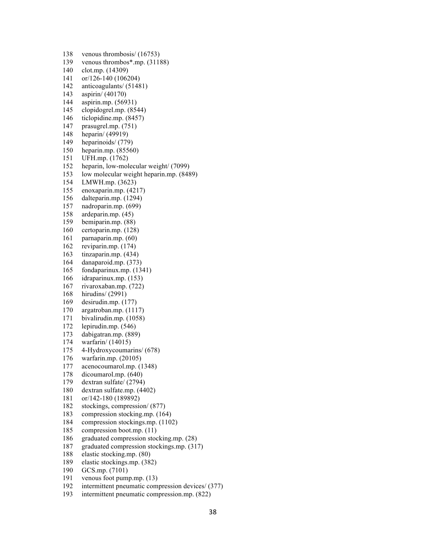138 venous thrombosis/ (16753) 139 venous thrombos\*.mp. (31188) 140 clot.mp. (14309) 141 or/126-140 (106204) 142 anticoagulants/ (51481) 143 aspirin/ (40170) 144 aspirin.mp. (56931) 145 clopidogrel.mp. (8544) 146 ticlopidine.mp. (8457) 147 prasugrel.mp. (751) 148 heparin/ (49919) 149 heparinoids/ (779) 150 heparin.mp. (85560) 151 UFH.mp. (1762) 152 heparin, low-molecular weight/ (7099) 153 low molecular weight heparin.mp. (8489) 154 LMWH.mp. (3623) 155 enoxaparin.mp. (4217) 156 dalteparin.mp. (1294) 157 nadroparin.mp. (699) 158 ardeparin.mp. (45) 159 bemiparin.mp. (88) 160 certoparin.mp. (128) 161 parnaparin.mp. (60) 162 reviparin.mp. (174) 163 tinzaparin.mp. (434) 164 danaparoid.mp. (373) 165 fondaparinux.mp. (1341) 166 idraparinux.mp. (153) 167 rivaroxaban.mp. (722) 168 hirudins/ (2991) 169 desirudin.mp. (177) 170 argatroban.mp. (1117) 171 bivalirudin.mp. (1058) 172 lepirudin.mp. (546) 173 dabigatran.mp. (889) 174 warfarin/ (14015) 175 4-Hydroxycoumarins/ (678) 176 warfarin.mp. (20105) 177 acenocoumarol.mp. (1348) 178 dicoumarol.mp. (640) 179 dextran sulfate/ (2794) 180 dextran sulfate.mp. (4402) 181 or/142-180 (189892) 182 stockings, compression/ (877) 183 compression stocking.mp. (164) 184 compression stockings.mp. (1102) 185 compression boot.mp. (11) 186 graduated compression stocking.mp. (28) 187 graduated compression stockings.mp. (317) 188 elastic stocking.mp. (80) 189 elastic stockings.mp. (382) 190 GCS.mp. (7101)

- 191 venous foot pump.mp. (13)
- 192 intermittent pneumatic compression devices/ (377)
- 193 intermittent pneumatic compression.mp. (822)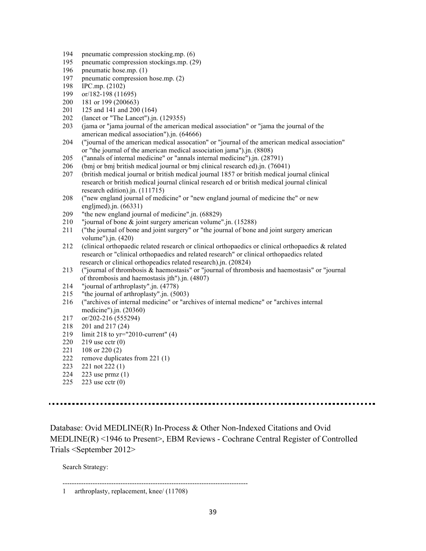- 194 pneumatic compression stocking.mp. (6)
- 195 pneumatic compression stockings.mp. (29)
- 196 pneumatic hose.mp. (1)
- 197 pneumatic compression hose.mp. (2)
- 198 IPC.mp. (2102)
- 199 or/182-198 (11695)
- 200 181 or 199 (200663)
- 201 125 and 141 and 200 (164)
- 202 (lancet or "The Lancet").jn. (129355)
- 203 (jama or "jama journal of the american medical association" or "jama the journal of the american medical association").jn. (64666)
- 204 ("journal of the american medical assocation" or "journal of the american medical association" or "the journal of the american medical association jama").jn. (8808)
- 205 ("annals of internal medicine" or "annals internal medicine").jn. (28791)
- 206 (bmj or bmj british medical journal or bmj clinical research ed).jn. (76041)
- 207 (british medical journal or british medical journal 1857 or british medical journal clinical research or british medical journal clinical research ed or british medical journal clinical research edition).jn. (111715)
- 208 ("new england journal of medicine" or "new england journal of medicine the" or new engljmed).jn. (66331)
- 209 "the new england journal of medicine".jn. (68829)
- 210 "journal of bone & joint surgery american volume".jn. (15288)
- 211 ("the journal of bone and joint surgery" or "the journal of bone and joint surgery american volume").jn. (420)
- 212 (clinical orthopaedic related research or clinical orthopaedics or clinical orthopaedics & related research or "clinical orthopaedics and related research" or clinical orthopaedics related research or clinical orthopeadics related research).jn. (20824)
- 213 ("journal of thrombosis & haemostasis" or "journal of thrombosis and haemostasis" or "journal of thrombosis and haemostasis jth").jn. (4807)
- 214 "journal of arthroplasty".jn. (4778)
- 215 "the journal of arthroplasty".jn. (5003)
- 216 ("archives of internal medicine" or "archives of internal medicne" or "archives internal medicine").jn. (20360)
- 217 or/202-216 (555294)
- 218 201 and 217 (24)
- 219 limit 218 to yr="2010-current" (4)
- 220 219 use cctr (0)
- 221 108 or 220 (2)
- 222 remove duplicates from 221 (1)
- 223 221 not 222 (1)
- 224 223 use prmz (1)
- 225 223 use cctr (0)

Database: Ovid MEDLINE(R) In-Process & Other Non-Indexed Citations and Ovid MEDLINE(R) <1946 to Present>, EBM Reviews - Cochrane Central Register of Controlled Trials <September 2012>

Search Strategy:

--------------------------------------------------------------------------------

<sup>1</sup> arthroplasty, replacement, knee/ (11708)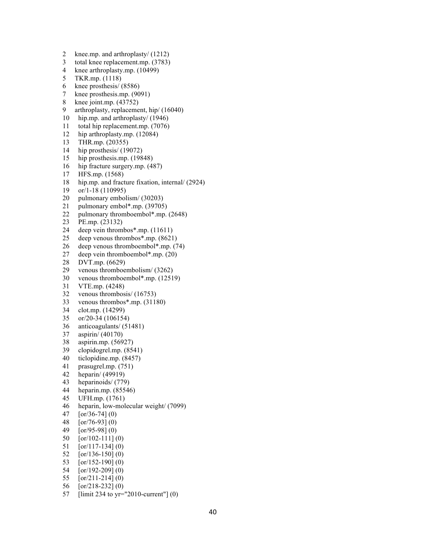2 knee.mp. and arthroplasty/ (1212) 3 total knee replacement.mp. (3783) 4 knee arthroplasty.mp. (10499) 5 TKR.mp. (1118) 6 knee prosthesis/ (8586) 7 knee prosthesis.mp. (9091) 8 knee joint.mp. (43752) 9 arthroplasty, replacement, hip/ (16040) 10 hip.mp. and arthroplasty/ (1946) 11 total hip replacement.mp. (7076) 12 hip arthroplasty.mp. (12084) 13 THR.mp. (20355) 14 hip prosthesis/ (19072) 15 hip prosthesis.mp. (19848) 16 hip fracture surgery.mp. (487) 17 HFS.mp. (1568) 18 hip.mp. and fracture fixation, internal/ (2924) 19 or/1-18 (110995) 20 pulmonary embolism/ (30203) 21 pulmonary embol\*.mp. (39705) 22 pulmonary thromboembol\*.mp. (2648) 23 PE.mp. (23132) 24 deep vein thrombos\*.mp. (11611)<br>25 deep venous thrombos\*.mp. (8621 deep venous thrombos\*.mp. (8621) 26 deep venous thromboembol\*.mp. (74) 27 deep vein thromboembol\*.mp. (20) 28 DVT.mp. (6629) 29 venous thromboembolism/ (3262) 30 venous thromboembol\*.mp. (12519) 31 VTE.mp. (4248) 32 venous thrombosis/ (16753) 33 venous thrombos\*.mp. (31180) 34 clot.mp. (14299) 35 or/20-34 (106154) 36 anticoagulants/ (51481) 37 aspirin/ (40170) 38 aspirin.mp. (56927) 39 clopidogrel.mp. (8541) 40 ticlopidine.mp. (8457) 41 prasugrel.mp. (751) 42 heparin/ (49919) 43 heparinoids/ (779) 44 heparin.mp. (85546) 45 UFH.mp. (1761) 46 heparin, low-molecular weight/ (7099) 47 [or/36-74] (0) 48 [or/76-93] (0) 49 [or/95-98] (0) 50 [or/102-111] (0) 51 [or/117-134] (0) 52 [or/136-150] (0) 53 [or/152-190] (0) 54 [or/192-209] (0) 55 [or/211-214] (0)

- 56 [or/218-232] (0)
- 57 [limit 234 to yr="2010-current"] (0)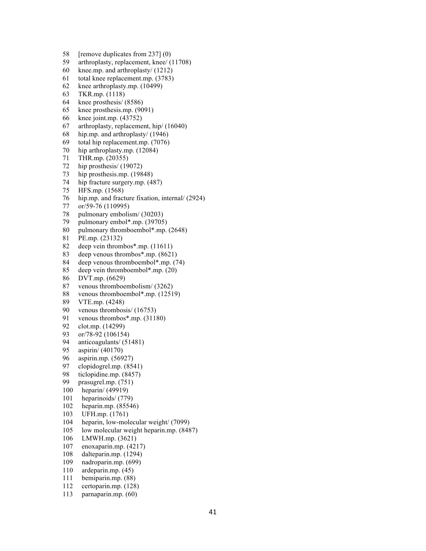58 [remove duplicates from 237] (0)

- 59 arthroplasty, replacement, knee/ (11708)
- 60 knee.mp. and arthroplasty/ (1212)
- 61 total knee replacement.mp. (3783)
- 62 knee arthroplasty.mp. (10499)
- 63 TKR.mp. (1118)
- 64 knee prosthesis/ (8586)
- 65 knee prosthesis.mp. (9091)
- 66 knee joint.mp. (43752)
- 67 arthroplasty, replacement, hip/ (16040)
- 68 hip.mp. and arthroplasty/ (1946)
- 69 total hip replacement.mp. (7076)
- 70 hip arthroplasty.mp. (12084)
- 71 THR.mp. (20355)
- 72 hip prosthesis/ (19072)
- 73 hip prosthesis.mp. (19848)
- 74 hip fracture surgery.mp. (487)
- 75 HFS.mp. (1568)
- 76 hip.mp. and fracture fixation, internal/ (2924)
- 77 or/59-76 (110995)
- 78 pulmonary embolism/ (30203)
- 79 pulmonary embol\*.mp. (39705)
- 80 pulmonary thromboembol\*.mp. (2648)
- 81 PE.mp. (23132)
- 82 deep vein thrombos\*.mp. (11611)
- 83 deep venous thrombos\*.mp. (8621)
- 84 deep venous thromboembol\*.mp. (74)
- 85 deep vein thromboembol\*.mp. (20)
- 86 DVT.mp. (6629)
- 87 venous thromboembolism/ (3262)
- 88 venous thromboembol\*.mp. (12519)
- 89 VTE.mp. (4248)
- 90 venous thrombosis/ (16753)
- 91 venous thrombos\*.mp. (31180)
- 92 clot.mp. (14299)
- 93 or/78-92 (106154)
- 94 anticoagulants/ (51481)
- 95 aspirin/ (40170)
- 96 aspirin.mp. (56927)
- 97 clopidogrel.mp. (8541)
- 98 ticlopidine.mp. (8457)
- 99 prasugrel.mp. (751)
- 100 heparin/ (49919)
- 101 heparinoids/ (779)
- 102 heparin.mp. (85546)
- 103 UFH.mp. (1761)
- 104 heparin, low-molecular weight/ (7099)
- 105 low molecular weight heparin.mp. (8487)
- 106 LMWH.mp. (3621)
- 107 enoxaparin.mp. (4217)
- 108 dalteparin.mp. (1294)
- 109 nadroparin.mp. (699)
- 110 ardeparin.mp. (45)
- 111 bemiparin.mp. (88)
- 112 certoparin.mp. (128)
- 113 parnaparin.mp. (60)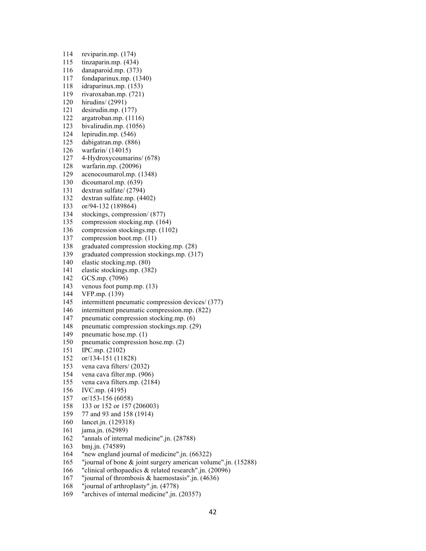- 114 reviparin.mp. (174)
- 115 tinzaparin.mp. (434)
- 116 danaparoid.mp. (373)
- 117 fondaparinux.mp. (1340)
- 118 idraparinux.mp. (153)
- 119 rivaroxaban.mp. (721)
- 120 hirudins/ (2991)
- 121 desirudin.mp. (177)
- 122 argatroban.mp. (1116)
- 123 bivalirudin.mp. (1056)
- 124 lepirudin.mp. (546)
- 125 dabigatran.mp. (886)
- 126 warfarin/ (14015)
- 127 4-Hydroxycoumarins/ (678)
- 128 warfarin.mp. (20096)
- 129 acenocoumarol.mp. (1348)
- 130 dicoumarol.mp. (639)
- 131 dextran sulfate/ (2794)
- 132 dextran sulfate.mp. (4402)
- 133 or/94-132 (189864)
- 134 stockings, compression/ (877)
- 135 compression stocking.mp. (164)
- 136 compression stockings.mp. (1102)
- 137 compression boot.mp. (11)
- 138 graduated compression stocking.mp. (28)
- 139 graduated compression stockings.mp. (317)
- 140 elastic stocking.mp. (80)
- 141 elastic stockings.mp. (382)
- 142 GCS.mp. (7096)
- 143 venous foot pump.mp. (13)
- 144 VFP.mp. (139)
- 145 intermittent pneumatic compression devices/ (377)
- 146 intermittent pneumatic compression.mp. (822)
- 147 pneumatic compression stocking.mp. (6)
- 148 pneumatic compression stockings.mp. (29)
- 149 pneumatic hose.mp. (1)
- 150 pneumatic compression hose.mp. (2)
- 151 IPC.mp. (2102)
- 152 or/134-151 (11828)
- 153 vena cava filters/ (2032)
- 154 vena cava filter.mp. (906)
- 155 vena cava filters.mp. (2184)
- 156 IVC.mp. (4195)
- 157 or/153-156 (6058)
- 158 133 or 152 or 157 (206003)
- 159 77 and 93 and 158 (1914)
- 160 lancet.jn. (129318)
- 161 jama.jn. (62989)
- 162 "annals of internal medicine".jn. (28788)
- 163 bmj.jn. (74589)
- 164 "new england journal of medicine".jn. (66322)
- 165 "journal of bone & joint surgery american volume".jn. (15288)
- 166 "clinical orthopaedics & related research".jn. (20096)
- 167 "journal of thrombosis & haemostasis".jn. (4636)
- 168 "journal of arthroplasty".jn. (4778)
- 169 "archives of internal medicine".jn. (20357)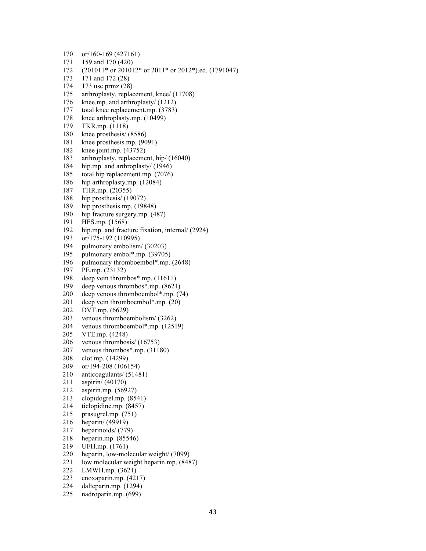171 159 and 170 (420) 172 (201011\* or 201012\* or 2011\* or 2012\*).ed. (1791047) 173 171 and 172 (28) 174 173 use prmz (28) 175 arthroplasty, replacement, knee/ (11708) 176 knee.mp. and arthroplasty/ (1212) 177 total knee replacement.mp. (3783) 178 knee arthroplasty.mp. (10499) 179 TKR.mp. (1118) 180 knee prosthesis/ (8586) 181 knee prosthesis.mp. (9091) 182 knee joint.mp. (43752) 183 arthroplasty, replacement, hip/ (16040) 184 hip.mp. and arthroplasty/ (1946) 185 total hip replacement.mp. (7076) 186 hip arthroplasty.mp. (12084) 187 THR.mp. (20355) 188 hip prosthesis/ (19072) 189 hip prosthesis.mp. (19848) 190 hip fracture surgery.mp. (487) 191 HFS.mp. (1568) 192 hip.mp. and fracture fixation, internal/ (2924) 193 or/175-192 (110995) 194 pulmonary embolism/ (30203) 195 pulmonary embol\*.mp. (39705) 196 pulmonary thromboembol\*.mp. (2648) 197 PE.mp. (23132) 198 deep vein thrombos\*.mp. (11611) 199 deep venous thrombos\*.mp. (8621) 200 deep venous thromboembol\*.mp. (74) 201 deep vein thromboembol\*.mp. (20) 202 DVT.mp. (6629) 203 venous thromboembolism/ (3262) 204 venous thromboembol\*.mp. (12519) 205 VTE.mp. (4248) 206 venous thrombosis/ (16753) 207 venous thrombos\*.mp. (31180) 208 clot.mp. (14299) 209 or/194-208 (106154) 210 anticoagulants/ (51481) 211 aspirin/ (40170) 212 aspirin.mp. (56927) 213 clopidogrel.mp. (8541) 214 ticlopidine.mp. (8457) 215 prasugrel.mp. (751) 216 heparin/ (49919) 217 heparinoids/ (779) 218 heparin.mp. (85546) 219 UFH.mp. (1761) 220 heparin, low-molecular weight/ (7099) 221 low molecular weight heparin.mp. (8487) 222 LMWH.mp. (3621) 223 enoxaparin.mp. (4217) 224 dalteparin.mp. (1294)

225 nadroparin.mp. (699)

170 or/160-169 (427161)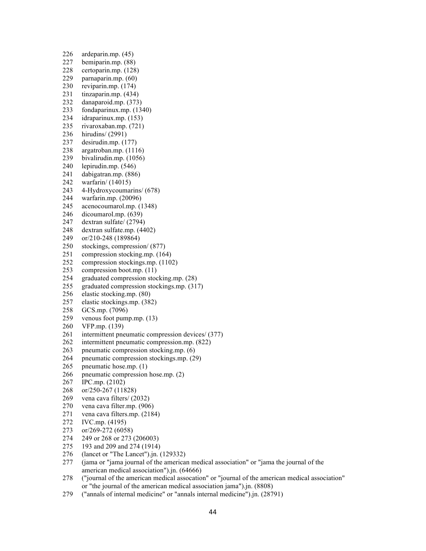- 226 ardeparin.mp. (45) 227 bemiparin.mp. (88) 228 certoparin.mp. (128) 229 parnaparin.mp. (60) 230 reviparin.mp. (174) 231 tinzaparin.mp. (434) 232 danaparoid.mp. (373) 233 fondaparinux.mp. (1340) 234 idraparinux.mp. (153) 235 rivaroxaban.mp. (721) 236 hirudins/ (2991) 237 desirudin.mp. (177) 238 argatroban.mp. (1116) 239 bivalirudin.mp. (1056) 240 lepirudin.mp. (546) 241 dabigatran.mp. (886) 242 warfarin/ (14015) 243 4-Hydroxycoumarins/ (678) 244 warfarin.mp. (20096) 245 acenocoumarol.mp. (1348) 246 dicoumarol.mp. (639) 247 dextran sulfate/ (2794) 248 dextran sulfate.mp. (4402) 249 or/210-248 (189864) 250 stockings, compression/ (877) 251 compression stocking.mp. (164) 252 compression stockings.mp. (1102) 253 compression boot.mp. (11) 254 graduated compression stocking.mp. (28) 255 graduated compression stockings.mp. (317) 256 elastic stocking.mp. (80) 257 elastic stockings.mp. (382) 258 GCS.mp. (7096) 259 venous foot pump.mp. (13) 260 VFP.mp. (139) 261 intermittent pneumatic compression devices/ (377) 262 intermittent pneumatic compression.mp. (822) 263 pneumatic compression stocking.mp. (6) 264 pneumatic compression stockings.mp. (29) 265 pneumatic hose.mp. (1) 266 pneumatic compression hose.mp. (2) 267 IPC.mp. (2102) 268 or/250-267 (11828) 269 vena cava filters/ (2032) 270 vena cava filter.mp. (906) 271 vena cava filters.mp. (2184) 272 IVC.mp. (4195) 273 or/269-272 (6058) 274 249 or 268 or 273 (206003) 275 193 and 209 and 274 (1914) 276 (lancet or "The Lancet").jn. (129332) 277 (jama or "jama journal of the american medical association" or "jama the journal of the american medical association").jn. (64666)
- 278 ("journal of the american medical assocation" or "journal of the american medical association" or "the journal of the american medical association jama").jn. (8808)
- 279 ("annals of internal medicine" or "annals internal medicine").jn. (28791)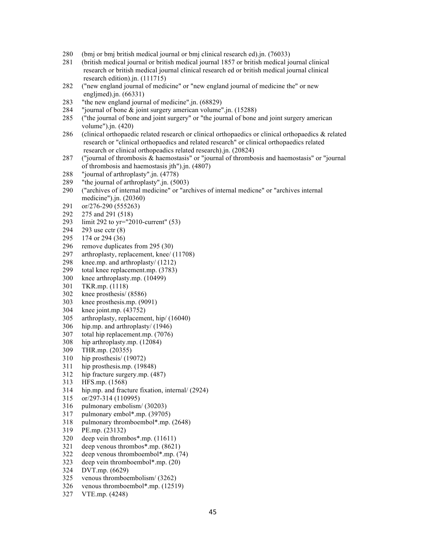- 280 (bmj or bmj british medical journal or bmj clinical research ed).jn. (76033)
- 281 (british medical journal or british medical journal 1857 or british medical journal clinical research or british medical journal clinical research ed or british medical journal clinical research edition).jn. (111715)
- 282 ("new england journal of medicine" or "new england journal of medicine the" or new engljmed).jn. (66331)
- 283 "the new england journal of medicine".jn. (68829)
- 284 "journal of bone & joint surgery american volume".jn. (15288)
- 285 ("the journal of bone and joint surgery" or "the journal of bone and joint surgery american volume").jn. (420)
- 286 (clinical orthopaedic related research or clinical orthopaedics or clinical orthopaedics & related research or "clinical orthopaedics and related research" or clinical orthopaedics related research or clinical orthopeadics related research).jn. (20824)
- 287 ("journal of thrombosis & haemostasis" or "journal of thrombosis and haemostasis" or "journal of thrombosis and haemostasis jth").jn. (4807)
- 288 "journal of arthroplasty".jn. (4778)
- 289 "the journal of arthroplasty".jn. (5003)
- 290 ("archives of internal medicine" or "archives of internal medicne" or "archives internal medicine").jn. (20360)
- 291 or/276-290 (555263)
- 292 275 and 291 (518)
- 293 limit 292 to yr="2010-current" (53)
- 294 293 use cctr (8)
- 295 174 or 294 (36)
- 296 remove duplicates from 295 (30)
- 297 arthroplasty, replacement, knee/ (11708)
- 298 knee.mp. and arthroplasty/ (1212)
- 299 total knee replacement.mp. (3783)
- 300 knee arthroplasty.mp. (10499)
- 301 TKR.mp. (1118)
- 302 knee prosthesis/ (8586)
- 303 knee prosthesis.mp. (9091)
- 304 knee joint.mp. (43752)
- 305 arthroplasty, replacement, hip/ (16040)
- 306 hip.mp. and arthroplasty/ (1946)
- 307 total hip replacement.mp. (7076)
- 308 hip arthroplasty.mp. (12084)
- 309 THR.mp. (20355)
- 310 hip prosthesis/ (19072)
- 311 hip prosthesis.mp. (19848)
- 312 hip fracture surgery.mp. (487)
- 313 HFS.mp. (1568)
- 314 hip.mp. and fracture fixation, internal/ (2924)
- 315 or/297-314 (110995)
- 316 pulmonary embolism/ (30203)
- 317 pulmonary embol\*.mp. (39705)
- 318 pulmonary thromboembol\*.mp. (2648)
- 319 PE.mp. (23132)
- 320 deep vein thrombos\*.mp. (11611)
- 321 deep venous thrombos\*.mp. (8621)
- 322 deep venous thromboembol\*.mp. (74)
- 323 deep vein thromboembol\*.mp. (20)
- 324 DVT.mp. (6629)
- 325 venous thromboembolism/ (3262)
- 326 venous thromboembol\*.mp. (12519)
- 327 VTE.mp. (4248)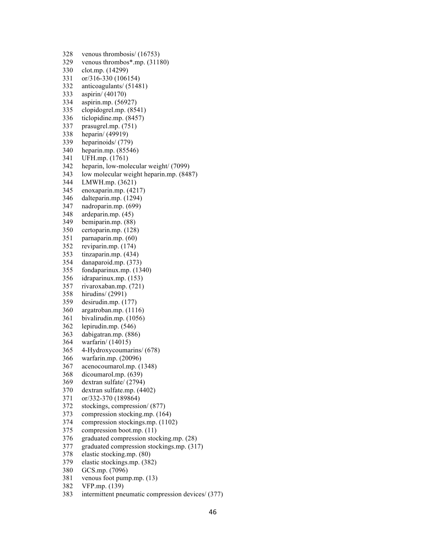328 venous thrombosis/ (16753) 329 venous thrombos\*.mp. (31180) 330 clot.mp. (14299) 331 or/316-330 (106154) 332 anticoagulants/ (51481) 333 aspirin/ (40170) 334 aspirin.mp. (56927) 335 clopidogrel.mp. (8541) 336 ticlopidine.mp. (8457) 337 prasugrel.mp. (751) 338 heparin/ (49919) 339 heparinoids/ (779) 340 heparin.mp. (85546) 341 UFH.mp. (1761) 342 heparin, low-molecular weight/ (7099) 343 low molecular weight heparin.mp. (8487) 344 LMWH.mp. (3621) 345 enoxaparin.mp. (4217) 346 dalteparin.mp. (1294) 347 nadroparin.mp. (699) 348 ardeparin.mp. (45) 349 bemiparin.mp. (88) 350 certoparin.mp. (128) 351 parnaparin.mp. (60) 352 reviparin.mp. (174) 353 tinzaparin.mp. (434) 354 danaparoid.mp. (373) 355 fondaparinux.mp. (1340) 356 idraparinux.mp. (153) 357 rivaroxaban.mp. (721) 358 hirudins/ (2991) 359 desirudin.mp. (177) 360 argatroban.mp. (1116) 361 bivalirudin.mp. (1056) 362 lepirudin.mp. (546) 363 dabigatran.mp. (886) 364 warfarin/ (14015) 365 4-Hydroxycoumarins/ (678) 366 warfarin.mp. (20096) 367 acenocoumarol.mp. (1348) 368 dicoumarol.mp. (639) 369 dextran sulfate/ (2794) 370 dextran sulfate.mp. (4402) 371 or/332-370 (189864) 372 stockings, compression/ (877) 373 compression stocking.mp. (164) 374 compression stockings.mp. (1102) 375 compression boot.mp. (11) 376 graduated compression stocking.mp. (28) 377 graduated compression stockings.mp. (317) 378 elastic stocking.mp. (80) 379 elastic stockings.mp. (382) 380 GCS.mp. (7096) 381 venous foot pump.mp. (13) 382 VFP.mp. (139)

383 intermittent pneumatic compression devices/ (377)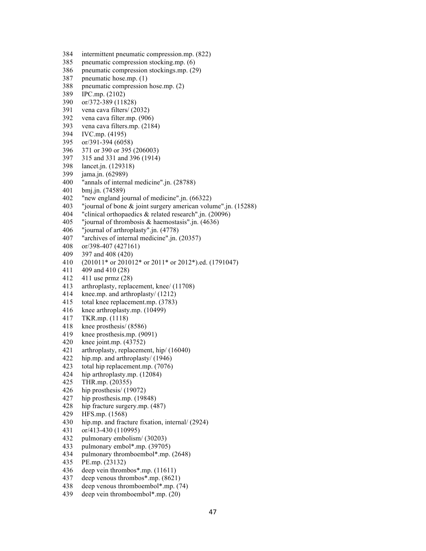- 384 intermittent pneumatic compression.mp. (822) 385 pneumatic compression stocking.mp. (6) 386 pneumatic compression stockings.mp. (29) 387 pneumatic hose.mp. (1) 388 pneumatic compression hose.mp. (2) 389 IPC.mp. (2102) 390 or/372-389 (11828) 391 vena cava filters/ (2032) 392 vena cava filter.mp. (906) 393 vena cava filters.mp. (2184) 394 IVC.mp. (4195) 395 or/391-394 (6058) 396 371 or 390 or 395 (206003) 397 315 and 331 and 396 (1914) 398 lancet.jn. (129318) 399 jama.jn. (62989) 400 "annals of internal medicine".jn. (28788) 401 bmj.jn. (74589) 402 "new england journal of medicine".jn. (66322) 403 "journal of bone & joint surgery american volume".jn. (15288) 404 "clinical orthopaedics & related research".jn. (20096) 405 "journal of thrombosis & haemostasis".jn. (4636) 406 "journal of arthroplasty".jn. (4778) 407 "archives of internal medicine".jn. (20357) 408 or/398-407 (427161) 409 397 and 408 (420) 410 (201011\* or 201012\* or 2011\* or 2012\*).ed. (1791047) 411 409 and 410 (28) 412 411 use prmz (28) 413 arthroplasty, replacement, knee/ (11708) 414 knee.mp. and arthroplasty/ (1212) 415 total knee replacement.mp. (3783) 416 knee arthroplasty.mp. (10499) 417 TKR.mp. (1118) 418 knee prosthesis/ (8586) 419 knee prosthesis.mp. (9091) 420 knee joint.mp. (43752) 421 arthroplasty, replacement, hip/ (16040) 422 hip.mp. and arthroplasty/ (1946) 423 total hip replacement.mp. (7076) 424 hip arthroplasty.mp. (12084) 425 THR.mp. (20355) 426 hip prosthesis/ (19072) 427 hip prosthesis.mp. (19848) 428 hip fracture surgery.mp. (487) 429 HFS.mp. (1568) 430 hip.mp. and fracture fixation, internal/ (2924) 431 or/413-430 (110995) 432 pulmonary embolism/ (30203) 433 pulmonary embol\*.mp. (39705) 434 pulmonary thromboembol\*.mp. (2648) 435 PE.mp. (23132) 436 deep vein thrombos\*.mp. (11611) 437 deep venous thrombos\*.mp. (8621)
- 438 deep venous thromboembol\*.mp. (74)
- 439 deep vein thromboembol\*.mp. (20)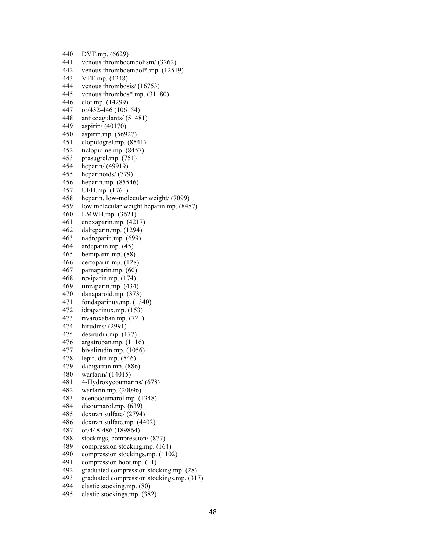440 DVT.mp. (6629) 441 venous thromboembolism/ (3262) 442 venous thromboembol\*.mp. (12519) 443 VTE.mp. (4248) 444 venous thrombosis/ (16753) 445 venous thrombos\*.mp. (31180) 446 clot.mp. (14299) 447 or/432-446 (106154) 448 anticoagulants/ (51481) 449 aspirin/ (40170) 450 aspirin.mp. (56927) 451 clopidogrel.mp. (8541) 452 ticlopidine.mp. (8457) 453 prasugrel.mp. (751) 454 heparin/ (49919) 455 heparinoids/ (779) 456 heparin.mp. (85546) 457 UFH.mp. (1761) 458 heparin, low-molecular weight/ (7099) 459 low molecular weight heparin.mp. (8487) 460 LMWH.mp. (3621) 461 enoxaparin.mp. (4217) 462 dalteparin.mp. (1294) 463 nadroparin.mp. (699) 464 ardeparin.mp. (45) 465 bemiparin.mp. (88) 466 certoparin.mp. (128) 467 parnaparin.mp. (60) 468 reviparin.mp. (174) 469 tinzaparin.mp. (434) 470 danaparoid.mp. (373) 471 fondaparinux.mp. (1340) 472 idraparinux.mp. (153) 473 rivaroxaban.mp. (721) 474 hirudins/ (2991) 475 desirudin.mp. (177) 476 argatroban.mp. (1116) 477 bivalirudin.mp. (1056) 478 lepirudin.mp. (546) 479 dabigatran.mp. (886) 480 warfarin/ (14015) 481 4-Hydroxycoumarins/ (678) 482 warfarin.mp. (20096) 483 acenocoumarol.mp. (1348) 484 dicoumarol.mp. (639) 485 dextran sulfate/ (2794) 486 dextran sulfate.mp. (4402) 487 or/448-486 (189864) 488 stockings, compression/ (877) 489 compression stocking.mp. (164) 490 compression stockings.mp. (1102) 491 compression boot.mp. (11) 492 graduated compression stocking.mp. (28) 493 graduated compression stockings.mp. (317) 494 elastic stocking.mp. (80)

495 elastic stockings.mp. (382)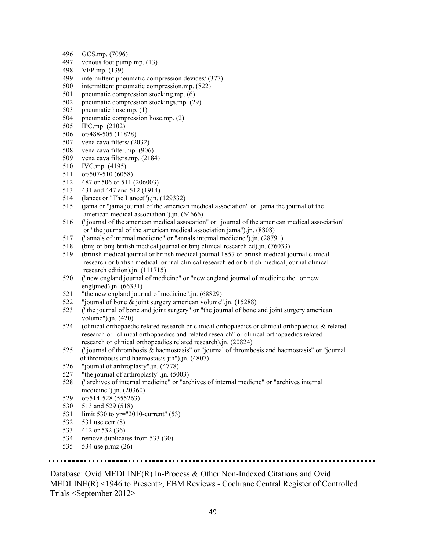- 496 GCS.mp. (7096)
- 497 venous foot pump.mp. (13)
- 498 VFP.mp. (139)
- 499 intermittent pneumatic compression devices/ (377)
- 500 intermittent pneumatic compression.mp. (822)
- 501 pneumatic compression stocking.mp. (6)
- 502 pneumatic compression stockings.mp. (29)
- 503 pneumatic hose.mp. (1)
- 504 pneumatic compression hose.mp. (2)
- 505 IPC.mp. (2102)
- 506 or/488-505 (11828)
- 507 vena cava filters/ (2032)
- 508 vena cava filter.mp. (906)
- 509 vena cava filters.mp. (2184)
- 510 IVC.mp. (4195)
- 511 or/507-510 (6058)
- 512 487 or 506 or 511 (206003)
- 513 431 and 447 and 512 (1914)
- 514 (lancet or "The Lancet").jn. (129332)
- 515 (jama or "jama journal of the american medical association" or "jama the journal of the american medical association").jn. (64666)
- 516 ("journal of the american medical assocation" or "journal of the american medical association" or "the journal of the american medical association jama").jn. (8808)
- 517 ("annals of internal medicine" or "annals internal medicine").jn. (28791)
- 518 (bmj or bmj british medical journal or bmj clinical research ed).jn. (76033)
- 519 (british medical journal or british medical journal 1857 or british medical journal clinical research or british medical journal clinical research ed or british medical journal clinical research edition).jn. (111715)
- 520 ("new england journal of medicine" or "new england journal of medicine the" or new engljmed).jn. (66331)
- 521 "the new england journal of medicine".jn. (68829)
- 522 "journal of bone & joint surgery american volume".jn. (15288)
- 523 ("the journal of bone and joint surgery" or "the journal of bone and joint surgery american volume").jn. (420)
- 524 (clinical orthopaedic related research or clinical orthopaedics or clinical orthopaedics & related research or "clinical orthopaedics and related research" or clinical orthopaedics related research or clinical orthopeadics related research).jn. (20824)
- 525 ("journal of thrombosis & haemostasis" or "journal of thrombosis and haemostasis" or "journal of thrombosis and haemostasis jth").jn. (4807)
- 526 "journal of arthroplasty".jn. (4778)
- 527 "the journal of arthroplasty".jn. (5003)
- 528 ("archives of internal medicine" or "archives of internal medicne" or "archives internal medicine").jn. (20360)
- 529 or/514-528 (555263)
- 530 513 and 529 (518)
- 531 limit 530 to yr="2010-current" (53)
- 532 531 use cctr (8)
- 533 412 or 532 (36)
- 534 remove duplicates from 533 (30)
- 535 534 use prmz (26)

Database: Ovid MEDLINE(R) In-Process & Other Non-Indexed Citations and Ovid MEDLINE(R) <1946 to Present>, EBM Reviews - Cochrane Central Register of Controlled Trials <September 2012>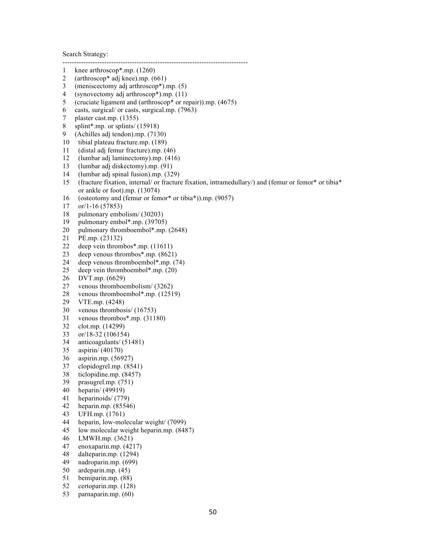Search Strategy:

- 1 knee arthroscop\*.mp. (1260)
- 2 (arthroscop\* adj knee).mp. (661)
- 3 (meniscectomy adj arthroscop\*).mp. (5)
- 4 (synovectomy adj arthroscop\*).mp. (11)
- 5 (cruciate ligament and (arthroscop\* or repair)).mp. (4675)

--------------------------------------------------------------------------------

- 6 casts, surgical/ or casts, surgical.mp. (7963)
- 7 plaster cast.mp. (1355)
- 8 splint\*.mp. or splints/ (15918)
- 9 (Achilles adj tendon).mp. (7130)
- 10 tibial plateau fracture.mp. (189)
- 11 (distal adj femur fracture).mp. (46)
- 12 (lumbar adj laminectomy).mp. (416)
- 13 (lumbar adj diskectomy).mp. (91)
- 14 (lumbar adj spinal fusion).mp. (329)
- 15 (fracture fixation, internal/ or fracture fixation, intramedullary/) and (femur or femor\* or tibia\* or ankle or foot).mp. (13074)
- 16 (osteotomy and (femur or femor\* or tibia\*)).mp. (9057)
- 17 or/1-16 (57853)
- 18 pulmonary embolism/ (30203)
- 19 pulmonary embol\*.mp. (39705)
- 20 pulmonary thromboembol\*.mp. (2648)<br>21 PE.mp. (23132)
- PE.mp. (23132)
- 22 deep vein thrombos\*.mp. (11611)
- 23 deep venous thrombos\*.mp. (8621)
- 24 deep venous thromboembol\*.mp. (74)
- 25 deep vein thromboembol\*.mp. (20)
- 26 DVT.mp. (6629)
- 27 venous thromboembolism/ (3262)
- 28 venous thromboembol\*.mp. (12519)
- 29 VTE.mp. (4248)
- 30 venous thrombosis/ (16753)
- 31 venous thrombos\*.mp. (31180)
- 32 clot.mp. (14299)
- 33 or/18-32 (106154)
- 34 anticoagulants/ (51481)
- 35 aspirin/ (40170)
- 36 aspirin.mp. (56927)
- 37 clopidogrel.mp. (8541)
- 38 ticlopidine.mp. (8457)
- 39 prasugrel.mp. (751)
- 40 heparin/ (49919)
- 41 heparinoids/ (779)
- 42 heparin.mp. (85546)
- 43 UFH.mp. (1761)
- 44 heparin, low-molecular weight/ (7099)
- 45 low molecular weight heparin.mp. (8487)
- 46 LMWH.mp. (3621)
- 47 enoxaparin.mp. (4217)
- 48 dalteparin.mp. (1294)
- 49 nadroparin.mp. (699)
- 50 ardeparin.mp. (45)
- 51 bemiparin.mp. (88)
- 52 certoparin.mp. (128)
- 53 parnaparin.mp. (60)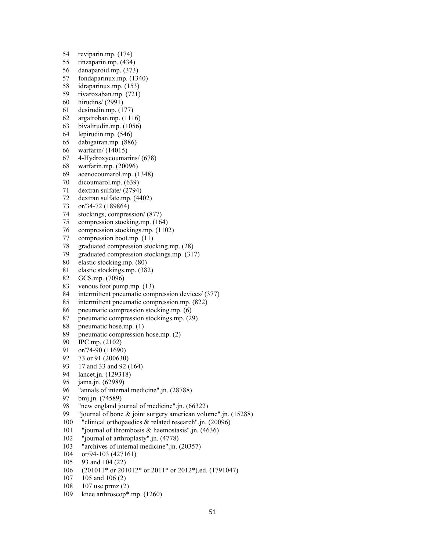- 54 reviparin.mp. (174)
- 55 tinzaparin.mp. (434)
- 56 danaparoid.mp. (373)
- 57 fondaparinux.mp. (1340)
- 58 idraparinux.mp. (153)
- 59 rivaroxaban.mp. (721)
- 60 hirudins/ (2991)
- 61 desirudin.mp. (177)
- 62 argatroban.mp. (1116)
- 63 bivalirudin.mp. (1056)
- 64 lepirudin.mp. (546)
- 65 dabigatran.mp. (886)
- 66 warfarin/ (14015)
- 67 4-Hydroxycoumarins/ (678)
- 68 warfarin.mp. (20096)
- 69 acenocoumarol.mp. (1348)
- 70 dicoumarol.mp. (639)
- 71 dextran sulfate/ (2794)
- 72 dextran sulfate.mp. (4402)
- 73 or/34-72 (189864)
- 74 stockings, compression/ (877)
- 75 compression stocking.mp. (164)
- 76 compression stockings.mp. (1102)
- 77 compression boot.mp. (11)
- 78 graduated compression stocking.mp. (28)
- 79 graduated compression stockings.mp. (317)
- 80 elastic stocking.mp. (80)
- 81 elastic stockings.mp. (382)
- 82 GCS.mp. (7096)
- 83 venous foot pump.mp. (13)
- 84 intermittent pneumatic compression devices/ (377)
- 85 intermittent pneumatic compression.mp. (822)
- 86 pneumatic compression stocking.mp. (6)
- 87 pneumatic compression stockings.mp. (29)
- 88 pneumatic hose.mp. (1)
- 89 pneumatic compression hose.mp. (2)
- 90 IPC.mp. (2102)
- 91 or/74-90 (11690)
- 92 73 or 91 (200630)
- 93 17 and 33 and 92 (164)
- 94 lancet.jn. (129318)
- 95 jama.jn. (62989)
- 96 "annals of internal medicine".jn. (28788)<br>97 bmj.jn. (74589)
- bmj.jn. (74589)
- 98 "new england journal of medicine".jn. (66322)
- 99 "journal of bone & joint surgery american volume".jn. (15288)
- 100 "clinical orthopaedics & related research".jn. (20096)
- 101 "journal of thrombosis & haemostasis".jn. (4636)
- 102 "journal of arthroplasty".jn. (4778)
- 103 "archives of internal medicine".jn. (20357)
- 104 or/94-103 (427161)
- 105 93 and 104 (22)
- 106 (201011\* or 201012\* or 2011\* or 2012\*).ed. (1791047)
- 107 105 and 106 (2)
- 108 107 use prmz (2)
- 109 knee arthroscop\*.mp. (1260)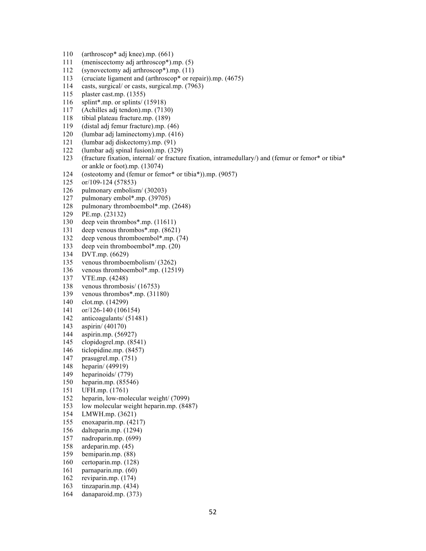- 110 (arthroscop\* adj knee).mp. (661)
- 111 (meniscectomy adj arthroscop\*).mp. (5)
- 112 (synovectomy adj arthroscop\*).mp. (11)
- 113 (cruciate ligament and (arthroscop\* or repair)).mp. (4675)
- 114 casts, surgical/ or casts, surgical.mp. (7963)
- 115 plaster cast.mp. (1355)
- 116 splint\*.mp. or splints/ (15918)
- 117 (Achilles adj tendon).mp. (7130)
- 118 tibial plateau fracture.mp. (189)
- 119 (distal adj femur fracture).mp. (46)
- 120 (lumbar adj laminectomy).mp. (416)
- 121 (lumbar adj diskectomy).mp. (91)
- 122 (lumbar adj spinal fusion).mp. (329)
- 123 (fracture fixation, internal/ or fracture fixation, intramedullary/) and (femur or femor\* or tibia\* or ankle or foot).mp. (13074)
- 124 (osteotomy and (femur or femor\* or tibia\*)).mp. (9057)
- 125 or/109-124 (57853)
- 126 pulmonary embolism/ (30203)
- 127 pulmonary embol\*.mp. (39705)
- 128 pulmonary thromboembol\*.mp. (2648)
- 129 PE.mp. (23132)
- 130 deep vein thrombos\*.mp. (11611)
- 131 deep venous thrombos\*.mp. (8621)
- 132 deep venous thromboembol\*.mp. (74)
- 133 deep vein thromboembol\*.mp. (20)
- 134 DVT.mp. (6629)
- 135 venous thromboembolism/ (3262)
- 136 venous thromboembol\*.mp. (12519)
- 137 VTE.mp. (4248)
- 138 venous thrombosis/ (16753)
- 139 venous thrombos\*.mp. (31180)
- 140 clot.mp. (14299)
- 141 or/126-140 (106154)
- 142 anticoagulants/ (51481)
- 143 aspirin/ (40170)
- 144 aspirin.mp. (56927)
- 145 clopidogrel.mp. (8541)
- 146 ticlopidine.mp. (8457)
- 147 prasugrel.mp. (751)
- 148 heparin/ (49919)
- 149 heparinoids/ (779)
- 150 heparin.mp. (85546)
- 151 UFH.mp. (1761)
- 152 heparin, low-molecular weight/ (7099)
- 153 low molecular weight heparin.mp. (8487)
- 154 LMWH.mp. (3621)
- 155 enoxaparin.mp. (4217)
- 156 dalteparin.mp. (1294)
- 157 nadroparin.mp. (699)
- 158 ardeparin.mp. (45)
- 159 bemiparin.mp. (88)
- 160 certoparin.mp. (128)
- 161 parnaparin.mp. (60)
- 162 reviparin.mp. (174)
- 163 tinzaparin.mp. (434)
- 164 danaparoid.mp. (373)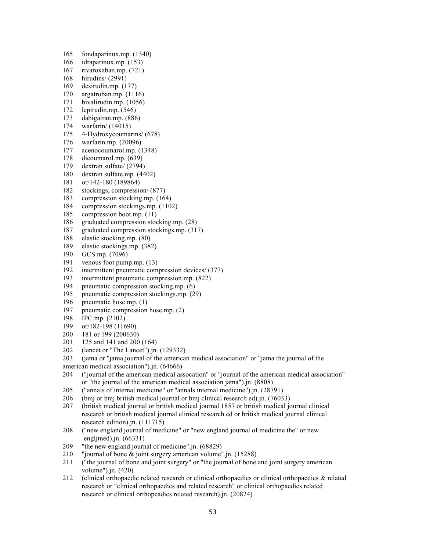- 165 fondaparinux.mp. (1340)
- 166 idraparinux.mp. (153)
- 167 rivaroxaban.mp. (721)
- 168 hirudins/ (2991)
- 169 desirudin.mp. (177)
- 170 argatroban.mp. (1116)
- 171 bivalirudin.mp. (1056)
- 172 lepirudin.mp. (546)
- 173 dabigatran.mp. (886)
- 174 warfarin/ (14015)
- 175 4-Hydroxycoumarins/ (678)
- 176 warfarin.mp. (20096)
- 177 acenocoumarol.mp. (1348)
- 178 dicoumarol.mp. (639)
- 179 dextran sulfate/ (2794)
- 180 dextran sulfate.mp. (4402)
- 181 or/142-180 (189864)
- 182 stockings, compression/ (877)
- 183 compression stocking.mp. (164)
- 184 compression stockings.mp. (1102)
- 185 compression boot.mp. (11)
- 186 graduated compression stocking.mp. (28)
- 187 graduated compression stockings.mp. (317)
- 188 elastic stocking.mp. (80)
- 189 elastic stockings.mp. (382)
- 190 GCS.mp. (7096)
- 191 venous foot pump.mp. (13)
- 192 intermittent pneumatic compression devices/ (377)
- 193 intermittent pneumatic compression.mp. (822)
- 194 pneumatic compression stocking.mp. (6)
- 195 pneumatic compression stockings.mp. (29)
- 196 pneumatic hose.mp. (1)
- 197 pneumatic compression hose.mp. (2)
- 198 IPC.mp. (2102)
- 199 or/182-198 (11690)
- 200 181 or 199 (200630)
- 201 125 and 141 and 200 (164)
- 202 (lancet or "The Lancet").jn. (129332)
- 203 (jama or "jama journal of the american medical association" or "jama the journal of the
- american medical association").jn. (64666)
- 204 ("journal of the american medical assocation" or "journal of the american medical association" or "the journal of the american medical association jama").jn. (8808)
- 205 ("annals of internal medicine" or "annals internal medicine").jn. (28791)
- 206 (bmj or bmj british medical journal or bmj clinical research ed).jn. (76033)
- 207 (british medical journal or british medical journal 1857 or british medical journal clinical research or british medical journal clinical research ed or british medical journal clinical research edition).jn. (111715)
- 208 ("new england journal of medicine" or "new england journal of medicine the" or new engljmed).jn. (66331)
- 209 "the new england journal of medicine".jn. (68829)
- 210 "journal of bone & joint surgery american volume".jn. (15288)
- 211 ("the journal of bone and joint surgery" or "the journal of bone and joint surgery american volume").jn. (420)
- 212 (clinical orthopaedic related research or clinical orthopaedics or clinical orthopaedics & related research or "clinical orthopaedics and related research" or clinical orthopaedics related research or clinical orthopeadics related research).jn. (20824)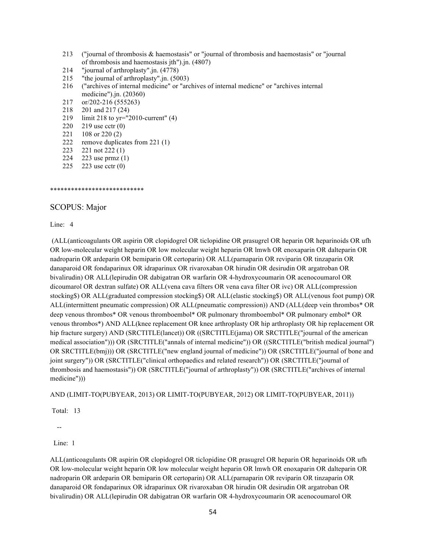- 213 ("journal of thrombosis & haemostasis" or "journal of thrombosis and haemostasis" or "journal of thrombosis and haemostasis jth").jn. (4807)
- 214 "journal of arthroplasty".jn. (4778)
- 215 "the journal of arthroplasty".jn. (5003)
- 216 ("archives of internal medicine" or "archives of internal medicne" or "archives internal medicine").jn. (20360)
- 217 or/202-216 (555263)
- 218 201 and 217 (24)
- 219 limit 218 to yr="2010-current" (4)
- 220 219 use cctr (0)
- 221 108 or 220 (2)
- 222 remove duplicates from 221 (1)
- 223 221 not 222 (1)
- 224 223 use prmz (1)
- 225 223 use cctr (0)

\*\*\*\*\*\*\*\*\*\*\*\*\*\*\*\*\*\*\*\*\*\*\*\*\*\*\*

#### SCOPUS: Major

Line: 4

(ALL(anticoagulants OR aspirin OR clopidogrel OR ticlopidine OR prasugrel OR heparin OR heparinoids OR ufh OR low-molecular weight heparin OR low molecular weight heparin OR lmwh OR enoxaparin OR dalteparin OR nadroparin OR ardeparin OR bemiparin OR certoparin) OR ALL(parnaparin OR reviparin OR tinzaparin OR danaparoid OR fondaparinux OR idraparinux OR rivaroxaban OR hirudin OR desirudin OR argatroban OR bivalirudin) OR ALL(lepirudin OR dabigatran OR warfarin OR 4-hydroxycoumarin OR acenocoumarol OR dicoumarol OR dextran sulfate) OR ALL(vena cava filters OR vena cava filter OR ivc) OR ALL(compression stocking\$) OR ALL(graduated compression stocking\$) OR ALL(elastic stocking\$) OR ALL(venous foot pump) OR ALL(intermittent pneumatic compression) OR ALL(pneumatic compression)) AND (ALL(deep vein thrombos\* OR deep venous thrombos\* OR venous thromboembol\* OR pulmonary thromboembol\* OR pulmonary embol\* OR venous thrombos\*) AND ALL(knee replacement OR knee arthroplasty OR hip arthroplasty OR hip replacement OR hip fracture surgery) AND (SRCTITLE(lancet)) OR ((SRCTITLE(jama) OR SRCTITLE("journal of the american medical association"))) OR (SRCTITLE("annals of internal medicine")) OR ((SRCTITLE("british medical journal") OR SRCTITLE(bmj))) OR (SRCTITLE("new england journal of medicine")) OR (SRCTITLE("journal of bone and joint surgery")) OR (SRCTITLE("clinical orthopaedics and related research")) OR (SRCTITLE("journal of thrombosis and haemostasis")) OR (SRCTITLE("journal of arthroplasty")) OR (SRCTITLE("archives of internal medicine")))

AND (LIMIT-TO(PUBYEAR, 2013) OR LIMIT-TO(PUBYEAR, 2012) OR LIMIT-TO(PUBYEAR, 2011))

Total: 13

--

Line: 1

ALL(anticoagulants OR aspirin OR clopidogrel OR ticlopidine OR prasugrel OR heparin OR heparinoids OR ufh OR low-molecular weight heparin OR low molecular weight heparin OR lmwh OR enoxaparin OR dalteparin OR nadroparin OR ardeparin OR bemiparin OR certoparin) OR ALL(parnaparin OR reviparin OR tinzaparin OR danaparoid OR fondaparinux OR idraparinux OR rivaroxaban OR hirudin OR desirudin OR argatroban OR bivalirudin) OR ALL(lepirudin OR dabigatran OR warfarin OR 4-hydroxycoumarin OR acenocoumarol OR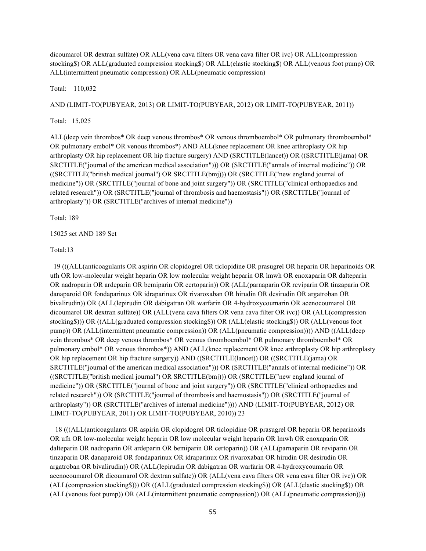dicoumarol OR dextran sulfate) OR ALL(vena cava filters OR vena cava filter OR ivc) OR ALL(compression stocking\$) OR ALL(graduated compression stocking\$) OR ALL(elastic stocking\$) OR ALL(venous foot pump) OR ALL(intermittent pneumatic compression) OR ALL(pneumatic compression)

Total: 110,032

AND (LIMIT-TO(PUBYEAR, 2013) OR LIMIT-TO(PUBYEAR, 2012) OR LIMIT-TO(PUBYEAR, 2011))

Total: 15,025

ALL(deep vein thrombos\* OR deep venous thrombos\* OR venous thromboembol\* OR pulmonary thromboembol\* OR pulmonary embol\* OR venous thrombos\*) AND ALL(knee replacement OR knee arthroplasty OR hip arthroplasty OR hip replacement OR hip fracture surgery) AND (SRCTITLE(lancet)) OR ((SRCTITLE(jama) OR SRCTITLE("journal of the american medical association"))) OR (SRCTITLE("annals of internal medicine")) OR ((SRCTITLE("british medical journal") OR SRCTITLE(bmj))) OR (SRCTITLE("new england journal of medicine")) OR (SRCTITLE("journal of bone and joint surgery")) OR (SRCTITLE("clinical orthopaedics and related research")) OR (SRCTITLE("journal of thrombosis and haemostasis")) OR (SRCTITLE("journal of arthroplasty")) OR (SRCTITLE("archives of internal medicine"))

Total: 189

15025 set AND 189 Set

Total:13

 19 (((ALL(anticoagulants OR aspirin OR clopidogrel OR ticlopidine OR prasugrel OR heparin OR heparinoids OR ufh OR low-molecular weight heparin OR low molecular weight heparin OR lmwh OR enoxaparin OR dalteparin OR nadroparin OR ardeparin OR bemiparin OR certoparin)) OR (ALL(parnaparin OR reviparin OR tinzaparin OR danaparoid OR fondaparinux OR idraparinux OR rivaroxaban OR hirudin OR desirudin OR argatroban OR bivalirudin)) OR (ALL(lepirudin OR dabigatran OR warfarin OR 4-hydroxycoumarin OR acenocoumarol OR dicoumarol OR dextran sulfate)) OR (ALL(vena cava filters OR vena cava filter OR ivc)) OR (ALL(compression stocking\$))) OR ((ALL(graduated compression stocking\$)) OR (ALL(elastic stocking\$)) OR (ALL(venous foot pump)) OR (ALL(intermittent pneumatic compression)) OR (ALL(pneumatic compression)))) AND ((ALL(deep vein thrombos\* OR deep venous thrombos\* OR venous thromboembol\* OR pulmonary thromboembol\* OR pulmonary embol\* OR venous thrombos\*)) AND (ALL(knee replacement OR knee arthroplasty OR hip arthroplasty OR hip replacement OR hip fracture surgery)) AND ((SRCTITLE(lancet)) OR ((SRCTITLE(jama) OR SRCTITLE("journal of the american medical association"))) OR (SRCTITLE("annals of internal medicine")) OR ((SRCTITLE("british medical journal") OR SRCTITLE(bmj))) OR (SRCTITLE("new england journal of medicine")) OR (SRCTITLE("journal of bone and joint surgery")) OR (SRCTITLE("clinical orthopaedics and related research")) OR (SRCTITLE("journal of thrombosis and haemostasis")) OR (SRCTITLE("journal of arthroplasty")) OR (SRCTITLE("archives of internal medicine")))) AND (LIMIT-TO(PUBYEAR, 2012) OR LIMIT-TO(PUBYEAR, 2011) OR LIMIT-TO(PUBYEAR, 2010)) 23

 18 (((ALL(anticoagulants OR aspirin OR clopidogrel OR ticlopidine OR prasugrel OR heparin OR heparinoids OR ufh OR low-molecular weight heparin OR low molecular weight heparin OR lmwh OR enoxaparin OR dalteparin OR nadroparin OR ardeparin OR bemiparin OR certoparin)) OR (ALL(parnaparin OR reviparin OR tinzaparin OR danaparoid OR fondaparinux OR idraparinux OR rivaroxaban OR hirudin OR desirudin OR argatroban OR bivalirudin)) OR (ALL(lepirudin OR dabigatran OR warfarin OR 4-hydroxycoumarin OR acenocoumarol OR dicoumarol OR dextran sulfate)) OR (ALL(vena cava filters OR vena cava filter OR ivc)) OR (ALL(compression stocking\$))) OR ((ALL(graduated compression stocking\$)) OR (ALL(elastic stocking\$)) OR (ALL(venous foot pump)) OR (ALL(intermittent pneumatic compression)) OR (ALL(pneumatic compression))))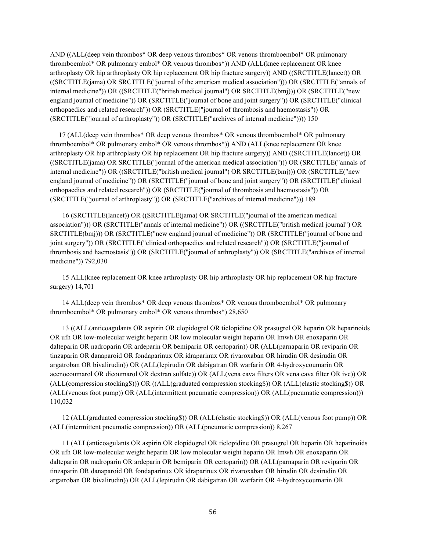AND ((ALL(deep vein thrombos\* OR deep venous thrombos\* OR venous thromboembol\* OR pulmonary thromboembol\* OR pulmonary embol\* OR venous thrombos\*)) AND (ALL(knee replacement OR knee arthroplasty OR hip arthroplasty OR hip replacement OR hip fracture surgery)) AND ((SRCTITLE(lancet)) OR ((SRCTITLE(jama) OR SRCTITLE("journal of the american medical association"))) OR (SRCTITLE("annals of internal medicine")) OR ((SRCTITLE("british medical journal") OR SRCTITLE(bmj))) OR (SRCTITLE("new england journal of medicine")) OR (SRCTITLE("journal of bone and joint surgery")) OR (SRCTITLE("clinical orthopaedics and related research")) OR (SRCTITLE("journal of thrombosis and haemostasis")) OR (SRCTITLE("journal of arthroplasty")) OR (SRCTITLE("archives of internal medicine")))) 150

 17 (ALL(deep vein thrombos\* OR deep venous thrombos\* OR venous thromboembol\* OR pulmonary thromboembol\* OR pulmonary embol\* OR venous thrombos\*)) AND (ALL(knee replacement OR knee arthroplasty OR hip arthroplasty OR hip replacement OR hip fracture surgery)) AND ((SRCTITLE(lancet)) OR ((SRCTITLE(jama) OR SRCTITLE("journal of the american medical association"))) OR (SRCTITLE("annals of internal medicine")) OR ((SRCTITLE("british medical journal") OR SRCTITLE(bmj))) OR (SRCTITLE("new england journal of medicine")) OR (SRCTITLE("journal of bone and joint surgery")) OR (SRCTITLE("clinical orthopaedics and related research")) OR (SRCTITLE("journal of thrombosis and haemostasis")) OR (SRCTITLE("journal of arthroplasty")) OR (SRCTITLE("archives of internal medicine"))) 189

 16 (SRCTITLE(lancet)) OR ((SRCTITLE(jama) OR SRCTITLE("journal of the american medical association"))) OR (SRCTITLE("annals of internal medicine")) OR ((SRCTITLE("british medical journal") OR SRCTITLE(bmj))) OR (SRCTITLE("new england journal of medicine")) OR (SRCTITLE("journal of bone and joint surgery")) OR (SRCTITLE("clinical orthopaedics and related research")) OR (SRCTITLE("journal of thrombosis and haemostasis")) OR (SRCTITLE("journal of arthroplasty")) OR (SRCTITLE("archives of internal medicine")) 792,030

 15 ALL(knee replacement OR knee arthroplasty OR hip arthroplasty OR hip replacement OR hip fracture surgery) 14,701

 14 ALL(deep vein thrombos\* OR deep venous thrombos\* OR venous thromboembol\* OR pulmonary thromboembol\* OR pulmonary embol\* OR venous thrombos\*) 28,650

 13 ((ALL(anticoagulants OR aspirin OR clopidogrel OR ticlopidine OR prasugrel OR heparin OR heparinoids OR ufh OR low-molecular weight heparin OR low molecular weight heparin OR lmwh OR enoxaparin OR dalteparin OR nadroparin OR ardeparin OR bemiparin OR certoparin)) OR (ALL(parnaparin OR reviparin OR tinzaparin OR danaparoid OR fondaparinux OR idraparinux OR rivaroxaban OR hirudin OR desirudin OR argatroban OR bivalirudin)) OR (ALL(lepirudin OR dabigatran OR warfarin OR 4-hydroxycoumarin OR acenocoumarol OR dicoumarol OR dextran sulfate)) OR (ALL(vena cava filters OR vena cava filter OR ivc)) OR (ALL(compression stocking\$))) OR ((ALL(graduated compression stocking\$)) OR (ALL(elastic stocking\$)) OR (ALL(venous foot pump)) OR (ALL(intermittent pneumatic compression)) OR (ALL(pneumatic compression))) 110,032

 12 (ALL(graduated compression stocking\$)) OR (ALL(elastic stocking\$)) OR (ALL(venous foot pump)) OR (ALL(intermittent pneumatic compression)) OR (ALL(pneumatic compression)) 8,267

 11 (ALL(anticoagulants OR aspirin OR clopidogrel OR ticlopidine OR prasugrel OR heparin OR heparinoids OR ufh OR low-molecular weight heparin OR low molecular weight heparin OR lmwh OR enoxaparin OR dalteparin OR nadroparin OR ardeparin OR bemiparin OR certoparin)) OR (ALL(parnaparin OR reviparin OR tinzaparin OR danaparoid OR fondaparinux OR idraparinux OR rivaroxaban OR hirudin OR desirudin OR argatroban OR bivalirudin)) OR (ALL(lepirudin OR dabigatran OR warfarin OR 4-hydroxycoumarin OR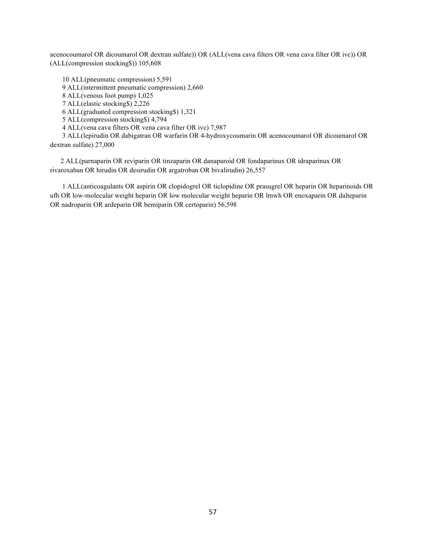acenocoumarol OR dicoumarol OR dextran sulfate)) OR (ALL(vena cava filters OR vena cava filter OR ivc)) OR (ALL(compression stocking\$)) 105,608

 10 ALL(pneumatic compression) 5,591 9 ALL(intermittent pneumatic compression) 2,660 8 ALL(venous foot pump) 1,025 7 ALL(elastic stocking\$) 2,226 6 ALL(graduated compression stocking\$) 1,321 5 ALL(compression stocking\$) 4,794 4 ALL(vena cava filters OR vena cava filter OR ivc) 7,987 3 ALL(lepirudin OR dabigatran OR warfarin OR 4-hydroxycoumarin OR acenocoumarol OR dicoumarol OR dextran sulfate) 27,000

 2 ALL(parnaparin OR reviparin OR tinzaparin OR danaparoid OR fondaparinux OR idraparinux OR rivaroxaban OR hirudin OR desirudin OR argatroban OR bivalirudin) 26,557

 1 ALL(anticoagulants OR aspirin OR clopidogrel OR ticlopidine OR prasugrel OR heparin OR heparinoids OR ufh OR low-molecular weight heparin OR low molecular weight heparin OR lmwh OR enoxaparin OR dalteparin OR nadroparin OR ardeparin OR bemiparin OR certoparin) 56,598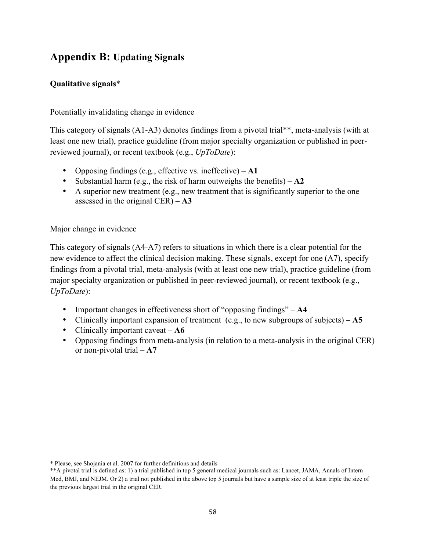## **Appendix B: Updating Signals**

### **Qualitative signals**\*

#### Potentially invalidating change in evidence

This category of signals (A1-A3) denotes findings from a pivotal trial\*\*, meta-analysis (with at least one new trial), practice guideline (from major specialty organization or published in peerreviewed journal), or recent textbook (e.g., *UpToDate*):

- Opposing findings (e.g., effective vs. ineffective) **A1**
- Substantial harm (e.g., the risk of harm outweighs the benefits) **A2**
- A superior new treatment (e.g., new treatment that is significantly superior to the one assessed in the original CER) – **A3**

#### Major change in evidence

This category of signals (A4-A7) refers to situations in which there is a clear potential for the new evidence to affect the clinical decision making. These signals, except for one (A7), specify findings from a pivotal trial, meta-analysis (with at least one new trial), practice guideline (from major specialty organization or published in peer-reviewed journal), or recent textbook (e.g., *UpToDate*):

- Important changes in effectiveness short of "opposing findings" **A4**
- Clinically important expansion of treatment (e.g., to new subgroups of subjects) **A5**
- Clinically important caveat **A6**
- Opposing findings from meta-analysis (in relation to a meta-analysis in the original CER) or non-pivotal trial – **A7**

<sup>\*</sup> Please, see Shojania et al. 2007 for further definitions and details

<sup>\*\*</sup>A pivotal trial is defined as: 1) a trial published in top 5 general medical journals such as: Lancet, JAMA, Annals of Intern Med, BMJ, and NEJM. Or 2) a trial not published in the above top 5 journals but have a sample size of at least triple the size of the previous largest trial in the original CER.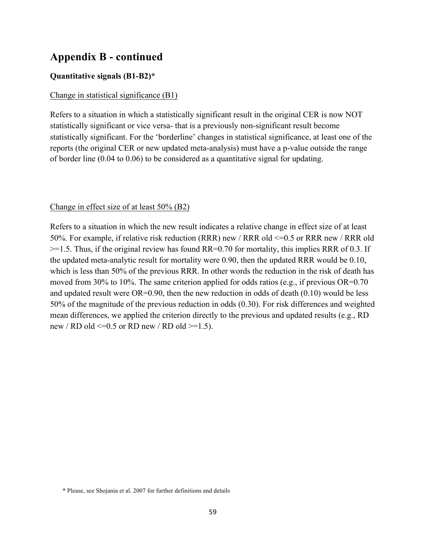## **Appendix B - continued**

#### **Quantitative signals (B1-B2)\***

#### Change in statistical significance (B1)

Refers to a situation in which a statistically significant result in the original CER is now NOT statistically significant or vice versa- that is a previously non-significant result become statistically significant. For the 'borderline' changes in statistical significance, at least one of the reports (the original CER or new updated meta-analysis) must have a p-value outside the range of border line (0.04 to 0.06) to be considered as a quantitative signal for updating.

#### Change in effect size of at least 50% (B2)

Refers to a situation in which the new result indicates a relative change in effect size of at least 50%. For example, if relative risk reduction (RRR) new / RRR old <=0.5 or RRR new / RRR old  $>=$  1.5. Thus, if the original review has found RR=0.70 for mortality, this implies RRR of 0.3. If the updated meta-analytic result for mortality were 0.90, then the updated RRR would be 0.10, which is less than 50% of the previous RRR. In other words the reduction in the risk of death has moved from 30% to 10%. The same criterion applied for odds ratios (e.g., if previous  $OR=0.70$ and updated result were  $OR=0.90$ , then the new reduction in odds of death  $(0.10)$  would be less 50% of the magnitude of the previous reduction in odds (0.30). For risk differences and weighted mean differences, we applied the criterion directly to the previous and updated results (e.g., RD new / RD old  $\leq$ =0.5 or RD new / RD old  $\geq$ =1.5).

<sup>\*</sup> Please, see Shojania et al. 2007 for further definitions and details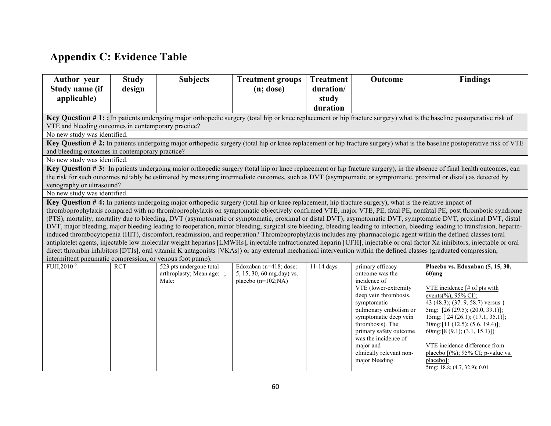# **Appendix C: Evidence Table**

| <b>Author</b> year                                        | <b>Study</b> | <b>Subjects</b>                                                                                                                                        | <b>Treatment groups</b>   | <b>Treatment</b> | Outcome                                     | <b>Findings</b>                                                                                                                                                                                                                                                                                                                                |
|-----------------------------------------------------------|--------------|--------------------------------------------------------------------------------------------------------------------------------------------------------|---------------------------|------------------|---------------------------------------------|------------------------------------------------------------------------------------------------------------------------------------------------------------------------------------------------------------------------------------------------------------------------------------------------------------------------------------------------|
| Study name (if                                            | design       |                                                                                                                                                        | (n; dose)                 | duration/        |                                             |                                                                                                                                                                                                                                                                                                                                                |
| applicable)                                               |              |                                                                                                                                                        |                           | study            |                                             |                                                                                                                                                                                                                                                                                                                                                |
|                                                           |              |                                                                                                                                                        |                           | duration         |                                             |                                                                                                                                                                                                                                                                                                                                                |
|                                                           |              |                                                                                                                                                        |                           |                  |                                             | Key Question #1: In patients undergoing major orthopedic surgery (total hip or knee replacement or hip fracture surgery) what is the baseline postoperative risk of                                                                                                                                                                            |
| VTE and bleeding outcomes in contemporary practice?       |              |                                                                                                                                                        |                           |                  |                                             |                                                                                                                                                                                                                                                                                                                                                |
| No new study was identified.                              |              |                                                                                                                                                        |                           |                  |                                             |                                                                                                                                                                                                                                                                                                                                                |
| and bleeding outcomes in contemporary practice?           |              |                                                                                                                                                        |                           |                  |                                             | Key Question # 2: In patients undergoing major orthopedic surgery (total hip or knee replacement or hip fracture surgery) what is the baseline postoperative risk of VTE                                                                                                                                                                       |
| No new study was identified.                              |              |                                                                                                                                                        |                           |                  |                                             |                                                                                                                                                                                                                                                                                                                                                |
| venography or ultrasound?                                 |              |                                                                                                                                                        |                           |                  |                                             | Key Question #3: In patients undergoing major orthopedic surgery (total hip or knee replacement or hip fracture surgery), in the absence of final health outcomes, can<br>the risk for such outcomes reliably be estimated by measuring intermediate outcomes, such as DVT (asymptomatic or symptomatic, proximal or distal) as detected by    |
| No new study was identified.                              |              |                                                                                                                                                        |                           |                  |                                             |                                                                                                                                                                                                                                                                                                                                                |
|                                                           |              | Key Question #4: In patients undergoing major orthopedic surgery (total hip or knee replacement, hip fracture surgery), what is the relative impact of |                           |                  |                                             |                                                                                                                                                                                                                                                                                                                                                |
|                                                           |              |                                                                                                                                                        |                           |                  |                                             | thromboprophylaxis compared with no thromboprophylaxis on symptomatic objectively confirmed VTE, major VTE, PE, fatal PE, nonfatal PE, post thrombotic syndrome                                                                                                                                                                                |
|                                                           |              |                                                                                                                                                        |                           |                  |                                             | (PTS), mortality, mortality due to bleeding, DVT (asymptomatic or symptomatic, proximal or distal DVT), asymptomatic DVT, symptomatic DVT, proximal DVT, distal                                                                                                                                                                                |
|                                                           |              |                                                                                                                                                        |                           |                  |                                             | DVT, major bleeding, major bleeding leading to reoperation, minor bleeding, surgical site bleeding, bleeding leading to infection, bleeding leading to transfusion, heparin-<br>induced thrombocytopenia (HIT), discomfort, readmission, and reoperation? Thromboprophylaxis includes any pharmacologic agent within the defined classes (oral |
|                                                           |              |                                                                                                                                                        |                           |                  |                                             | antiplatelet agents, injectable low molecular weight heparins [LMWHs], injectable unfractionated heparin [UFH], injectable or oral factor Xa inhibitors, injectable or oral                                                                                                                                                                    |
|                                                           |              |                                                                                                                                                        |                           |                  |                                             | direct thrombin inhibitors [DTIs], oral vitamin K antagonists [VKAs]) or any external mechanical intervention within the defined classes (graduated compression,                                                                                                                                                                               |
| intermittent pneumatic compression, or venous foot pump). |              |                                                                                                                                                        |                           |                  |                                             |                                                                                                                                                                                                                                                                                                                                                |
| FUJI,2010 <sup>6</sup>                                    | <b>RCT</b>   | 523 pts undergone total                                                                                                                                | Edoxaban (n=418; dose:    | $11-14$ days     | primary efficacy                            | Placebo vs. Edoxaban (5, 15, 30,                                                                                                                                                                                                                                                                                                               |
|                                                           |              | arthroplasty; Mean age: ;                                                                                                                              | 5, 15, 30, 60 mg.day) vs. |                  | outcome was the                             | $60$ ) $mg$                                                                                                                                                                                                                                                                                                                                    |
|                                                           |              | Male:                                                                                                                                                  | placebo $(n=102; NA)$     |                  | incidence of<br>VTE (lower-extremity        | VTE incidence $\left[\text{\# of pts with}\right]$                                                                                                                                                                                                                                                                                             |
|                                                           |              |                                                                                                                                                        |                           |                  | deep vein thrombosis,                       | events(%); 95% CI]:                                                                                                                                                                                                                                                                                                                            |
|                                                           |              |                                                                                                                                                        |                           |                  | symptomatic                                 | 43 (48.3); (37. 9, 58.7) versus {                                                                                                                                                                                                                                                                                                              |
|                                                           |              |                                                                                                                                                        |                           |                  | pulmonary embolism or                       | 5mg: [26 (29.5); (20.0, 39.1)];                                                                                                                                                                                                                                                                                                                |
|                                                           |              |                                                                                                                                                        |                           |                  | symptomatic deep vein                       | 15mg: [24 (26.1); (17.1, 35.1)];                                                                                                                                                                                                                                                                                                               |
|                                                           |              |                                                                                                                                                        |                           |                  | thrombosis). The                            | 30mg: [11 (12.5); (5.6, 19.4)];                                                                                                                                                                                                                                                                                                                |
|                                                           |              |                                                                                                                                                        |                           |                  | primary safety outcome                      | 60mg: [8 (9.1); (3.1, 15.1)]}                                                                                                                                                                                                                                                                                                                  |
|                                                           |              |                                                                                                                                                        |                           |                  | was the incidence of                        |                                                                                                                                                                                                                                                                                                                                                |
|                                                           |              |                                                                                                                                                        |                           |                  | major and                                   | VTE incidence difference from                                                                                                                                                                                                                                                                                                                  |
|                                                           |              |                                                                                                                                                        |                           |                  | clinically relevant non-<br>major bleeding. | placebo $[(\%)$ ; 95% CI; p-value vs.<br>placebol:                                                                                                                                                                                                                                                                                             |
|                                                           |              |                                                                                                                                                        |                           |                  |                                             | 5mg: 18.8; (4.7, 32.9); 0.01                                                                                                                                                                                                                                                                                                                   |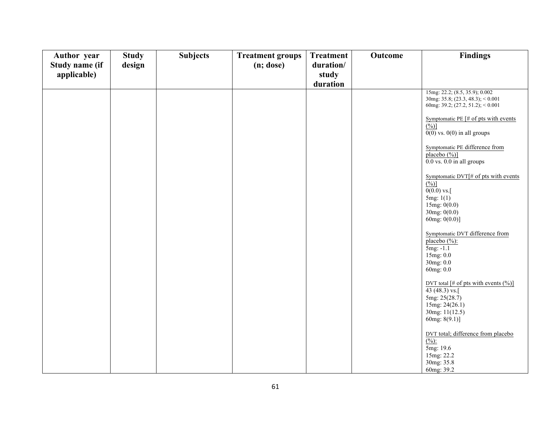| Author year    | <b>Study</b> | <b>Subjects</b> | <b>Treatment groups</b> | <b>Treatment</b> | <b>Outcome</b> | <b>Findings</b>                                                                                                                            |
|----------------|--------------|-----------------|-------------------------|------------------|----------------|--------------------------------------------------------------------------------------------------------------------------------------------|
| Study name (if | design       |                 | $(n;$ dose $)$          | duration/        |                |                                                                                                                                            |
| applicable)    |              |                 |                         | study            |                |                                                                                                                                            |
|                |              |                 |                         | duration         |                |                                                                                                                                            |
|                |              |                 |                         |                  |                | 15mg: 22.2; (8.5, 35.9); 0.002<br>$30mg: 35.8$ ; $(23.3, 48.3)$ ; < 0.001<br>60mg: 39.2; $(27.2, 51.2)$ ; < 0.001                          |
|                |              |                 |                         |                  |                | Symptomatic PE $\left[\text{\# of pts with events}\right]$<br>$(^{0}/_{0})]$<br>$0(0)$ vs. $0(0)$ in all groups                            |
|                |              |                 |                         |                  |                | Symptomatic PE difference from<br>placebo (%)]<br>$0.0$ vs. $0.0$ in all groups                                                            |
|                |              |                 |                         |                  |                | Symptomatic DVT[# of pts with events<br>$(\frac{0}{0})$<br>$0(0.0)$ vs.<br>5mg: 1(1)<br>15mg: $0(0.0)$<br>30mg: 0(0.0)<br>60mg: $0(0.0)$ ] |
|                |              |                 |                         |                  |                | Symptomatic DVT difference from<br>placebo $(\frac{9}{6})$ :<br>5mg: -1.1<br>15mg: 0.0<br>30mg: 0.0<br>60mg: 0.0                           |
|                |              |                 |                         |                  |                | DVT total [# of pts with events $(\%)]$<br>43 $(48.3)$ vs.<br>5mg: 25(28.7)<br>15mg: 24(26.1)<br>30mg: 11(12.5)<br>60mg: $8(9.1)$ ]        |
|                |              |                 |                         |                  |                | DVT total; difference from placebo<br>$\frac{(\frac{0}{0})^2}{2}$<br>5mg: 19.6<br>15mg: 22.2<br>30mg: 35.8<br>60mg: 39.2                   |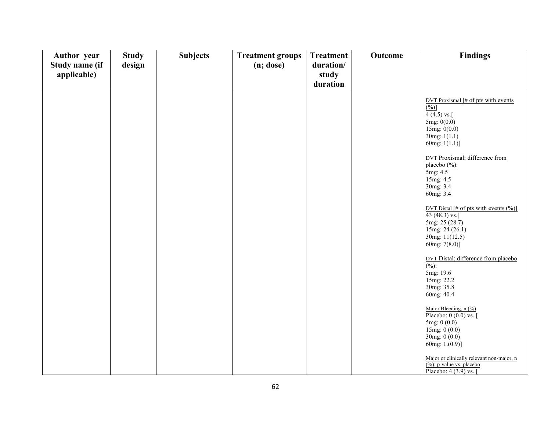| Author year    | <b>Study</b> | <b>Subjects</b> | <b>Treatment groups</b> | <b>Treatment</b> | Outcome | <b>Findings</b>                                                                                                                                                                                                                                                                                                                                                                                                                                                                                                                                                                                                                                            |
|----------------|--------------|-----------------|-------------------------|------------------|---------|------------------------------------------------------------------------------------------------------------------------------------------------------------------------------------------------------------------------------------------------------------------------------------------------------------------------------------------------------------------------------------------------------------------------------------------------------------------------------------------------------------------------------------------------------------------------------------------------------------------------------------------------------------|
| Study name (if | design       |                 | $(n;$ dose $)$          | duration/        |         |                                                                                                                                                                                                                                                                                                                                                                                                                                                                                                                                                                                                                                                            |
| applicable)    |              |                 |                         | study            |         |                                                                                                                                                                                                                                                                                                                                                                                                                                                                                                                                                                                                                                                            |
|                |              |                 |                         | duration         |         |                                                                                                                                                                                                                                                                                                                                                                                                                                                                                                                                                                                                                                                            |
|                |              |                 |                         |                  |         | DVT Proxismal $\left[\text{\# of pts with events}\right]$<br>$(^{0}/_{0})]$<br>$4(4.5)$ vs.[<br>5mg: 0(0.0)<br>15mg: $0(0.0)$<br>30mg: $1(1.1)$<br>60mg: $1(1.1)$ ]<br><b>DVT Proxismal</b> ; difference from<br>placebo (%):<br>5mg: 4.5<br>15mg: 4.5<br>30mg: 3.4<br>60mg: 3.4<br>DVT Distal [# of pts with events $(\%)$ ]<br>43 (48.3) vs.[<br>5mg: 25 (28.7)<br>15mg: 24 (26.1)<br>30mg: 11(12.5)<br>60mg: $7(8.0)$ ]<br>DVT Distal; difference from placebo<br>(%).<br>5mg: 19.6<br>15mg: 22.2<br>30mg: 35.8<br>60mg: 40.4<br>Major Bleeding, n (%)<br>Placebo: 0 (0.0) vs. [<br>5mg: 0(0.0)<br>15mg: 0 (0.0)<br>30mg: $0(0.0)$<br>60mg: $1.(0.9)$ ] |
|                |              |                 |                         |                  |         | Major or clinically relevant non-major, n                                                                                                                                                                                                                                                                                                                                                                                                                                                                                                                                                                                                                  |
|                |              |                 |                         |                  |         | $\overline{(*)}$ ; p-value vs. placebo                                                                                                                                                                                                                                                                                                                                                                                                                                                                                                                                                                                                                     |
|                |              |                 |                         |                  |         | Placebo: 4 (3.9) vs. [                                                                                                                                                                                                                                                                                                                                                                                                                                                                                                                                                                                                                                     |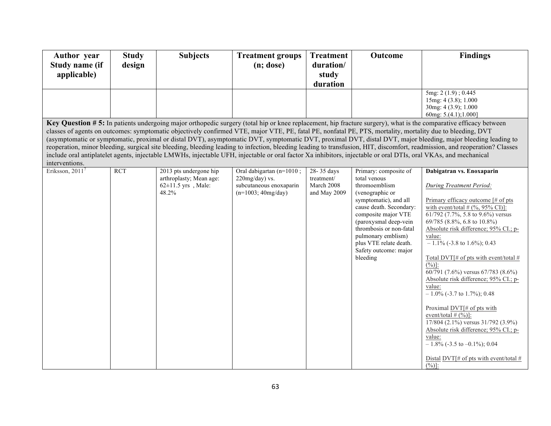| <b>Author</b> year                                                                                                                                                                                                                                                                                                                                                                                                                                                                                                                                                                                                                                                                                                                                                                                                                                                   | <b>Study</b> | <b>Subjects</b>                                                                        | <b>Treatment groups</b>                                                                          | <b>Treatment</b>                                       | Outcome                                                                                                                                                                                                                                                                                       | <b>Findings</b>                                                                                                                                                                                                                                                                                                                                                                                                                                                                                                                                                                                                                                                                                                                                                  |  |  |
|----------------------------------------------------------------------------------------------------------------------------------------------------------------------------------------------------------------------------------------------------------------------------------------------------------------------------------------------------------------------------------------------------------------------------------------------------------------------------------------------------------------------------------------------------------------------------------------------------------------------------------------------------------------------------------------------------------------------------------------------------------------------------------------------------------------------------------------------------------------------|--------------|----------------------------------------------------------------------------------------|--------------------------------------------------------------------------------------------------|--------------------------------------------------------|-----------------------------------------------------------------------------------------------------------------------------------------------------------------------------------------------------------------------------------------------------------------------------------------------|------------------------------------------------------------------------------------------------------------------------------------------------------------------------------------------------------------------------------------------------------------------------------------------------------------------------------------------------------------------------------------------------------------------------------------------------------------------------------------------------------------------------------------------------------------------------------------------------------------------------------------------------------------------------------------------------------------------------------------------------------------------|--|--|
| <b>Study name (if</b>                                                                                                                                                                                                                                                                                                                                                                                                                                                                                                                                                                                                                                                                                                                                                                                                                                                | design       |                                                                                        | $(n;$ dose)                                                                                      | duration/                                              |                                                                                                                                                                                                                                                                                               |                                                                                                                                                                                                                                                                                                                                                                                                                                                                                                                                                                                                                                                                                                                                                                  |  |  |
| applicable)                                                                                                                                                                                                                                                                                                                                                                                                                                                                                                                                                                                                                                                                                                                                                                                                                                                          |              |                                                                                        |                                                                                                  | study                                                  |                                                                                                                                                                                                                                                                                               |                                                                                                                                                                                                                                                                                                                                                                                                                                                                                                                                                                                                                                                                                                                                                                  |  |  |
|                                                                                                                                                                                                                                                                                                                                                                                                                                                                                                                                                                                                                                                                                                                                                                                                                                                                      |              |                                                                                        |                                                                                                  | duration                                               |                                                                                                                                                                                                                                                                                               |                                                                                                                                                                                                                                                                                                                                                                                                                                                                                                                                                                                                                                                                                                                                                                  |  |  |
|                                                                                                                                                                                                                                                                                                                                                                                                                                                                                                                                                                                                                                                                                                                                                                                                                                                                      |              |                                                                                        |                                                                                                  |                                                        |                                                                                                                                                                                                                                                                                               | 5mg: 2 (1.9); 0.445<br>15mg: 4 (3.8); 1.000                                                                                                                                                                                                                                                                                                                                                                                                                                                                                                                                                                                                                                                                                                                      |  |  |
|                                                                                                                                                                                                                                                                                                                                                                                                                                                                                                                                                                                                                                                                                                                                                                                                                                                                      |              |                                                                                        |                                                                                                  |                                                        |                                                                                                                                                                                                                                                                                               | 30mg: 4 (3.9); 1.000<br>60mg: $5.(4.1); 1.000]$                                                                                                                                                                                                                                                                                                                                                                                                                                                                                                                                                                                                                                                                                                                  |  |  |
| Key Question # 5: In patients undergoing major orthopedic surgery (total hip or knee replacement, hip fracture surgery), what is the comparative efficacy between<br>classes of agents on outcomes: symptomatic objectively confirmed VTE, major VTE, PE, fatal PE, nonfatal PE, PTS, mortality, mortality due to bleeding, DVT<br>(asymptomatic or symptomatic, proximal or distal DVT), asymptomatic DVT, symptomatic DVT, proximal DVT, distal DVT, major bleeding, major bleeding leading to<br>reoperation, minor bleeding, surgical site bleeding, bleeding leading to infection, bleeding leading to transfusion, HIT, discomfort, readmission, and reoperation? Classes<br>include oral antiplatelet agents, injectable LMWHs, injectable UFH, injectable or oral factor Xa inhibitors, injectable or oral DTIs, oral VKAs, and mechanical<br>interventions. |              |                                                                                        |                                                                                                  |                                                        |                                                                                                                                                                                                                                                                                               |                                                                                                                                                                                                                                                                                                                                                                                                                                                                                                                                                                                                                                                                                                                                                                  |  |  |
| Eriksson, $20117$                                                                                                                                                                                                                                                                                                                                                                                                                                                                                                                                                                                                                                                                                                                                                                                                                                                    | <b>RCT</b>   | 2013 pts undergone hip<br>arthroplasty; Mean age:<br>$62 \pm 11.5$ yrs, Male:<br>48.2% | Oral dabigartan (n=1010;<br>$220$ mg/day) vs.<br>subcutaneous enoxaparin<br>$(n=1003; 40mg/day)$ | 28-35 days<br>treatment/<br>March 2008<br>and May 2009 | Primary: composite of<br>total venous<br>thromoemblism<br>(venographic or<br>symptomatic), and all<br>cause death. Secondary:<br>composite major VTE<br>(paroxysmal deep-vein<br>thrombosis or non-fatal<br>pulmonary emblism)<br>plus VTE relate death.<br>Safety outcome: major<br>bleeding | Dabigatran vs. Enoxaparin<br>During Treatment Period:<br>Primary efficacy outcome [# of pts<br>with event/total $# (%, 95\% \text{ CI})$ :<br>61/792 (7.7%, 5.8 to 9.6%) versus<br>69/785 (8.8%, 6.8 to 10.8%)<br>Absolute risk difference; 95% CI.; p-<br>value:<br>$-1.1\%$ (-3.8 to 1.6%); 0.43<br>Total DVT $\#$ of pts with event/total $\#$<br>$(\frac{6}{6})$ :<br>60/791 (7.6%) versus 67/783 (8.6%)<br>Absolute risk difference; 95% CI.; p-<br>value:<br>$-1.0\%$ (-3.7 to 1.7%); 0.48<br>Proximal DVT[# of pts with<br>event/total $# (\frac{9}{0})$ ]:<br>$17/804$ (2.1%) versus $31/792$ (3.9%)<br>Absolute risk difference; 95% CI.; p-<br>value:<br>$-1.8\%$ (-3.5 to -0.1%); 0.04<br>Distal DVT[# of pts with event/total #<br>$(\frac{0}{0})$ : |  |  |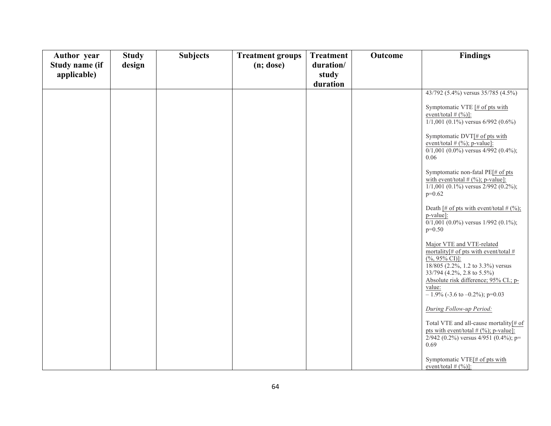| Author year    | <b>Study</b> | <b>Subjects</b> | <b>Treatment groups</b> | <b>Treatment</b> | Outcome | <b>Findings</b>                                                                                                                                                                                                                                                       |
|----------------|--------------|-----------------|-------------------------|------------------|---------|-----------------------------------------------------------------------------------------------------------------------------------------------------------------------------------------------------------------------------------------------------------------------|
| Study name (if | design       |                 | $(n;$ dose)             | duration/        |         |                                                                                                                                                                                                                                                                       |
| applicable)    |              |                 |                         | study            |         |                                                                                                                                                                                                                                                                       |
|                |              |                 |                         | duration         |         |                                                                                                                                                                                                                                                                       |
|                |              |                 |                         |                  |         | 43/792 (5.4%) versus 35/785 (4.5%)                                                                                                                                                                                                                                    |
|                |              |                 |                         |                  |         | Symptomatic VTE [# of pts with<br>event/total $#$ (%)]:<br>$1/1,001$ (0.1%) versus 6/992 (0.6%)                                                                                                                                                                       |
|                |              |                 |                         |                  |         | Symptomatic DVT[# of pts with<br>event/total $#$ (%); p-value]:<br>$0/1,001$ (0.0%) versus 4/992 (0.4%);<br>0.06                                                                                                                                                      |
|                |              |                 |                         |                  |         | Symptomatic non-fatal PE[# of pts<br>with event/total $# (%); p-value]$ :<br>$1/1,001$ (0.1%) versus $2/992$ (0.2%);<br>$p=0.62$                                                                                                                                      |
|                |              |                 |                         |                  |         | Death [# of pts with event/total # $(%)$ ;<br>p-value]:<br>$0/1,001$ $(0.0\%)$ versus $1/992$ $(0.1\%)$ ;<br>$p=0.50$                                                                                                                                                 |
|                |              |                 |                         |                  |         | Major VTE and VTE-related<br>mortality <sup>[#</sup> of pts with event/total $#$<br>$(\%95\% \text{ CI})$ :<br>18/805 (2.2%, 1.2 to 3.3%) versus<br>33/794 (4.2%, 2.8 to 5.5%)<br>Absolute risk difference; 95% CI.; p-<br>value:<br>$-1.9\%$ (-3.6 to -0.2%); p=0.03 |
|                |              |                 |                         |                  |         | During Follow-up Period:                                                                                                                                                                                                                                              |
|                |              |                 |                         |                  |         | Total VTE and all-cause mortality[# of<br>pts with event/total $# (%)$ ; p-value]:<br>2/942 (0.2%) versus $4/951$ (0.4%); p=<br>0.69                                                                                                                                  |
|                |              |                 |                         |                  |         | Symptomatic VTE[# of pts with<br>event/total $# (\%)]$ :                                                                                                                                                                                                              |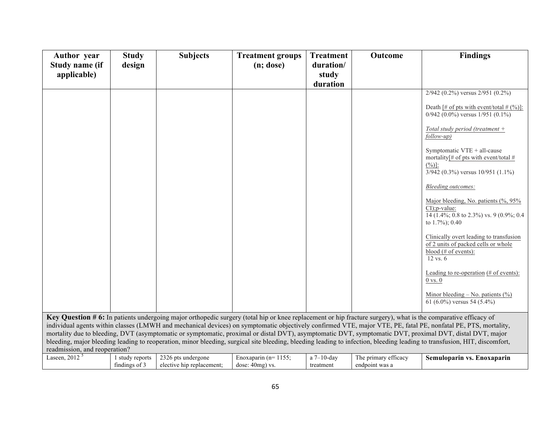| <b>Author</b> year<br>Study name (if | <b>Study</b><br>design           | <b>Subjects</b>                                                                                                                                                | <b>Treatment groups</b><br>(n; dose)          | <b>Treatment</b><br>duration/ | Outcome                                | <b>Findings</b>                                                                                                                                                                                                                                                                                                                                                                                                                                                                                         |
|--------------------------------------|----------------------------------|----------------------------------------------------------------------------------------------------------------------------------------------------------------|-----------------------------------------------|-------------------------------|----------------------------------------|---------------------------------------------------------------------------------------------------------------------------------------------------------------------------------------------------------------------------------------------------------------------------------------------------------------------------------------------------------------------------------------------------------------------------------------------------------------------------------------------------------|
| applicable)                          |                                  |                                                                                                                                                                |                                               | study                         |                                        |                                                                                                                                                                                                                                                                                                                                                                                                                                                                                                         |
|                                      |                                  |                                                                                                                                                                |                                               | duration                      |                                        |                                                                                                                                                                                                                                                                                                                                                                                                                                                                                                         |
|                                      |                                  |                                                                                                                                                                |                                               |                               |                                        | $2/942$ (0.2%) versus $2/951$ (0.2%)<br>Death [# of pts with event/total # $(%)$ ]:<br>$0/942$ (0.0%) versus $1/951$ (0.1%)                                                                                                                                                                                                                                                                                                                                                                             |
|                                      |                                  |                                                                                                                                                                |                                               |                               |                                        | Total study period (treatment $+$<br>follow-up)                                                                                                                                                                                                                                                                                                                                                                                                                                                         |
|                                      |                                  |                                                                                                                                                                |                                               |                               |                                        | Symptomatic VTE + all-cause<br>mortality <sup>[#</sup> of pts with event/total #<br>$(\frac{6}{6})$ :<br>$3/942$ (0.3%) versus $10/951$ (1.1%)                                                                                                                                                                                                                                                                                                                                                          |
|                                      |                                  |                                                                                                                                                                |                                               |                               |                                        | Bleeding outcomes:                                                                                                                                                                                                                                                                                                                                                                                                                                                                                      |
|                                      |                                  |                                                                                                                                                                |                                               |                               |                                        | Major bleeding, No. patients (%, 95%<br>$CI$ : p-value:<br>14 $(1.4\%; 0.8 \text{ to } 2.3\%)$ vs. 9 $(0.9\%; 0.4)$<br>to $1.7\%$ ; 0.40                                                                                                                                                                                                                                                                                                                                                                |
|                                      |                                  |                                                                                                                                                                |                                               |                               |                                        | Clinically overt leading to transfusion<br>of 2 units of packed cells or whole<br>blood (# of events):<br>12 vs. 6                                                                                                                                                                                                                                                                                                                                                                                      |
|                                      |                                  |                                                                                                                                                                |                                               |                               |                                        | Leading to re-operation $(\# \text{ of events})$ :<br>$0$ vs. $0$                                                                                                                                                                                                                                                                                                                                                                                                                                       |
|                                      |                                  |                                                                                                                                                                |                                               |                               |                                        | Minor bleeding – No. patients $(\% )$<br>61 (6.0%) versus 54 (5.4%)                                                                                                                                                                                                                                                                                                                                                                                                                                     |
| readmission, and reoperation?        |                                  | Key Question # 6: In patients undergoing major orthopedic surgery (total hip or knee replacement or hip fracture surgery), what is the comparative efficacy of |                                               |                               |                                        | individual agents within classes (LMWH and mechanical devices) on symptomatic objectively confirmed VTE, major VTE, PE, fatal PE, nonfatal PE, PTS, mortality,<br>mortality due to bleeding, DVT (asymptomatic or symptomatic, proximal or distal DVT), asymptomatic DVT, symptomatic DVT, proximal DVT, distal DVT, major<br>bleeding, major bleeding leading to reoperation, minor bleeding, surgical site bleeding, bleeding leading to infection, bleeding leading to transfusion, HIT, discomfort, |
| Laseen, 2012 $5$                     | 1 study reports<br>findings of 3 | 2326 pts undergone<br>elective hip replacement;                                                                                                                | Enoxaparin ( $n=1155$ ;<br>dose: $40mg$ ) vs. | a $7-10$ -day<br>treatment    | The primary efficacy<br>endpoint was a | Semuloparin vs. Enoxaparin                                                                                                                                                                                                                                                                                                                                                                                                                                                                              |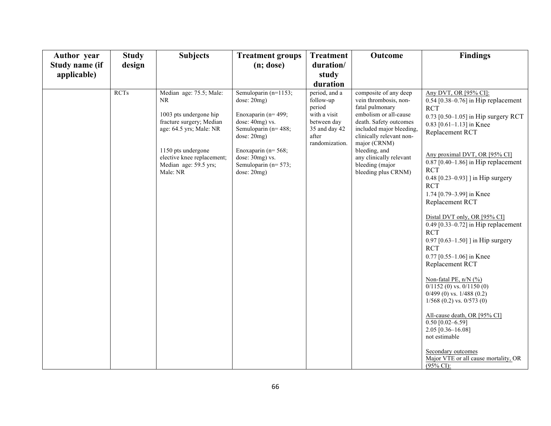| <b>Study</b> | <b>Subjects</b>                                                                                                                                                                                          | <b>Treatment groups</b>                                                                                                                                                                                          | <b>Treatment</b>                                                                                                | Outcome                                                                                                                                                                                                                                                                            | <b>Findings</b>                                                                                                                                                                                                                                                                                                                                                                                                                                                                                                                                                                                                                                                                                                                                                                                                                                 |
|--------------|----------------------------------------------------------------------------------------------------------------------------------------------------------------------------------------------------------|------------------------------------------------------------------------------------------------------------------------------------------------------------------------------------------------------------------|-----------------------------------------------------------------------------------------------------------------|------------------------------------------------------------------------------------------------------------------------------------------------------------------------------------------------------------------------------------------------------------------------------------|-------------------------------------------------------------------------------------------------------------------------------------------------------------------------------------------------------------------------------------------------------------------------------------------------------------------------------------------------------------------------------------------------------------------------------------------------------------------------------------------------------------------------------------------------------------------------------------------------------------------------------------------------------------------------------------------------------------------------------------------------------------------------------------------------------------------------------------------------|
|              |                                                                                                                                                                                                          |                                                                                                                                                                                                                  |                                                                                                                 |                                                                                                                                                                                                                                                                                    |                                                                                                                                                                                                                                                                                                                                                                                                                                                                                                                                                                                                                                                                                                                                                                                                                                                 |
|              |                                                                                                                                                                                                          |                                                                                                                                                                                                                  |                                                                                                                 |                                                                                                                                                                                                                                                                                    |                                                                                                                                                                                                                                                                                                                                                                                                                                                                                                                                                                                                                                                                                                                                                                                                                                                 |
| <b>RCTs</b>  | Median age: 75.5; Male:<br>NR.<br>1003 pts undergone hip<br>fracture surgery; Median<br>age: 64.5 yrs; Male: NR<br>1150 pts undergone<br>elective knee replacement;<br>Median age: 59.5 yrs;<br>Male: NR | Semuloparin (n=1153;<br>dose: 20mg)<br>Enoxaparin ( $n=499$ ;<br>dose: 40mg) vs.<br>Semuloparin (n= 488;<br>dose: 20mg)<br>Enoxaparin ( $n = 568$ ;<br>dose: 30mg) vs.<br>Semuloparin ( $n=573$ ;<br>dose: 20mg) | period, and a<br>follow-up<br>period<br>with a visit<br>between day<br>35 and day 42<br>after<br>randomization. | composite of any deep<br>vein thrombosis, non-<br>fatal pulmonary<br>embolism or all-cause<br>death. Safety outcomes<br>included major bleeding,<br>clinically relevant non-<br>major (CRNM)<br>bleeding, and<br>any clinically relevant<br>bleeding (major<br>bleeding plus CRNM) | Any DVT, OR [95% CI]:<br>$0.54$ [0.38–0.76] in Hip replacement<br><b>RCT</b><br>0.73 [0.50–1.05] in Hip surgery RCT<br>0.83 $[0.61 - 1.13]$ in Knee<br>Replacement RCT<br>Any proximal DVT, OR [95% CI]<br>$0.87$ [0.40–1.86] in Hip replacement<br><b>RCT</b><br>0.48 $[0.23 - 0.93]$ in Hip surgery<br><b>RCT</b><br>1.74 [0.79-3.99] in Knee<br>Replacement RCT<br>Distal DVT only, OR [95% CI]<br>$0.49$ [0.33-0.72] in Hip replacement<br><b>RCT</b><br>0.97 $[0.63-1.50]$ in Hip surgery<br><b>RCT</b><br>0.77 [0.55-1.06] in Knee<br>Replacement RCT<br>Non-fatal PE, n/N (%)<br>$0/1152$ (0) vs. $0/1150$ (0)<br>$0/499$ (0) vs. $1/488$ (0.2)<br>$1/568$ (0.2) vs. 0/573 (0)<br>All-cause death, OR [95% CI]<br>$0.50$ [0.02-6.59]<br>2.05 [0.36-16.08]<br>not estimable<br>Secondary outcomes<br>Major VTE or all cause mortality, OR |
|              | design                                                                                                                                                                                                   |                                                                                                                                                                                                                  | $(n;$ dose)                                                                                                     | duration/<br>study<br>duration                                                                                                                                                                                                                                                     |                                                                                                                                                                                                                                                                                                                                                                                                                                                                                                                                                                                                                                                                                                                                                                                                                                                 |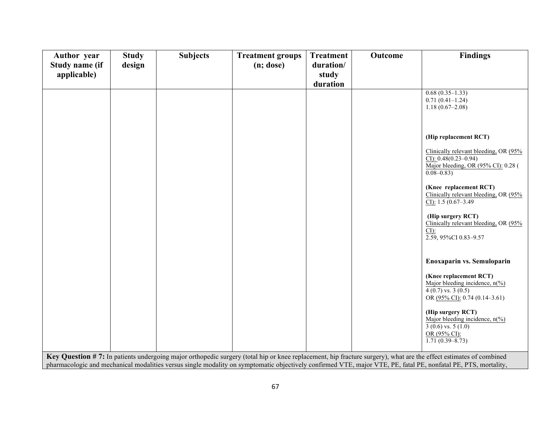| <b>Author</b> year<br>Study name (if<br>applicable) | <b>Study</b><br>design | <b>Subjects</b> | <b>Treatment groups</b><br>$(n;$ dose $)$ | <b>Treatment</b><br>duration/<br>study<br>duration | Outcome | <b>Findings</b>                                                                                                                                                                                                                                                                                                                     |
|-----------------------------------------------------|------------------------|-----------------|-------------------------------------------|----------------------------------------------------|---------|-------------------------------------------------------------------------------------------------------------------------------------------------------------------------------------------------------------------------------------------------------------------------------------------------------------------------------------|
|                                                     |                        |                 |                                           |                                                    |         | $0.68(0.35-1.33)$<br>$0.71(0.41-1.24)$<br>$1.18(0.67-2.08)$                                                                                                                                                                                                                                                                         |
|                                                     |                        |                 |                                           |                                                    |         | (Hip replacement RCT)                                                                                                                                                                                                                                                                                                               |
|                                                     |                        |                 |                                           |                                                    |         | Clinically relevant bleeding, OR (95%<br>CI): $0.48(0.23 - 0.94)$<br>Major bleeding, OR (95% CI): 0.28 (<br>$0.08 - 0.83$                                                                                                                                                                                                           |
|                                                     |                        |                 |                                           |                                                    |         | (Knee replacement RCT)<br>Clinically relevant bleeding, OR (95%<br>CI): $1.5(0.67-3.49)$                                                                                                                                                                                                                                            |
|                                                     |                        |                 |                                           |                                                    |         | (Hip surgery RCT)<br>Clinically relevant bleeding, OR (95%<br>CD:<br>2.59, 95%CI 0.83-9.57                                                                                                                                                                                                                                          |
|                                                     |                        |                 |                                           |                                                    |         | Enoxaparin vs. Semuloparin                                                                                                                                                                                                                                                                                                          |
|                                                     |                        |                 |                                           |                                                    |         | (Knee replacement RCT)<br>Major bleeding incidence, $n\frac{(\%)}{(\%)}$<br>$4(0.7)$ vs. $3(0.5)$<br>OR (95% CI): 0.74 (0.14-3.61)                                                                                                                                                                                                  |
|                                                     |                        |                 |                                           |                                                    |         | (Hip surgery RCT)<br>Major bleeding incidence, $n\frac{6}{6}$<br>$3(0.6)$ vs. $5(1.0)$<br>OR (95% CI):<br>$1.71(0.39 - 8.73)$                                                                                                                                                                                                       |
|                                                     |                        |                 |                                           |                                                    |         | Key Question #7: In patients undergoing major orthopedic surgery (total hip or knee replacement, hip fracture surgery), what are the effect estimates of combined<br>pharmacologic and mechanical modalities versus single modality on symptomatic objectively confirmed VTE, major VTE, PE, fatal PE, nonfatal PE, PTS, mortality, |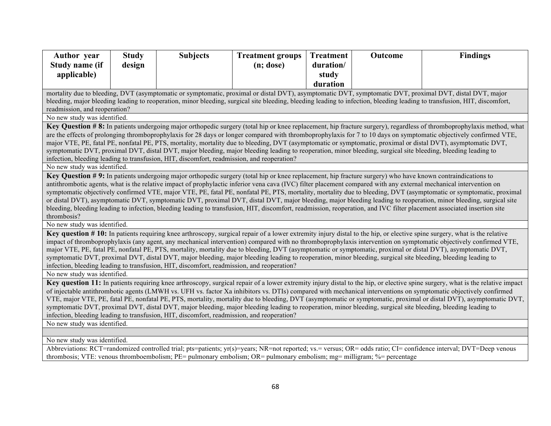| <b>Author</b> year                                                                                                                                                                                                                                                                         | <b>Study</b> | <b>Subjects</b>                                                                                                                                               | <b>Treatment groups</b> | <b>Treatment</b> | Outcome | <b>Findings</b>                                                                                                                                                                                                                                                                                                                             |  |
|--------------------------------------------------------------------------------------------------------------------------------------------------------------------------------------------------------------------------------------------------------------------------------------------|--------------|---------------------------------------------------------------------------------------------------------------------------------------------------------------|-------------------------|------------------|---------|---------------------------------------------------------------------------------------------------------------------------------------------------------------------------------------------------------------------------------------------------------------------------------------------------------------------------------------------|--|
| Study name (if                                                                                                                                                                                                                                                                             | design       |                                                                                                                                                               | $(n;$ dose)             | duration/        |         |                                                                                                                                                                                                                                                                                                                                             |  |
| applicable)                                                                                                                                                                                                                                                                                |              |                                                                                                                                                               |                         | study            |         |                                                                                                                                                                                                                                                                                                                                             |  |
|                                                                                                                                                                                                                                                                                            |              |                                                                                                                                                               |                         | duration         |         |                                                                                                                                                                                                                                                                                                                                             |  |
|                                                                                                                                                                                                                                                                                            |              |                                                                                                                                                               |                         |                  |         | mortality due to bleeding, DVT (asymptomatic or symptomatic, proximal or distal DVT), asymptomatic DVT, symptomatic DVT, proximal DVT, distal DVT, major                                                                                                                                                                                    |  |
|                                                                                                                                                                                                                                                                                            |              |                                                                                                                                                               |                         |                  |         | bleeding, major bleeding leading to reoperation, minor bleeding, surgical site bleeding, bleeding leading to infection, bleeding leading to transfusion, HIT, discomfort,                                                                                                                                                                   |  |
| readmission, and reoperation?                                                                                                                                                                                                                                                              |              |                                                                                                                                                               |                         |                  |         |                                                                                                                                                                                                                                                                                                                                             |  |
| No new study was identified.                                                                                                                                                                                                                                                               |              |                                                                                                                                                               |                         |                  |         |                                                                                                                                                                                                                                                                                                                                             |  |
|                                                                                                                                                                                                                                                                                            |              |                                                                                                                                                               |                         |                  |         | Key Question #8: In patients undergoing major orthopedic surgery (total hip or knee replacement, hip fracture surgery), regardless of thromboprophylaxis method, what<br>are the effects of prolonging thromboprophylaxis for 28 days or longer compared with thromboprophylaxis for 7 to 10 days on symptomatic objectively confirmed VTE, |  |
|                                                                                                                                                                                                                                                                                            |              |                                                                                                                                                               |                         |                  |         | major VTE, PE, fatal PE, nonfatal PE, PTS, mortality, mortality due to bleeding, DVT (asymptomatic or symptomatic, proximal or distal DVT), asymptomatic DVT,                                                                                                                                                                               |  |
|                                                                                                                                                                                                                                                                                            |              | symptomatic DVT, proximal DVT, distal DVT, major bleeding, major bleeding leading to reoperation, minor bleeding, surgical site bleeding, bleeding leading to |                         |                  |         |                                                                                                                                                                                                                                                                                                                                             |  |
|                                                                                                                                                                                                                                                                                            |              | infection, bleeding leading to transfusion, HIT, discomfort, readmission, and reoperation?                                                                    |                         |                  |         |                                                                                                                                                                                                                                                                                                                                             |  |
| No new study was identified.                                                                                                                                                                                                                                                               |              |                                                                                                                                                               |                         |                  |         |                                                                                                                                                                                                                                                                                                                                             |  |
|                                                                                                                                                                                                                                                                                            |              | Key Question #9: In patients undergoing major orthopedic surgery (total hip or knee replacement, hip fracture surgery) who have known contraindications to    |                         |                  |         |                                                                                                                                                                                                                                                                                                                                             |  |
|                                                                                                                                                                                                                                                                                            |              |                                                                                                                                                               |                         |                  |         | antithrombotic agents, what is the relative impact of prophylactic inferior vena cava (IVC) filter placement compared with any external mechanical intervention on                                                                                                                                                                          |  |
|                                                                                                                                                                                                                                                                                            |              |                                                                                                                                                               |                         |                  |         | symptomatic objectively confirmed VTE, major VTE, PE, fatal PE, nonfatal PE, PTS, mortality, mortality due to bleeding, DVT (asymptomatic or symptomatic, proximal                                                                                                                                                                          |  |
|                                                                                                                                                                                                                                                                                            |              |                                                                                                                                                               |                         |                  |         | or distal DVT), asymptomatic DVT, symptomatic DVT, proximal DVT, distal DVT, major bleeding, major bleeding leading to reoperation, minor bleeding, surgical site                                                                                                                                                                           |  |
| thrombosis?                                                                                                                                                                                                                                                                                |              |                                                                                                                                                               |                         |                  |         | bleeding, bleeding leading to infection, bleeding leading to transfusion, HIT, discomfort, readmission, reoperation, and IVC filter placement associated insertion site                                                                                                                                                                     |  |
| No new study was identified.                                                                                                                                                                                                                                                               |              |                                                                                                                                                               |                         |                  |         |                                                                                                                                                                                                                                                                                                                                             |  |
|                                                                                                                                                                                                                                                                                            |              |                                                                                                                                                               |                         |                  |         | Key question #10: In patients requiring knee arthroscopy, surgical repair of a lower extremity injury distal to the hip, or elective spine surgery, what is the relative                                                                                                                                                                    |  |
|                                                                                                                                                                                                                                                                                            |              |                                                                                                                                                               |                         |                  |         | impact of thromboprophylaxis (any agent, any mechanical intervention) compared with no thromboprophylaxis intervention on symptomatic objectively confirmed VTE,                                                                                                                                                                            |  |
|                                                                                                                                                                                                                                                                                            |              |                                                                                                                                                               |                         |                  |         | major VTE, PE, fatal PE, nonfatal PE, PTS, mortality, mortality due to bleeding, DVT (asymptomatic or symptomatic, proximal or distal DVT), asymptomatic DVT,                                                                                                                                                                               |  |
|                                                                                                                                                                                                                                                                                            |              | symptomatic DVT, proximal DVT, distal DVT, major bleeding, major bleeding leading to reoperation, minor bleeding, surgical site bleeding, bleeding leading to |                         |                  |         |                                                                                                                                                                                                                                                                                                                                             |  |
|                                                                                                                                                                                                                                                                                            |              | infection, bleeding leading to transfusion, HIT, discomfort, readmission, and reoperation?                                                                    |                         |                  |         |                                                                                                                                                                                                                                                                                                                                             |  |
| No new study was identified.                                                                                                                                                                                                                                                               |              |                                                                                                                                                               |                         |                  |         |                                                                                                                                                                                                                                                                                                                                             |  |
|                                                                                                                                                                                                                                                                                            |              |                                                                                                                                                               |                         |                  |         | Key question 11: In patients requiring knee arthroscopy, surgical repair of a lower extremity injury distal to the hip, or elective spine surgery, what is the relative impact                                                                                                                                                              |  |
|                                                                                                                                                                                                                                                                                            |              |                                                                                                                                                               |                         |                  |         | of injectable antithrombotic agents (LMWH vs. UFH vs. factor Xa inhibitors vs. DTIs) compared with mechanical interventions on symptomatic objectively confirmed                                                                                                                                                                            |  |
|                                                                                                                                                                                                                                                                                            |              |                                                                                                                                                               |                         |                  |         | VTE, major VTE, PE, fatal PE, nonfatal PE, PTS, mortality, mortality due to bleeding, DVT (asymptomatic or symptomatic, proximal or distal DVT), asymptomatic DVT,                                                                                                                                                                          |  |
| symptomatic DVT, proximal DVT, distal DVT, major bleeding, major bleeding leading to reoperation, minor bleeding, surgical site bleeding, bleeding leading to<br>infection, bleeding leading to transfusion, HIT, discomfort, readmission, and reoperation?                                |              |                                                                                                                                                               |                         |                  |         |                                                                                                                                                                                                                                                                                                                                             |  |
| No new study was identified.                                                                                                                                                                                                                                                               |              |                                                                                                                                                               |                         |                  |         |                                                                                                                                                                                                                                                                                                                                             |  |
|                                                                                                                                                                                                                                                                                            |              |                                                                                                                                                               |                         |                  |         |                                                                                                                                                                                                                                                                                                                                             |  |
| No new study was identified.                                                                                                                                                                                                                                                               |              |                                                                                                                                                               |                         |                  |         |                                                                                                                                                                                                                                                                                                                                             |  |
|                                                                                                                                                                                                                                                                                            |              |                                                                                                                                                               |                         |                  |         |                                                                                                                                                                                                                                                                                                                                             |  |
| Abbreviations: RCT=randomized controlled trial; pts=patients; yr(s)=years; NR=not reported; vs.= versus; OR= odds ratio; CI= confidence interval; DVT=Deep venous<br>thrombosis; VTE: venous thromboembolism; PE= pulmonary embolism; OR= pulmonary embolism; mg= milligram; %= percentage |              |                                                                                                                                                               |                         |                  |         |                                                                                                                                                                                                                                                                                                                                             |  |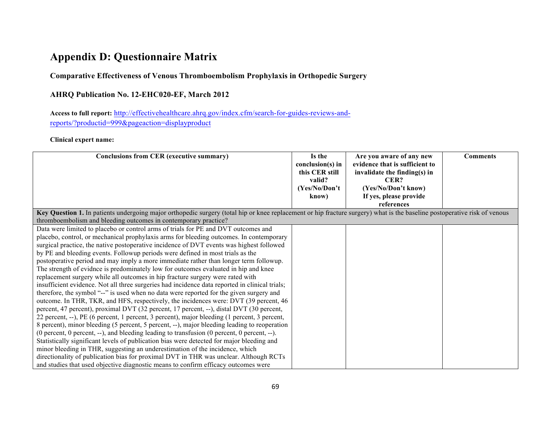## **Appendix D: Questionnaire Matrix**

## **Comparative Effectiveness of Venous Thromboembolism Prophylaxis in Orthopedic Surgery**

## **AHRQ Publication No. 12-EHC020-EF, March 2012**

**Access to full report:** http://effectivehealthcare.ahrq.gov/index.cfm/search-for-guides-reviews-andreports/?productid=999&pageaction=displayproduct

## **Clinical expert name:**

| Conclusions from CER (executive summary)                                                                                                                                  | Is the<br>$conclusion(s)$ in<br>this CER still<br>valid?<br>(Yes/No/Don't)<br>know) | Are you aware of any new<br>evidence that is sufficient to<br>invalidate the finding(s) in<br>CER?<br>(Yes/No/Don't know)<br>If yes, please provide<br>references | <b>Comments</b> |
|---------------------------------------------------------------------------------------------------------------------------------------------------------------------------|-------------------------------------------------------------------------------------|-------------------------------------------------------------------------------------------------------------------------------------------------------------------|-----------------|
| Key Question 1. In patients undergoing major orthopedic surgery (total hip or knee replacement or hip fracture surgery) what is the baseline postoperative risk of venous |                                                                                     |                                                                                                                                                                   |                 |
| thromboembolism and bleeding outcomes in contemporary practice?                                                                                                           |                                                                                     |                                                                                                                                                                   |                 |
| Data were limited to placebo or control arms of trials for PE and DVT outcomes and                                                                                        |                                                                                     |                                                                                                                                                                   |                 |
| placebo, control, or mechanical prophylaxis arms for bleeding outcomes. In contemporary                                                                                   |                                                                                     |                                                                                                                                                                   |                 |
| surgical practice, the native postoperative incidence of DVT events was highest followed                                                                                  |                                                                                     |                                                                                                                                                                   |                 |
| by PE and bleeding events. Followup periods were defined in most trials as the                                                                                            |                                                                                     |                                                                                                                                                                   |                 |
| postoperative period and may imply a more immediate rather than longer term followup.                                                                                     |                                                                                     |                                                                                                                                                                   |                 |
| The strength of evidnce is predominately low for outcomes evaluated in hip and knee                                                                                       |                                                                                     |                                                                                                                                                                   |                 |
| replacement surgery while all outcomes in hip fracture surgery were rated with                                                                                            |                                                                                     |                                                                                                                                                                   |                 |
| insufficient evidence. Not all three surgeries had incidence data reported in clinical trials;                                                                            |                                                                                     |                                                                                                                                                                   |                 |
| therefore, the symbol "--" is used when no data were reported for the given surgery and                                                                                   |                                                                                     |                                                                                                                                                                   |                 |
| outcome. In THR, TKR, and HFS, respectively, the incidences were: DVT (39 percent, 46                                                                                     |                                                                                     |                                                                                                                                                                   |                 |
| percent, 47 percent), proximal DVT (32 percent, 17 percent, --), distal DVT (30 percent,                                                                                  |                                                                                     |                                                                                                                                                                   |                 |
| 22 percent, --), PE (6 percent, 1 percent, 3 percent), major bleeding (1 percent, 3 percent,                                                                              |                                                                                     |                                                                                                                                                                   |                 |
| 8 percent), minor bleeding (5 percent, 5 percent, --), major bleeding leading to reoperation                                                                              |                                                                                     |                                                                                                                                                                   |                 |
| (0 percent, 0 percent, --), and bleeding leading to transfusion (0 percent, 0 percent, --).                                                                               |                                                                                     |                                                                                                                                                                   |                 |
| Statistically significant levels of publication bias were detected for major bleeding and                                                                                 |                                                                                     |                                                                                                                                                                   |                 |
| minor bleeding in THR, suggesting an underestimation of the incidence, which                                                                                              |                                                                                     |                                                                                                                                                                   |                 |
| directionality of publication bias for proximal DVT in THR was unclear. Although RCTs                                                                                     |                                                                                     |                                                                                                                                                                   |                 |
| and studies that used objective diagnostic means to confirm efficacy outcomes were                                                                                        |                                                                                     |                                                                                                                                                                   |                 |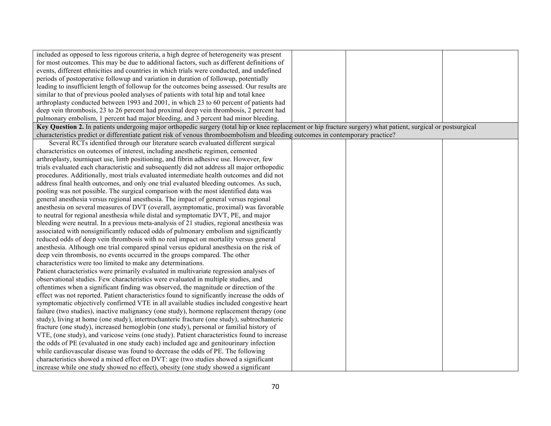| included as opposed to less rigorous criteria, a high degree of heterogeneity was present                                                                      |  |  |
|----------------------------------------------------------------------------------------------------------------------------------------------------------------|--|--|
| for most outcomes. This may be due to additional factors, such as different definitions of                                                                     |  |  |
| events, different ethnicities and countries in which trials were conducted, and undefined                                                                      |  |  |
| periods of postoperative followup and variation in duration of followup, potentially                                                                           |  |  |
| leading to insufficient length of followup for the outcomes being assessed. Our results are                                                                    |  |  |
| similar to that of previous pooled analyses of patients with total hip and total knee                                                                          |  |  |
| arthroplasty conducted between 1993 and 2001, in which 23 to 60 percent of patients had                                                                        |  |  |
| deep vein thrombosis, 23 to 26 percent had proximal deep vein thrombosis, 2 percent had                                                                        |  |  |
| pulmonary embolism, 1 percent had major bleeding, and 3 percent had minor bleeding.                                                                            |  |  |
| Key Question 2. In patients undergoing major orthopedic surgery (total hip or knee replacement or hip fracture surgery) what patient, surgical or postsurgical |  |  |
| characteristics predict or differentiate patient risk of venous thromboembolism and bleeding outcomes in contemporary practice?                                |  |  |
| Several RCTs identified through our literature search evaluated different surgical                                                                             |  |  |
| characteristics on outcomes of interest, including anesthetic regimen, cemented                                                                                |  |  |
| arthroplasty, tourniquet use, limb positioning, and fibrin adhesive use. However, few                                                                          |  |  |
| trials evaluated each characteristic and subsequently did not address all major orthopedic                                                                     |  |  |
| procedures. Additionally, most trials evaluated intermediate health outcomes and did not                                                                       |  |  |
| address final health outcomes, and only one trial evaluated bleeding outcomes. As such,                                                                        |  |  |
| pooling was not possible. The surgical comparison with the most identified data was                                                                            |  |  |
| general anesthesia versus regional anesthesia. The impact of general versus regional                                                                           |  |  |
| anesthesia on several measures of DVT (overall, asymptomatic, proximal) was favorable                                                                          |  |  |
| to neutral for regional anesthesia while distal and symptomatic DVT, PE, and major                                                                             |  |  |
| bleeding were neutral. In a previous meta-analysis of 21 studies, regional anesthesia was                                                                      |  |  |
| associated with nonsignificantly reduced odds of pulmonary embolism and significantly                                                                          |  |  |
| reduced odds of deep vein thrombosis with no real impact on mortality versus general                                                                           |  |  |
| anesthesia. Although one trial compared spinal versus epidural anesthesia on the risk of                                                                       |  |  |
| deep vein thrombosis, no events occurred in the groups compared. The other                                                                                     |  |  |
| characteristics were too limited to make any determinations.                                                                                                   |  |  |
| Patient characteristics were primarily evaluated in multivariate regression analyses of                                                                        |  |  |
| observational studies. Few characteristics were evaluated in multiple studies, and                                                                             |  |  |
| oftentimes when a significant finding was observed, the magnitude or direction of the                                                                          |  |  |
| effect was not reported. Patient characteristics found to significantly increase the odds of                                                                   |  |  |
| symptomatic objectively confirmed VTE in all available studies included congestive heart                                                                       |  |  |
| failure (two studies), inactive malignancy (one study), hormone replacement therapy (one                                                                       |  |  |
| study), living at home (one study), intertrochanteric fracture (one study), subtrochanteric                                                                    |  |  |
| fracture (one study), increased hemoglobin (one study), personal or familial history of                                                                        |  |  |
| VTE, (one study), and varicose veins (one study). Patient characteristics found to increase                                                                    |  |  |
| the odds of PE (evaluated in one study each) included age and genitourinary infection                                                                          |  |  |
| while cardiovascular disease was found to decrease the odds of PE. The following                                                                               |  |  |
| characteristics showed a mixed effect on DVT: age (two studies showed a significant                                                                            |  |  |
| increase while one study showed no effect), obesity (one study showed a significant                                                                            |  |  |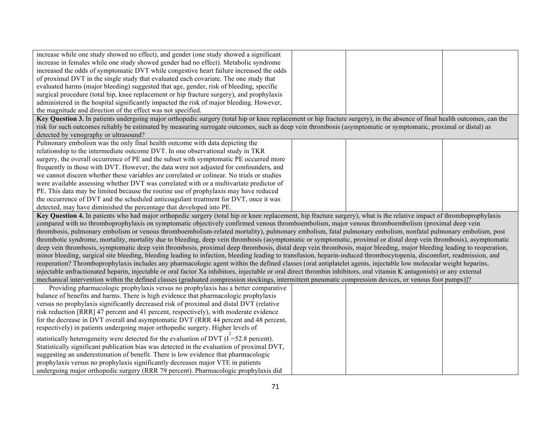| increase while one study showed no effect), and gender (one study showed a significant                                                                                                                                                                                                                                             |  |  |
|------------------------------------------------------------------------------------------------------------------------------------------------------------------------------------------------------------------------------------------------------------------------------------------------------------------------------------|--|--|
| increase in females while one study showed gender had no effect). Metabolic syndrome                                                                                                                                                                                                                                               |  |  |
| increased the odds of symptomatic DVT while congestive heart failure increased the odds                                                                                                                                                                                                                                            |  |  |
| of proximal DVT in the single study that evaluated each covariate. The one study that                                                                                                                                                                                                                                              |  |  |
| evaluated harms (major bleeding) suggested that age, gender, risk of bleeding, specific                                                                                                                                                                                                                                            |  |  |
| surgical procedure (total hip, knee replacement or hip fracture surgery), and prophylaxis                                                                                                                                                                                                                                          |  |  |
| administered in the hospital significantly impacted the risk of major bleeding. However,                                                                                                                                                                                                                                           |  |  |
| the magnitude and direction of the effect was not specified.                                                                                                                                                                                                                                                                       |  |  |
| Key Question 3. In patients undergoing major orthopedic surgery (total hip or knee replacement or hip fracture surgery), in the absence of final health outcomes, can the                                                                                                                                                          |  |  |
| risk for such outcomes reliably be estimated by measuring surrogate outcomes, such as deep vein thrombosis (asymptomatic or symptomatic, proximal or distal) as                                                                                                                                                                    |  |  |
| detected by venography or ultrasound?                                                                                                                                                                                                                                                                                              |  |  |
| Pulmonary embolism was the only final health outcome with data depicting the                                                                                                                                                                                                                                                       |  |  |
| relationship to the intermediate outcome DVT. In one observational study in TKR                                                                                                                                                                                                                                                    |  |  |
| surgery, the overall occurrence of PE and the subset with symptomatic PE occurred more                                                                                                                                                                                                                                             |  |  |
| frequently in those with DVT. However, the data were not adjusted for confounders, and                                                                                                                                                                                                                                             |  |  |
| we cannot discern whether these variables are correlated or colinear. No trials or studies                                                                                                                                                                                                                                         |  |  |
| were available assessing whether DVT was correlated with or a multivariate predictor of                                                                                                                                                                                                                                            |  |  |
| PE. This data may be limited because the routine use of prophylaxis may have reduced                                                                                                                                                                                                                                               |  |  |
| the occurrence of DVT and the scheduled anticoagulant treatment for DVT, once it was                                                                                                                                                                                                                                               |  |  |
| detected, may have diminished the percentage that developed into PE.                                                                                                                                                                                                                                                               |  |  |
| Key Question 4. In patients who had major orthopedic surgery (total hip or knee replacement, hip fracture surgery), what is the relative impact of thromboprophylaxis                                                                                                                                                              |  |  |
|                                                                                                                                                                                                                                                                                                                                    |  |  |
| compared with no thromboprophylaxis on symptomatic objectively confirmed venous thromboembolism, major venous thromboembolism (proximal deep vein                                                                                                                                                                                  |  |  |
| thrombosis, pulmonary embolism or venous thromboembolism-related mortality), pulmonary embolism, fatal pulmonary embolism, nonfatal pulmonary embolism, post                                                                                                                                                                       |  |  |
| thrombotic syndrome, mortality, mortality due to bleeding, deep vein thrombosis (asymptomatic or symptomatic, proximal or distal deep vein thrombosis), asymptomatic                                                                                                                                                               |  |  |
| deep vein thrombosis, symptomatic deep vein thrombosis, proximal deep thrombosis, distal deep vein thrombosis, major bleeding, major bleeding leading to reoperation,                                                                                                                                                              |  |  |
| minor bleeding, surgical site bleeding, bleeding leading to infection, bleeding leading to transfusion, heparin-induced thrombocytopenia, discomfort, readmission, and                                                                                                                                                             |  |  |
| reoperation? Thromboprophylaxis includes any pharmacologic agent within the defined classes (oral antiplatelet agents, injectable low molecular weight heparins,                                                                                                                                                                   |  |  |
|                                                                                                                                                                                                                                                                                                                                    |  |  |
| injectable unfractionated heparin, injectable or oral factor Xa inhibitors, injectable or oral direct thrombin inhibitors, oral vitamin K antagonists) or any external<br>mechanical intervention within the defined classes (graduated compression stockings, intermittent pneumatic compression devices, or venous foot pumps)]? |  |  |
| Providing pharmacologic prophylaxis versus no prophylaxis has a better comparative                                                                                                                                                                                                                                                 |  |  |
| balance of benefits and harms. There is high evidence that pharmacologic prophylaxis                                                                                                                                                                                                                                               |  |  |
| versus no prophylaxis significantly decreased risk of proximal and distal DVT (relative                                                                                                                                                                                                                                            |  |  |
| risk reduction [RRR] 47 percent and 41 percent, respectively), with moderate evidence                                                                                                                                                                                                                                              |  |  |
| for the decrease in DVT overall and asymptomatic DVT (RRR 44 percent and 48 percent,                                                                                                                                                                                                                                               |  |  |
| respectively) in patients undergoing major orthopedic surgery. Higher levels of                                                                                                                                                                                                                                                    |  |  |
| statistically heterogeneity were detected for the evaluation of DVT $(I = 52.8$ percent).                                                                                                                                                                                                                                          |  |  |
| Statistically significant publication bias was detected in the evaluation of proximal DVT,                                                                                                                                                                                                                                         |  |  |
| suggesting an underestimation of benefit. There is low evidence that pharmacologic                                                                                                                                                                                                                                                 |  |  |
| prophylaxis versus no prophylaxis significantly decreases major VTE in patients<br>undergoing major orthopedic surgery (RRR 79 percent). Pharmacologic prophylaxis did                                                                                                                                                             |  |  |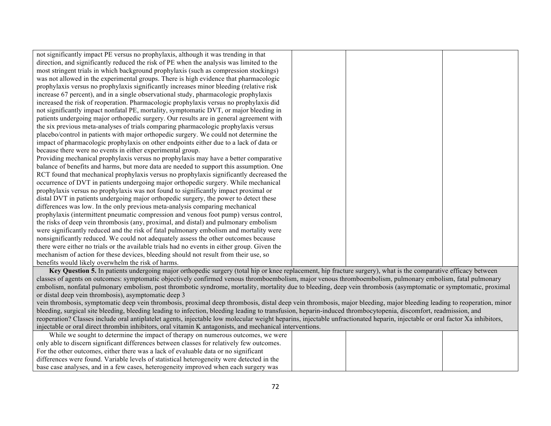| not significantly impact PE versus no prophylaxis, although it was trending in that          |  |  |
|----------------------------------------------------------------------------------------------|--|--|
| direction, and significantly reduced the risk of PE when the analysis was limited to the     |  |  |
| most stringent trials in which background prophylaxis (such as compression stockings)        |  |  |
| was not allowed in the experimental groups. There is high evidence that pharmacologic        |  |  |
| prophylaxis versus no prophylaxis significantly increases minor bleeding (relative risk      |  |  |
| increase 67 percent), and in a single observational study, pharmacologic prophylaxis         |  |  |
| increased the risk of reoperation. Pharmacologic prophylaxis versus no prophylaxis did       |  |  |
| not significantly impact nonfatal PE, mortality, symptomatic DVT, or major bleeding in       |  |  |
| patients undergoing major orthopedic surgery. Our results are in general agreement with      |  |  |
| the six previous meta-analyses of trials comparing pharmacologic prophylaxis versus          |  |  |
| placebo/control in patients with major orthopedic surgery. We could not determine the        |  |  |
| impact of pharmacologic prophylaxis on other endpoints either due to a lack of data or       |  |  |
| because there were no events in either experimental group.                                   |  |  |
| Providing mechanical prophylaxis versus no prophylaxis may have a better comparative         |  |  |
| balance of benefits and harms, but more data are needed to support this assumption. One      |  |  |
| RCT found that mechanical prophylaxis versus no prophylaxis significantly decreased the      |  |  |
| occurrence of DVT in patients undergoing major orthopedic surgery. While mechanical          |  |  |
| prophylaxis versus no prophylaxis was not found to significantly impact proximal or          |  |  |
| distal DVT in patients undergoing major orthopedic surgery, the power to detect these        |  |  |
| differences was low. In the only previous meta-analysis comparing mechanical                 |  |  |
| prophylaxis (intermittent pneumatic compression and venous foot pump) versus control,        |  |  |
| the risks of deep vein thrombosis (any, proximal, and distal) and pulmonary embolism         |  |  |
| were significantly reduced and the risk of fatal pulmonary embolism and mortality were       |  |  |
| nonsignificantly reduced. We could not adequately assess the other outcomes because          |  |  |
| there were either no trials or the available trials had no events in either group. Given the |  |  |
| mechanism of action for these devices, bleeding should not result from their use, so         |  |  |
| benefits would likely overwhelm the risk of harms.                                           |  |  |

**Key Question 5.** In patients undergoing major orthopedic surgery (total hip or knee replacement, hip fracture surgery), what is the comparative efficacy between classes of agents on outcomes: symptomatic objectively confirmed venous thromboembolism, major venous thromboembolism, pulmonary embolism, fatal pulmonary embolism, nonfatal pulmonary embolism, post thrombotic syndrome, mortality, mortality due to bleeding, deep vein thrombosis (asymptomatic or symptomatic, proximal or distal deep vein thrombosis), asymptomatic deep 3

vein thrombosis, symptomatic deep vein thrombosis, proximal deep thrombosis, distal deep vein thrombosis, major bleeding, major bleeding leading to reoperation, minor bleeding, surgical site bleeding, bleeding leading to infection, bleeding leading to transfusion, heparin-induced thrombocytopenia, discomfort, readmission, and reoperation? Classes include oral antiplatelet agents, injectable low molecular weight heparins, injectable unfractionated heparin, injectable or oral factor Xa inhibitors, injectable or oral direct thrombin inhibitors, oral vitamin K antagonists, and mechanical interventions.

| While we sought to determine the impact of therapy on numerous outcomes, we were          |  |
|-------------------------------------------------------------------------------------------|--|
| only able to discern significant differences between classes for relatively few outcomes. |  |
| For the other outcomes, either there was a lack of evaluable data or no significant       |  |
| differences were found. Variable levels of statistical heterogeneity were detected in the |  |
| base case analyses, and in a few cases, heterogeneity improved when each surgery was      |  |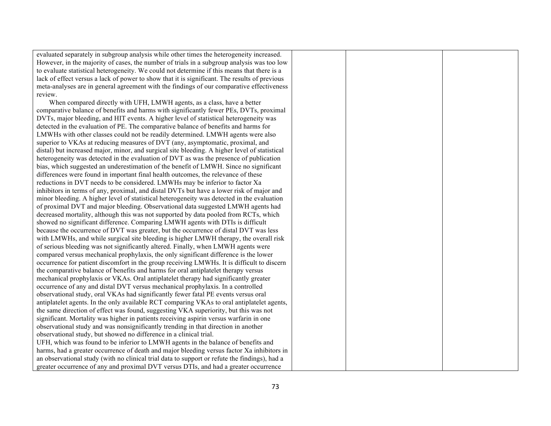| evaluated separately in subgroup analysis while other times the heterogeneity increased.      |  |  |
|-----------------------------------------------------------------------------------------------|--|--|
| However, in the majority of cases, the number of trials in a subgroup analysis was too low    |  |  |
| to evaluate statistical heterogeneity. We could not determine if this means that there is a   |  |  |
| lack of effect versus a lack of power to show that it is significant. The results of previous |  |  |
| meta-analyses are in general agreement with the findings of our comparative effectiveness     |  |  |
| review.                                                                                       |  |  |
| When compared directly with UFH, LMWH agents, as a class, have a better                       |  |  |
| comparative balance of benefits and harms with significantly fewer PEs, DVTs, proximal        |  |  |
| DVTs, major bleeding, and HIT events. A higher level of statistical heterogeneity was         |  |  |
| detected in the evaluation of PE. The comparative balance of benefits and harms for           |  |  |
| LMWHs with other classes could not be readily determined. LMWH agents were also               |  |  |
| superior to VKAs at reducing measures of DVT (any, asymptomatic, proximal, and                |  |  |
| distal) but increased major, minor, and surgical site bleeding. A higher level of statistical |  |  |
| heterogeneity was detected in the evaluation of DVT as was the presence of publication        |  |  |
| bias, which suggested an underestimation of the benefit of LMWH. Since no significant         |  |  |
| differences were found in important final health outcomes, the relevance of these             |  |  |
| reductions in DVT needs to be considered. LMWHs may be inferior to factor Xa                  |  |  |
| inhibitors in terms of any, proximal, and distal DVTs but have a lower risk of major and      |  |  |
| minor bleeding. A higher level of statistical heterogeneity was detected in the evaluation    |  |  |
| of proximal DVT and major bleeding. Observational data suggested LMWH agents had              |  |  |
| decreased mortality, although this was not supported by data pooled from RCTs, which          |  |  |
| showed no significant difference. Comparing LMWH agents with DTIs is difficult                |  |  |
| because the occurrence of DVT was greater, but the occurrence of distal DVT was less          |  |  |
| with LMWHs, and while surgical site bleeding is higher LMWH therapy, the overall risk         |  |  |
| of serious bleeding was not significantly altered. Finally, when LMWH agents were             |  |  |
| compared versus mechanical prophylaxis, the only significant difference is the lower          |  |  |
| occurrence for patient discomfort in the group receiving LMWHs. It is difficult to discern    |  |  |
| the comparative balance of benefits and harms for oral antiplatelet therapy versus            |  |  |
| mechanical prophylaxis or VKAs. Oral antiplatelet therapy had significantly greater           |  |  |
| occurrence of any and distal DVT versus mechanical prophylaxis. In a controlled               |  |  |
| observational study, oral VKAs had significantly fewer fatal PE events versus oral            |  |  |
| antiplatelet agents. In the only available RCT comparing VKAs to oral antiplatelet agents,    |  |  |
| the same direction of effect was found, suggesting VKA superiority, but this was not          |  |  |
| significant. Mortality was higher in patients receiving aspirin versus warfarin in one        |  |  |
| observational study and was nonsignificantly trending in that direction in another            |  |  |
| observational study, but showed no difference in a clinical trial.                            |  |  |
| UFH, which was found to be inferior to LMWH agents in the balance of benefits and             |  |  |
| harms, had a greater occurrence of death and major bleeding versus factor Xa inhibitors in    |  |  |
| an observational study (with no clinical trial data to support or refute the findings), had a |  |  |
| greater occurrence of any and proximal DVT versus DTIs, and had a greater occurrence          |  |  |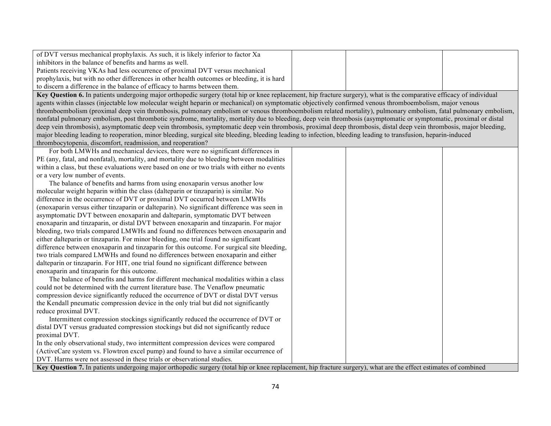| of DVT versus mechanical prophylaxis. As such, it is likely inferior to factor Xa                                                                                     |  |  |
|-----------------------------------------------------------------------------------------------------------------------------------------------------------------------|--|--|
| inhibitors in the balance of benefits and harms as well.                                                                                                              |  |  |
| Patients receiving VKAs had less occurrence of proximal DVT versus mechanical                                                                                         |  |  |
| prophylaxis, but with no other differences in other health outcomes or bleeding, it is hard                                                                           |  |  |
| to discern a difference in the balance of efficacy to harms between them.                                                                                             |  |  |
| Key Question 6. In patients undergoing major orthopedic surgery (total hip or knee replacement, hip fracture surgery), what is the comparative efficacy of individual |  |  |
| agents within classes (injectable low molecular weight heparin or mechanical) on symptomatic objectively confirmed venous thromboembolism, major venous               |  |  |
| thromboembolism (proximal deep vein thrombosis, pulmonary embolism or venous thromboembolism related mortality), pulmonary embolism, fatal pulmonary embolism,        |  |  |
| nonfatal pulmonary embolism, post thrombotic syndrome, mortality, mortality due to bleeding, deep vein thrombosis (asymptomatic or symptomatic, proximal or distal    |  |  |

deep vein thrombosis), asymptomatic deep vein thrombosis, symptomatic deep vein thrombosis, proximal deep thrombosis, distal deep vein thrombosis, major bleeding,

major bleeding leading to reoperation, minor bleeding, surgical site bleeding, bleeding leading to infection, bleeding leading to transfusion, heparin-induced thrombocytopenia, discomfort, readmission, and reoperation?

| For both LMWHs and mechanical devices, there were no significant differences in                                                                                  |  |  |
|------------------------------------------------------------------------------------------------------------------------------------------------------------------|--|--|
| PE (any, fatal, and nonfatal), mortality, and mortality due to bleeding between modalities                                                                       |  |  |
| within a class, but these evaluations were based on one or two trials with either no events                                                                      |  |  |
| or a very low number of events.                                                                                                                                  |  |  |
| The balance of benefits and harms from using enoxaparin versus another low                                                                                       |  |  |
| molecular weight heparin within the class (dalteparin or tinzaparin) is similar. No                                                                              |  |  |
| difference in the occurrence of DVT or proximal DVT occurred between LMWHs                                                                                       |  |  |
| (enoxaparin versus either tinzaparin or dalteparin). No significant difference was seen in                                                                       |  |  |
| asymptomatic DVT between enoxaparin and dalteparin, symptomatic DVT between                                                                                      |  |  |
| enoxaparin and tinzaparin, or distal DVT between enoxaparin and tinzaparin. For major                                                                            |  |  |
| bleeding, two trials compared LMWHs and found no differences between enoxaparin and                                                                              |  |  |
| either dalteparin or tinzaparin. For minor bleeding, one trial found no significant                                                                              |  |  |
| difference between enoxaparin and tinzaparin for this outcome. For surgical site bleeding,                                                                       |  |  |
| two trials compared LMWHs and found no differences between enoxaparin and either                                                                                 |  |  |
| dalteparin or tinzaparin. For HIT, one trial found no significant difference between                                                                             |  |  |
| enoxaparin and tinzaparin for this outcome.                                                                                                                      |  |  |
| The balance of benefits and harms for different mechanical modalities within a class                                                                             |  |  |
| could not be determined with the current literature base. The Venaflow pneumatic                                                                                 |  |  |
| compression device significantly reduced the occurrence of DVT or distal DVT versus                                                                              |  |  |
| the Kendall pneumatic compression device in the only trial but did not significantly                                                                             |  |  |
| reduce proximal DVT.                                                                                                                                             |  |  |
| Intermittent compression stockings significantly reduced the occurrence of DVT or                                                                                |  |  |
| distal DVT versus graduated compression stockings but did not significantly reduce                                                                               |  |  |
| proximal DVT.                                                                                                                                                    |  |  |
| In the only observational study, two intermittent compression devices were compared                                                                              |  |  |
| (ActiveCare system vs. Flowtron excel pump) and found to have a similar occurrence of                                                                            |  |  |
| DVT. Harms were not assessed in these trials or observational studies.                                                                                           |  |  |
| Key Question 7. In patients undergoing major orthopedic surgery (total hip or knee replacement, hip fracture surgery), what are the effect estimates of combined |  |  |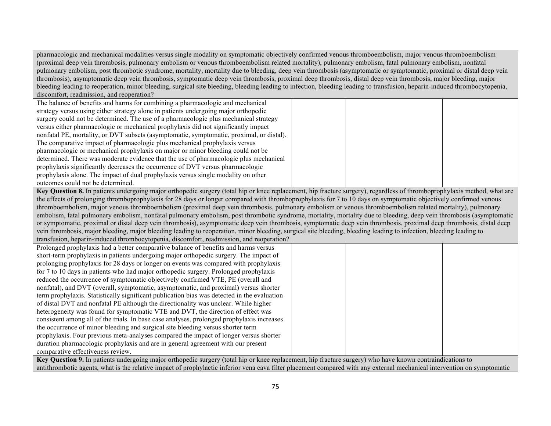pharmacologic and mechanical modalities versus single modality on symptomatic objectively confirmed venous thromboembolism, major venous thromboembolism (proximal deep vein thrombosis, pulmonary embolism or venous thromboembolism related mortality), pulmonary embolism, fatal pulmonary embolism, nonfatal pulmonary embolism, post thrombotic syndrome, mortality, mortality due to bleeding, deep vein thrombosis (asymptomatic or symptomatic, proximal or distal deep vein thrombosis), asymptomatic deep vein thrombosis, symptomatic deep vein thrombosis, proximal deep thrombosis, distal deep vein thrombosis, major bleeding, major bleeding leading to reoperation, minor bleeding, surgical site bleeding, bleeding leading to infection, bleeding leading to transfusion, heparin-induced thrombocytopenia, discomfort, readmission, and reoperation?

| The balance of benefits and harms for combining a pharmacologic and mechanical           |  |
|------------------------------------------------------------------------------------------|--|
| strategy versus using either strategy alone in patients undergoing major orthopedic      |  |
| surgery could not be determined. The use of a pharmacologic plus mechanical strategy     |  |
| versus either pharmacologic or mechanical prophylaxis did not significantly impact       |  |
| nonfatal PE, mortality, or DVT subsets (asymptomatic, symptomatic, proximal, or distal). |  |
| The comparative impact of pharmacologic plus mechanical prophylaxis versus               |  |
| pharmacologic or mechanical prophylaxis on major or minor bleeding could not be          |  |
| determined. There was moderate evidence that the use of pharmacologic plus mechanical    |  |
| prophylaxis significantly decreases the occurrence of DVT versus pharmacologic           |  |
| prophylaxis alone. The impact of dual prophylaxis versus single modality on other        |  |
| outcomes could not be determined.                                                        |  |

**Key Question 8.** In patients undergoing major orthopedic surgery (total hip or knee replacement, hip fracture surgery), regardless of thromboprophylaxis method, what are the effects of prolonging thromboprophylaxis for 28 days or longer compared with thromboprophylaxis for 7 to 10 days on symptomatic objectively confirmed venous thromboembolism, major venous thromboembolism (proximal deep vein thrombosis, pulmonary embolism or venous thromboembolism related mortality), pulmonary embolism, fatal pulmonary embolism, nonfatal pulmonary embolism, post thrombotic syndrome, mortality, mortality due to bleeding, deep vein thrombosis (asymptomatic or symptomatic, proximal or distal deep vein thrombosis), asymptomatic deep vein thrombosis, symptomatic deep vein thrombosis, proximal deep thrombosis, distal deep vein thrombosis, major bleeding, major bleeding leading to reoperation, minor bleeding, surgical site bleeding, bleeding leading to infection, bleeding leading to

transfusion, heparin-induced thrombocytopenia, discomfort, readmission, and reoperation?

| Prolonged prophylaxis had a better comparative balance of benefits and harms versus         |  |
|---------------------------------------------------------------------------------------------|--|
| short-term prophylaxis in patients undergoing major orthopedic surgery. The impact of       |  |
| prolonging prophylaxis for 28 days or longer on events was compared with prophylaxis        |  |
| for 7 to 10 days in patients who had major orthopedic surgery. Prolonged prophylaxis        |  |
| reduced the occurrence of symptomatic objectively confirmed VTE, PE (overall and            |  |
| nonfatal), and DVT (overall, symptomatic, asymptomatic, and proximal) versus shorter        |  |
| term prophylaxis. Statistically significant publication bias was detected in the evaluation |  |
| of distal DVT and nonfatal PE although the directionality was unclear. While higher         |  |
| heterogeneity was found for symptomatic VTE and DVT, the direction of effect was            |  |
| consistent among all of the trials. In base case analyses, prolonged prophylaxis increases  |  |
| the occurrence of minor bleeding and surgical site bleeding versus shorter term             |  |
| prophylaxis. Four previous meta-analyses compared the impact of longer versus shorter       |  |
| duration pharmacologic prophylaxis and are in general agreement with our present            |  |
| comparative effectiveness review.                                                           |  |
| $\sim$ $\sim$ $\sim$ $\sim$ $\sim$                                                          |  |

**Key Question 9.** In patients undergoing major orthopedic surgery (total hip or knee replacement, hip fracture surgery) who have known contraindications to antithrombotic agents, what is the relative impact of prophylactic inferior vena cava filter placement compared with any external mechanical intervention on symptomatic